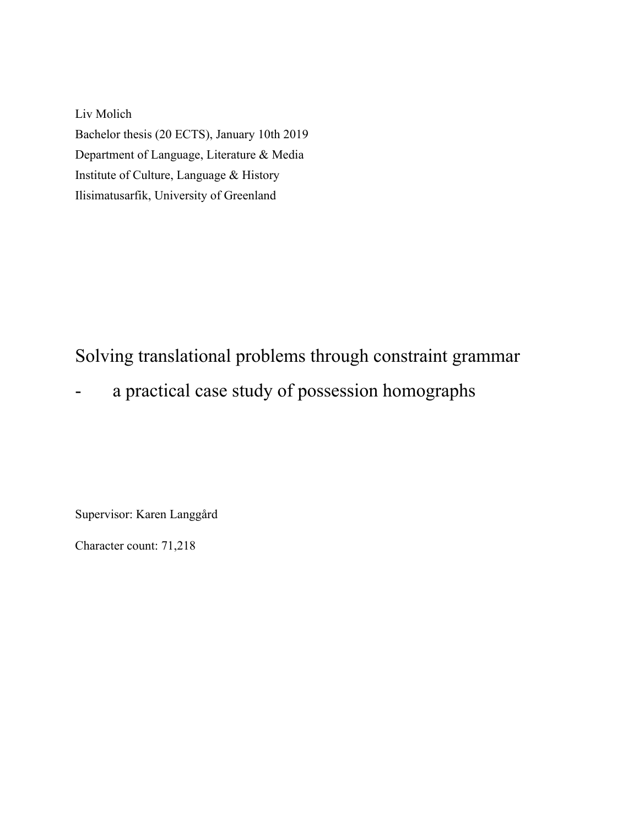Liv Molich Bachelor thesis (20 ECTS), January 10th 2019 Department of Language, Literature & Media Institute of Culture, Language & History Ilisimatusarfik, University of Greenland

## Solving translational problems through constraint grammar

a practical case study of possession homographs

Supervisor: Karen Langgård

Character count: 71,218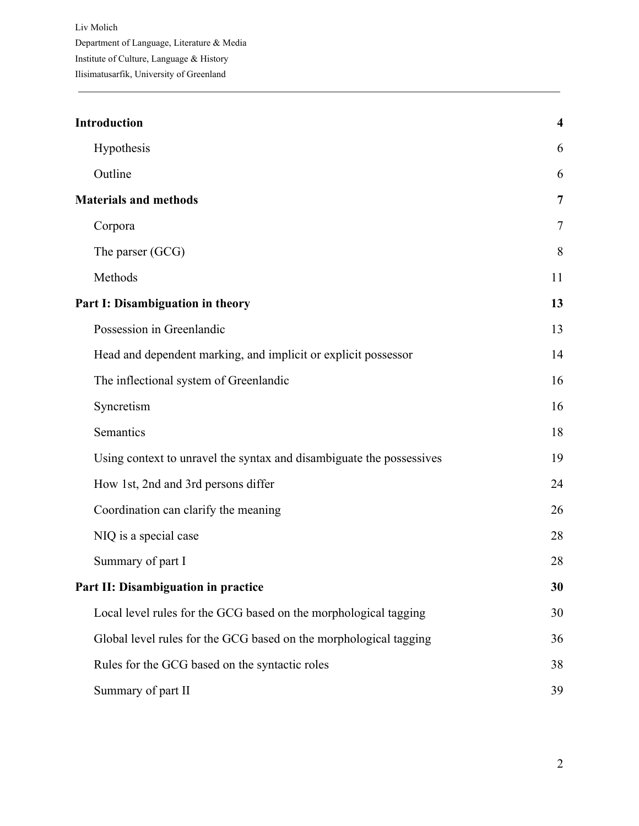| <b>Introduction</b>                                                  | $\overline{\mathbf{4}}$ |
|----------------------------------------------------------------------|-------------------------|
| Hypothesis                                                           | 6                       |
| Outline                                                              | 6                       |
| <b>Materials and methods</b>                                         | $\overline{7}$          |
| Corpora                                                              | $\overline{7}$          |
| The parser (GCG)                                                     | 8                       |
| Methods                                                              | 11                      |
| Part I: Disambiguation in theory                                     | 13                      |
| Possession in Greenlandic                                            | 13                      |
| Head and dependent marking, and implicit or explicit possessor       | 14                      |
| The inflectional system of Greenlandic                               | 16                      |
| Syncretism                                                           | 16                      |
| Semantics                                                            | 18                      |
| Using context to unravel the syntax and disambiguate the possessives | 19                      |
| How 1st, 2nd and 3rd persons differ                                  | 24                      |
| Coordination can clarify the meaning                                 | 26                      |
| NIQ is a special case                                                | 28                      |
| Summary of part I                                                    | 28                      |
| Part II: Disambiguation in practice                                  | 30                      |
| Local level rules for the GCG based on the morphological tagging     | 30                      |
| Global level rules for the GCG based on the morphological tagging    | 36                      |
| Rules for the GCG based on the syntactic roles                       | 38                      |
| Summary of part II                                                   | 39                      |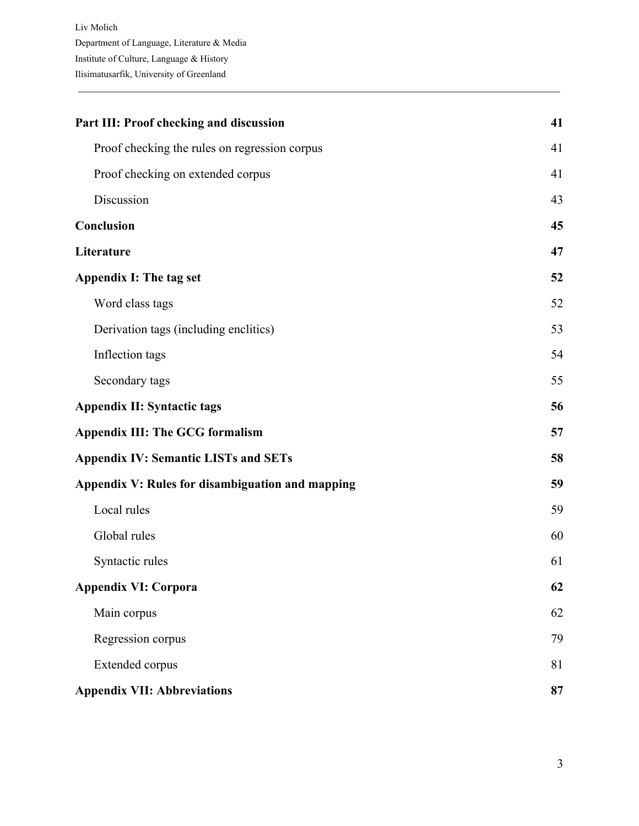| Part III: Proof checking and discussion          | 41 |
|--------------------------------------------------|----|
| Proof checking the rules on regression corpus    | 41 |
| Proof checking on extended corpus                | 41 |
| Discussion                                       | 43 |
| Conclusion                                       | 45 |
| Literature                                       | 47 |
| <b>Appendix I: The tag set</b>                   | 52 |
| Word class tags                                  | 52 |
| Derivation tags (including enclitics)            | 53 |
| Inflection tags                                  | 54 |
| Secondary tags                                   | 55 |
| <b>Appendix II: Syntactic tags</b>               | 56 |
| <b>Appendix III: The GCG formalism</b>           | 57 |
| <b>Appendix IV: Semantic LISTs and SETs</b>      | 58 |
| Appendix V: Rules for disambiguation and mapping | 59 |
| Local rules                                      | 59 |
| Global rules                                     | 60 |
| Syntactic rules                                  | 61 |
| <b>Appendix VI: Corpora</b>                      | 62 |
| Main corpus                                      | 62 |
| Regression corpus                                | 79 |
| Extended corpus                                  | 81 |
| <b>Appendix VII: Abbreviations</b>               | 87 |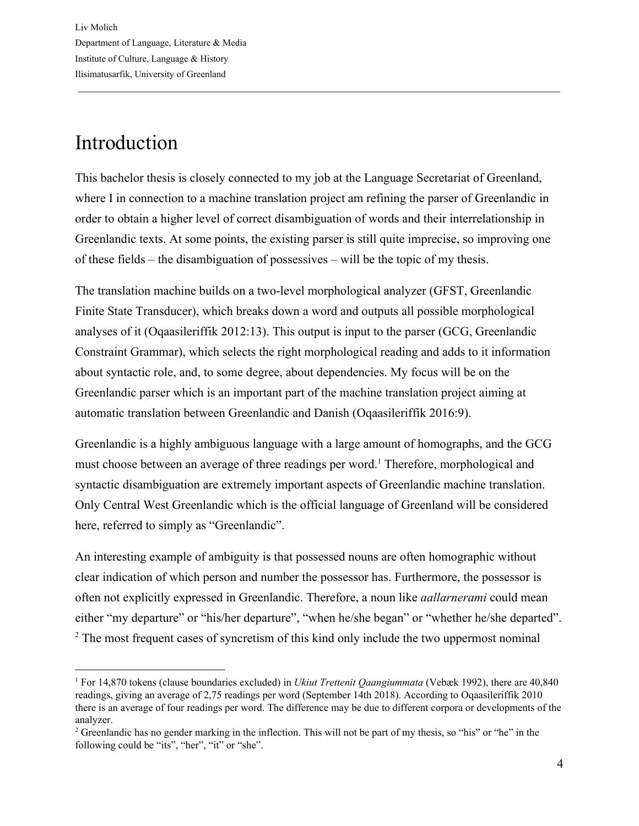## <span id="page-3-0"></span>Introduction

This bachelor thesis is closely connected to my job at the Language Secretariat of Greenland, where I in connection to a machine translation project am refining the parser of Greenlandic in order to obtain a higher level of correct disambiguation of words and their interrelationship in Greenlandic texts. At some points, the existing parser is still quite imprecise, so improving one of these fields – the disambiguation of possessives – will be the topic of my thesis.

The translation machine builds on a two-level morphological analyzer (GFST, Greenlandic Finite State Transducer), which breaks down a word and outputs all possible morphological analyses of it (Oqaasileriffik 2012:13). This output is input to the parser (GCG, Greenlandic Constraint Grammar), which selects the right morphological reading and adds to it information about syntactic role, and, to some degree, about dependencies. My focus will be on the Greenlandic parser which is an important part of the machine translation project aiming at automatic translation between Greenlandic and Danish (Oqaasileriffik 2016:9).

Greenlandic is a highly ambiguous language with a large amount of homographs, and the GCG must choose between an average of three readings per word.<sup>1</sup> Therefore, morphological and syntactic disambiguation are extremely important aspects of Greenlandic machine translation. Only Central West Greenlandic which is the official language of Greenland will be considered here, referred to simply as "Greenlandic".

An interesting example of ambiguity is that possessed nouns are often homographic without clear indication of which person and number the possessor has. Furthermore, the possessor is often not explicitly expressed in Greenlandic. Therefore, a noun like *aallarnerami* could mean either "my departure" or "his/her departure", "when he/she began" or "whether he/she departed". <sup>2</sup> The most frequent cases of syncretism of this kind only include the two uppermost nominal

<sup>1</sup> For 14,870 tokens (clause boundaries excluded) in *Ukiut Trettenit Qaangiummata* (Vebæk 1992), there are 40,840 readings, giving an average of 2,75 readings per word (September 14th 2018). According to Oqaasileriffik 2010 there is an average of four readings per word. The difference may be due to different corpora or developments of the analyzer.

<sup>&</sup>lt;sup>2</sup> Greenlandic has no gender marking in the inflection. This will not be part of my thesis, so "his" or "he" in the following could be "its", "her", "it" or "she".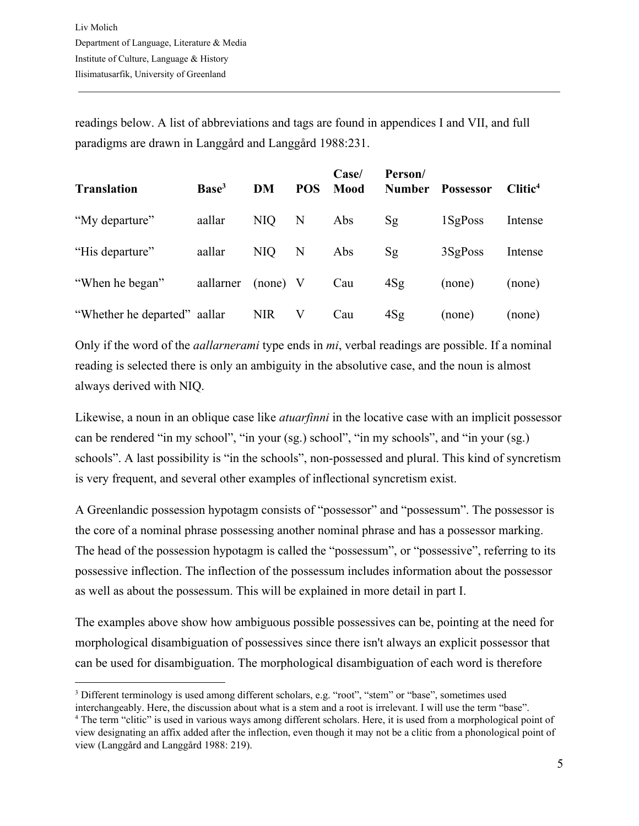readings below. A list of abbreviations and tags are found in appendices I and VII, and full paradigms are drawn in Langgård and Langgård 1988:231.

| <b>Translation</b>    | Base <sup>3</sup> | DM         | <b>POS</b> | Case/<br>Mood | Person/<br><b>Number</b> | <b>Possessor</b> | Clitic <sup>4</sup> |
|-----------------------|-------------------|------------|------------|---------------|--------------------------|------------------|---------------------|
| "My departure"        | aallar            | NIQ        | N          | Abs           | <sub>Sg</sub>            | 1SgPoss          | Intense             |
| "His departure"       | aallar            | NIQ        | N          | Abs           | <sub>Sg</sub>            | 3SgPoss          | Intense             |
| "When he began"       | aallarner         | $(none)$ V |            | Cau           | 4Sg                      | (none)           | (none)              |
| "Whether he departed" | aallar            | <b>NIR</b> | V          | Cau           | 4Sg                      | (none)           | (none)              |

Only if the word of the *aallarnerami* type ends in *mi*, verbal readings are possible. If a nominal reading is selected there is only an ambiguity in the absolutive case, and the noun is almost always derived with NIQ.

Likewise, a noun in an oblique case like *atuarfinni* in the locative case with an implicit possessor can be rendered "in my school", "in your (sg.) school", "in my schools", and "in your (sg.) schools". A last possibility is "in the schools", non-possessed and plural. This kind of syncretism is very frequent, and several other examples of inflectional syncretism exist.

A Greenlandic possession hypotagm consists of "possessor" and "possessum". The possessor is the core of a nominal phrase possessing another nominal phrase and has a possessor marking. The head of the possession hypotagm is called the "possessum", or "possessive", referring to its possessive inflection. The inflection of the possessum includes information about the possessor as well as about the possessum. This will be explained in more detail in part I.

The examples above show how ambiguous possible possessives can be, pointing at the need for morphological disambiguation of possessives since there isn't always an explicit possessor that can be used for disambiguation. The morphological disambiguation of each word is therefore

interchangeably. Here, the discussion about what is a stem and a root is irrelevant. I will use the term "base".

<sup>3</sup> Different terminology is used among different scholars, e.g. "root", "stem" or "base", sometimes used

<sup>4</sup> The term "clitic" is used in various ways among different scholars. Here, it is used from a morphological point of view designating an affix added after the inflection, even though it may not be a clitic from a phonological point of view (Langgård and Langgård 1988: 219).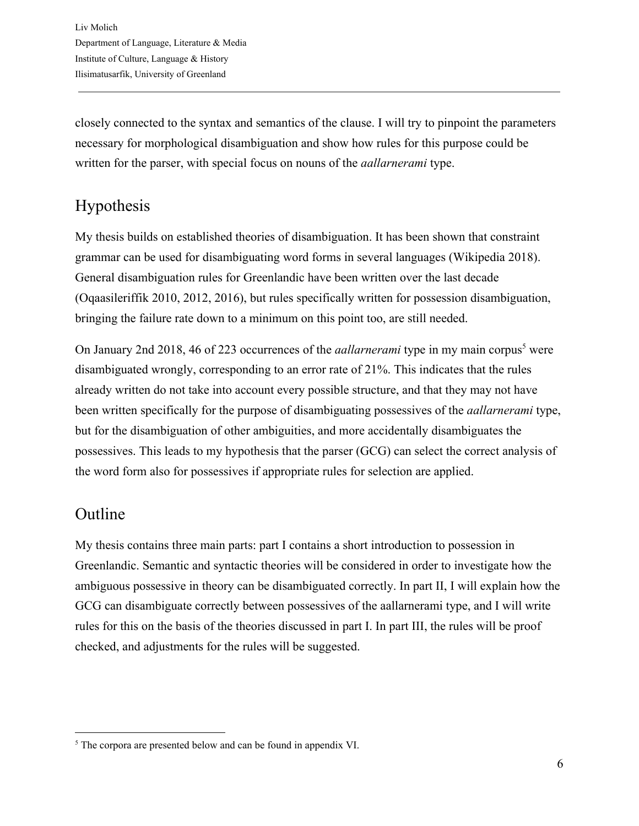closely connected to the syntax and semantics of the clause. I will try to pinpoint the parameters necessary for morphological disambiguation and show how rules for this purpose could be written for the parser, with special focus on nouns of the *aallarnerami* type.

## <span id="page-5-0"></span>Hypothesis

My thesis builds on established theories of disambiguation. It has been shown that constraint grammar can be used for disambiguating word forms in several languages (Wikipedia 2018). General disambiguation rules for Greenlandic have been written over the last decade (Oqaasileriffik 2010, 2012, 2016), but rules specifically written for possession disambiguation, bringing the failure rate down to a minimum on this point too, are still needed.

On January 2nd 2018, 46 of 223 occurrences of the *aallarnerami* type in my main corpus<sup>5</sup> were disambiguated wrongly, corresponding to an error rate of 21%. This indicates that the rules already written do not take into account every possible structure, and that they may not have been written specifically for the purpose of disambiguating possessives of the *aallarnerami* type, but for the disambiguation of other ambiguities, and more accidentally disambiguates the possessives. This leads to my hypothesis that the parser (GCG) can select the correct analysis of the word form also for possessives if appropriate rules for selection are applied.

## <span id="page-5-1"></span>Outline

My thesis contains three main parts: part I contains a short introduction to possession in Greenlandic. Semantic and syntactic theories will be considered in order to investigate how the ambiguous possessive in theory can be disambiguated correctly. In part II, I will explain how the GCG can disambiguate correctly between possessives of the aallarnerami type, and I will write rules for this on the basis of the theories discussed in part I. In part III, the rules will be proof checked, and adjustments for the rules will be suggested.

<sup>5</sup> The corpora are presented below and can be found in appendix VI.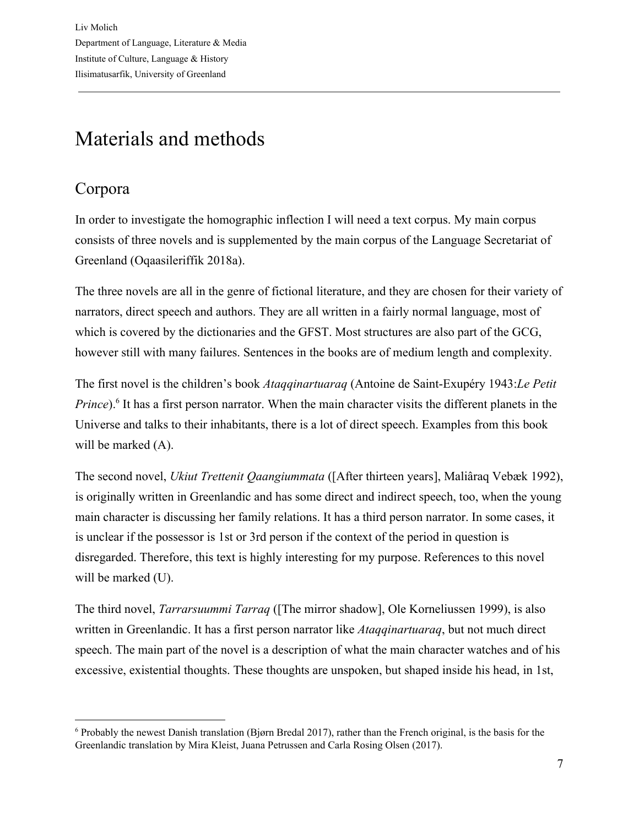# <span id="page-6-0"></span>Materials and methods

## <span id="page-6-1"></span>Corpora

In order to investigate the homographic inflection I will need a text corpus. My main corpus consists of three novels and is supplemented by the main corpus of the Language Secretariat of Greenland (Oqaasileriffik 2018a).

The three novels are all in the genre of fictional literature, and they are chosen for their variety of narrators, direct speech and authors. They are all written in a fairly normal language, most of which is covered by the dictionaries and the GFST. Most structures are also part of the GCG, however still with many failures. Sentences in the books are of medium length and complexity.

The first novel is the children's book *Ataqqinartuaraq* (Antoine de Saint-Exupéry 1943:*Le Petit Prince*).<sup>6</sup> It has a first person narrator. When the main character visits the different planets in the Universe and talks to their inhabitants, there is a lot of direct speech. Examples from this book will be marked  $(A)$ .

The second novel, *Ukiut Trettenit Qaangiummata* ([After thirteen years], Maliâraq Vebæk 1992), is originally written in Greenlandic and has some direct and indirect speech, too, when the young main character is discussing her family relations. It has a third person narrator. In some cases, it is unclear if the possessor is 1st or 3rd person if the context of the period in question is disregarded. Therefore, this text is highly interesting for my purpose. References to this novel will be marked (U).

The third novel, *Tarrarsuummi Tarraq* ([The mirror shadow], Ole Korneliussen 1999), is also written in Greenlandic. It has a first person narrator like *Ataqqinartuaraq*, but not much direct speech. The main part of the novel is a description of what the main character watches and of his excessive, existential thoughts. These thoughts are unspoken, but shaped inside his head, in 1st,

<sup>6</sup> Probably the newest Danish translation (Bjørn Bredal 2017), rather than the French original, is the basis for the Greenlandic translation by Mira Kleist, Juana Petrussen and Carla Rosing Olsen (2017).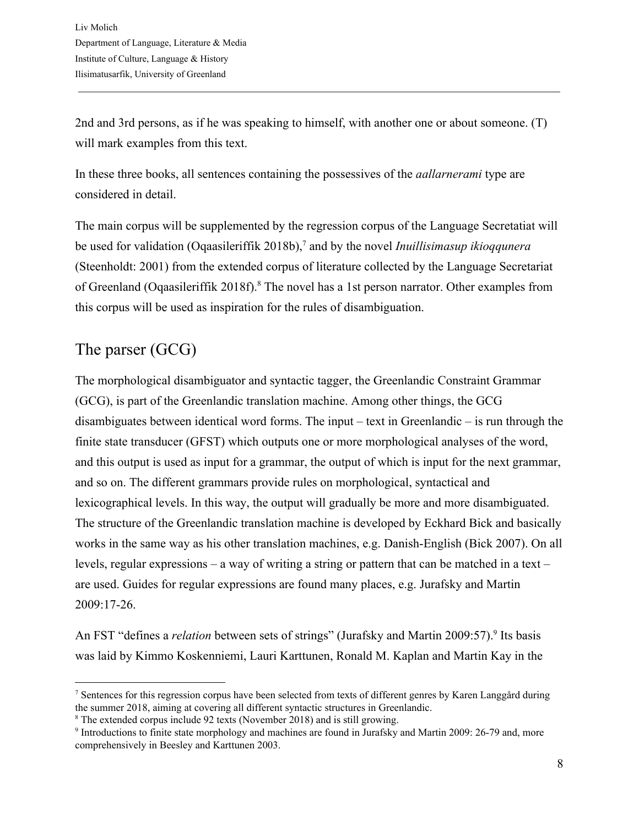2nd and 3rd persons, as if he was speaking to himself, with another one or about someone. (T) will mark examples from this text.

In these three books, all sentences containing the possessives of the *aallarnerami* type are considered in detail.

The main corpus will be supplemented by the regression corpus of the Language Secretatiat will be used for validation (Oqaasileriffik 2018b),<sup>7</sup> and by the novel *Inuillisimasup ikioqqunera* (Steenholdt: 2001) from the extended corpus of literature collected by the Language Secretariat of Greenland (Oqaasileriffik 2018f).<sup>8</sup> The novel has a 1st person narrator. Other examples from this corpus will be used as inspiration for the rules of disambiguation.

## <span id="page-7-0"></span>The parser (GCG)

The morphological disambiguator and syntactic tagger, the Greenlandic Constraint Grammar (GCG), is part of the Greenlandic translation machine. Among other things, the GCG disambiguates between identical word forms. The input – text in Greenlandic – is run through the finite state transducer (GFST) which outputs one or more morphological analyses of the word, and this output is used as input for a grammar, the output of which is input for the next grammar, and so on. The different grammars provide rules on morphological, syntactical and lexicographical levels. In this way, the output will gradually be more and more disambiguated. The structure of the Greenlandic translation machine is developed by Eckhard Bick and basically works in the same way as his other translation machines, e.g. Danish-English (Bick 2007). On all levels, regular expressions – a way of writing a string or pattern that can be matched in a text – are used. Guides for regular expressions are found many places, e.g. Jurafsky and Martin 2009:17-26.

An FST "defines a *relation* between sets of strings" (Jurafsky and Martin 2009:57).<sup>9</sup> Its basis was laid by Kimmo Koskenniemi, Lauri Karttunen, Ronald M. Kaplan and Martin Kay in the

<sup>7</sup> Sentences for this regression corpus have been selected from texts of different genres by Karen Langgård during the summer 2018, aiming at covering all different syntactic structures in Greenlandic.

<sup>8</sup> The extended corpus include 92 texts (November 2018) and is still growing.

<sup>9</sup> Introductions to finite state morphology and machines are found in Jurafsky and Martin 2009: 26-79 and, more comprehensively in Beesley and Karttunen 2003.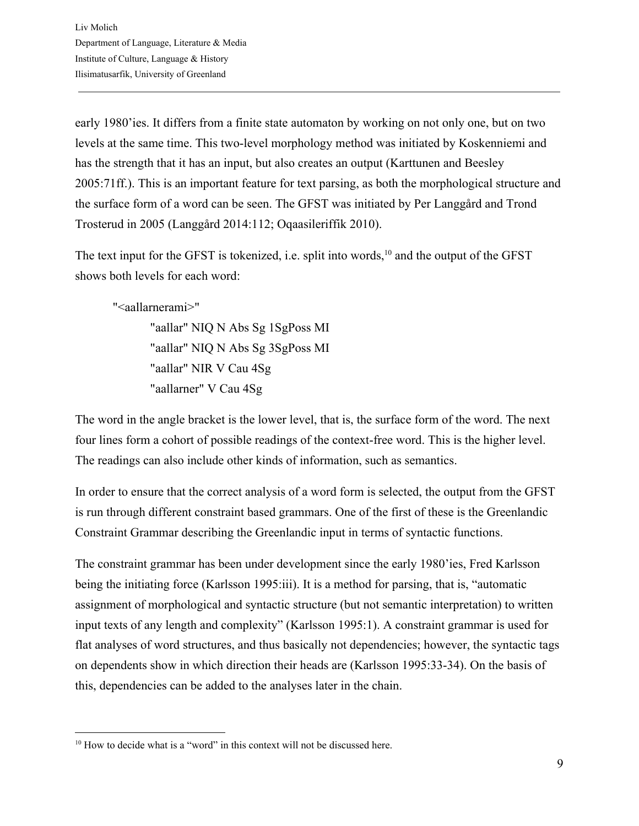early 1980'ies. It differs from a finite state automaton by working on not only one, but on two levels at the same time. This two-level morphology method was initiated by Koskenniemi and has the strength that it has an input, but also creates an output (Karttunen and Beesley 2005:71ff.). This is an important feature for text parsing, as both the morphological structure and the surface form of a word can be seen. The GFST was initiated by Per Langgård and Trond Trosterud in 2005 (Langgård 2014:112; Oqaasileriffik 2010).

The text input for the GFST is tokenized, i.e. split into words,  $10$  and the output of the GFST shows both levels for each word:

"<aallarnerami>"

"aallar" NIQ N Abs Sg 1SgPoss MI "aallar" NIQ N Abs Sg 3SgPoss MI "aallar" NIR V Cau 4Sg "aallarner" V Cau 4Sg

The word in the angle bracket is the lower level, that is, the surface form of the word. The next four lines form a cohort of possible readings of the context-free word. This is the higher level. The readings can also include other kinds of information, such as semantics.

In order to ensure that the correct analysis of a word form is selected, the output from the GFST is run through different constraint based grammars. One of the first of these is the Greenlandic Constraint Grammar describing the Greenlandic input in terms of syntactic functions.

The constraint grammar has been under development since the early 1980'ies, Fred Karlsson being the initiating force (Karlsson 1995:iii). It is a method for parsing, that is, "automatic assignment of morphological and syntactic structure (but not semantic interpretation) to written input texts of any length and complexity" (Karlsson 1995:1). A constraint grammar is used for flat analyses of word structures, and thus basically not dependencies; however, the syntactic tags on dependents show in which direction their heads are (Karlsson 1995:33-34). On the basis of this, dependencies can be added to the analyses later in the chain.

<sup>&</sup>lt;sup>10</sup> How to decide what is a "word" in this context will not be discussed here.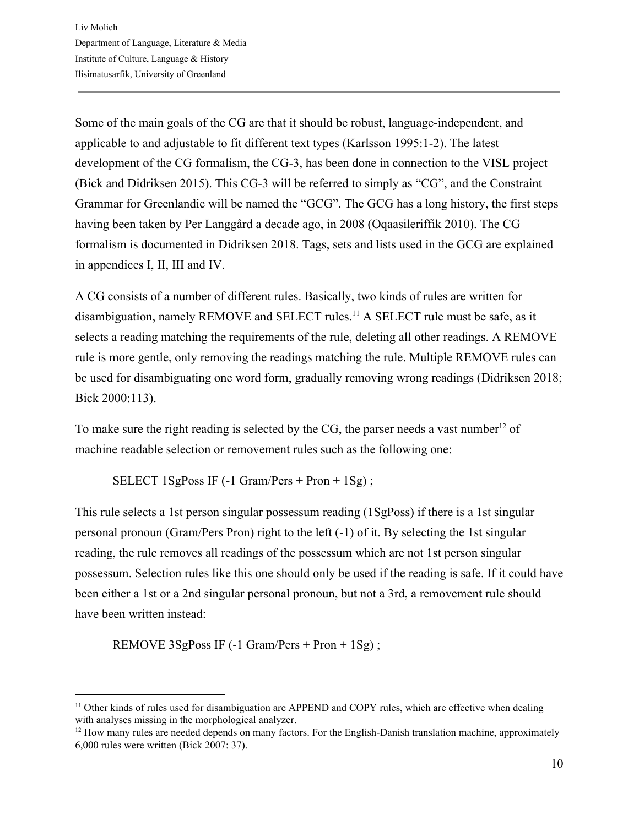Some of the main goals of the CG are that it should be robust, language-independent, and applicable to and adjustable to fit different text types (Karlsson 1995:1-2). The latest development of the CG formalism, the CG-3, has been done in connection to the VISL project (Bick and Didriksen 2015). This CG-3 will be referred to simply as "CG", and the Constraint Grammar for Greenlandic will be named the "GCG". The GCG has a long history, the first steps having been taken by Per Langgård a decade ago, in 2008 (Oqaasileriffik 2010). The CG formalism is documented in Didriksen 2018. Tags, sets and lists used in the GCG are explained in appendices I, II, III and IV.

A CG consists of a number of different rules. Basically, two kinds of rules are written for disambiguation, namely REMOVE and SELECT rules.<sup>11</sup> A SELECT rule must be safe, as it selects a reading matching the requirements of the rule, deleting all other readings. A REMOVE rule is more gentle, only removing the readings matching the rule. Multiple REMOVE rules can be used for disambiguating one word form, gradually removing wrong readings (Didriksen 2018; Bick 2000:113).

To make sure the right reading is selected by the CG, the parser needs a vast number  $12$  of machine readable selection or removement rules such as the following one:

SELECT 1SgPoss IF (-1 Gram/Pers + Pron + 1Sg) ;

This rule selects a 1st person singular possessum reading (1SgPoss) if there is a 1st singular personal pronoun (Gram/Pers Pron) right to the left (-1) of it. By selecting the 1st singular reading, the rule removes all readings of the possessum which are not 1st person singular possessum. Selection rules like this one should only be used if the reading is safe. If it could have been either a 1st or a 2nd singular personal pronoun, but not a 3rd, a removement rule should have been written instead:

REMOVE 3SgPoss IF (-1 Gram/Pers + Pron + 1Sg) ;

<sup>&</sup>lt;sup>11</sup> Other kinds of rules used for disambiguation are APPEND and COPY rules, which are effective when dealing with analyses missing in the morphological analyzer.

 $12$  How many rules are needed depends on many factors. For the English-Danish translation machine, approximately 6,000 rules were written (Bick 2007: 37).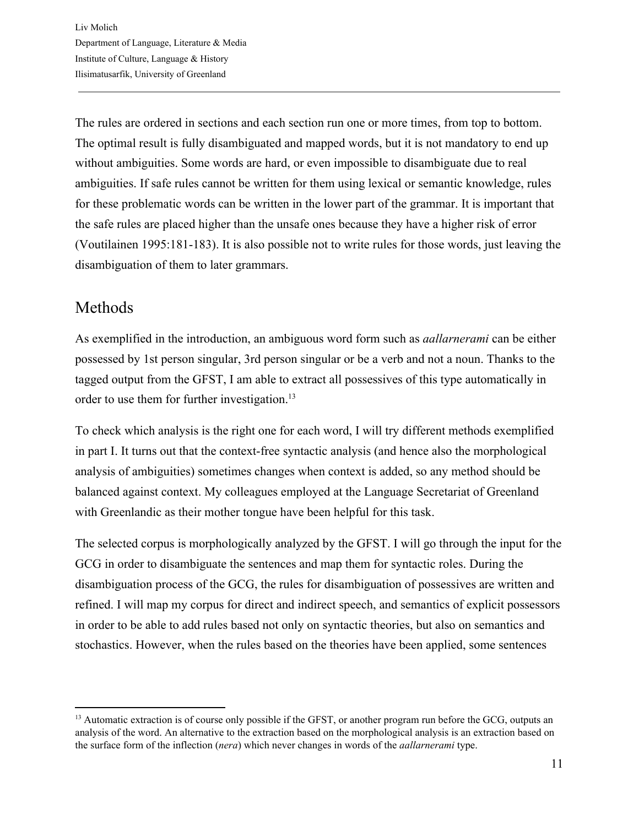The rules are ordered in sections and each section run one or more times, from top to bottom. The optimal result is fully disambiguated and mapped words, but it is not mandatory to end up without ambiguities. Some words are hard, or even impossible to disambiguate due to real ambiguities. If safe rules cannot be written for them using lexical or semantic knowledge, rules for these problematic words can be written in the lower part of the grammar. It is important that the safe rules are placed higher than the unsafe ones because they have a higher risk of error (Voutilainen 1995:181-183). It is also possible not to write rules for those words, just leaving the disambiguation of them to later grammars.

#### <span id="page-10-0"></span>Methods

As exemplified in the introduction, an ambiguous word form such as *aallarnerami* can be either possessed by 1st person singular, 3rd person singular or be a verb and not a noun. Thanks to the tagged output from the GFST, I am able to extract all possessives of this type automatically in order to use them for further investigation.<sup>13</sup>

To check which analysis is the right one for each word, I will try different methods exemplified in part I. It turns out that the context-free syntactic analysis (and hence also the morphological analysis of ambiguities) sometimes changes when context is added, so any method should be balanced against context. My colleagues employed at the Language Secretariat of Greenland with Greenlandic as their mother tongue have been helpful for this task.

The selected corpus is morphologically analyzed by the GFST. I will go through the input for the GCG in order to disambiguate the sentences and map them for syntactic roles. During the disambiguation process of the GCG, the rules for disambiguation of possessives are written and refined. I will map my corpus for direct and indirect speech, and semantics of explicit possessors in order to be able to add rules based not only on syntactic theories, but also on semantics and stochastics. However, when the rules based on the theories have been applied, some sentences

<sup>&</sup>lt;sup>13</sup> Automatic extraction is of course only possible if the GFST, or another program run before the GCG, outputs an analysis of the word. An alternative to the extraction based on the morphological analysis is an extraction based on the surface form of the inflection (*nera*) which never changes in words of the *aallarnerami* type.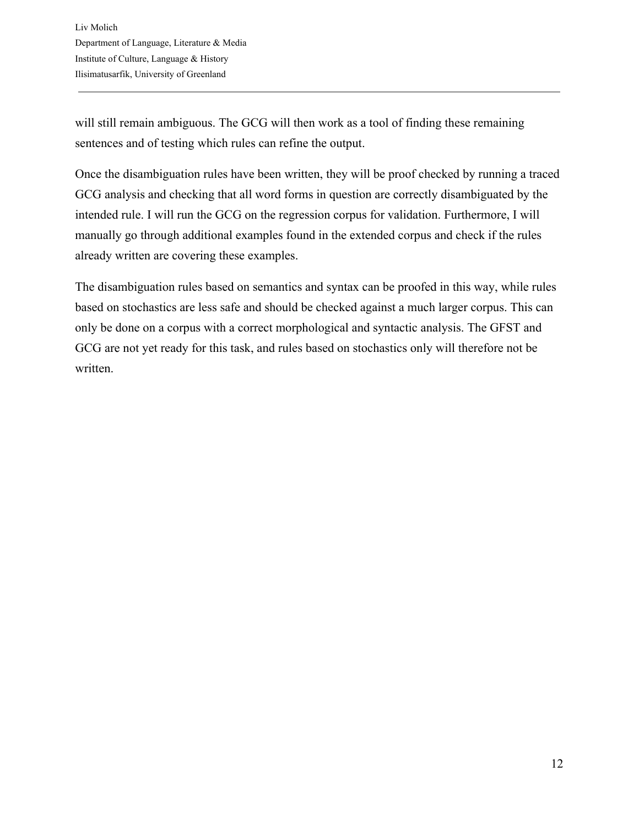will still remain ambiguous. The GCG will then work as a tool of finding these remaining sentences and of testing which rules can refine the output.

Once the disambiguation rules have been written, they will be proof checked by running a traced GCG analysis and checking that all word forms in question are correctly disambiguated by the intended rule. I will run the GCG on the regression corpus for validation. Furthermore, I will manually go through additional examples found in the extended corpus and check if the rules already written are covering these examples.

The disambiguation rules based on semantics and syntax can be proofed in this way, while rules based on stochastics are less safe and should be checked against a much larger corpus. This can only be done on a corpus with a correct morphological and syntactic analysis. The GFST and GCG are not yet ready for this task, and rules based on stochastics only will therefore not be written.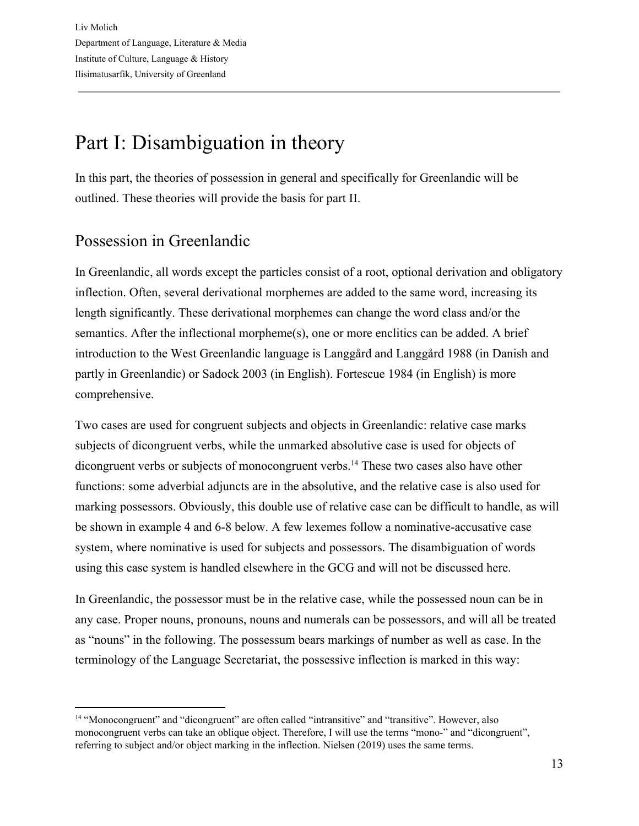# <span id="page-12-0"></span>Part I: Disambiguation in theory

In this part, the theories of possession in general and specifically for Greenlandic will be outlined. These theories will provide the basis for part II.

#### <span id="page-12-1"></span>Possession in Greenlandic

In Greenlandic, all words except the particles consist of a root, optional derivation and obligatory inflection. Often, several derivational morphemes are added to the same word, increasing its length significantly. These derivational morphemes can change the word class and/or the semantics. After the inflectional morpheme(s), one or more enclitics can be added. A brief introduction to the West Greenlandic language is Langgård and Langgård 1988 (in Danish and partly in Greenlandic) or Sadock 2003 (in English). Fortescue 1984 (in English) is more comprehensive.

Two cases are used for congruent subjects and objects in Greenlandic: relative case marks subjects of dicongruent verbs, while the unmarked absolutive case is used for objects of dicongruent verbs or subjects of monocongruent verbs.<sup>14</sup> These two cases also have other functions: some adverbial adjuncts are in the absolutive, and the relative case is also used for marking possessors. Obviously, this double use of relative case can be difficult to handle, as will be shown in example 4 and 6-8 below. A few lexemes follow a nominative-accusative case system, where nominative is used for subjects and possessors. The disambiguation of words using this case system is handled elsewhere in the GCG and will not be discussed here.

In Greenlandic, the possessor must be in the relative case, while the possessed noun can be in any case. Proper nouns, pronouns, nouns and numerals can be possessors, and will all be treated as "nouns" in the following. The possessum bears markings of number as well as case. In the terminology of the Language Secretariat, the possessive inflection is marked in this way:

<sup>14</sup> "Monocongruent" and "dicongruent" are often called "intransitive" and "transitive". However, also monocongruent verbs can take an oblique object. Therefore, I will use the terms "mono-" and "dicongruent", referring to subject and/or object marking in the inflection. Nielsen (2019) uses the same terms.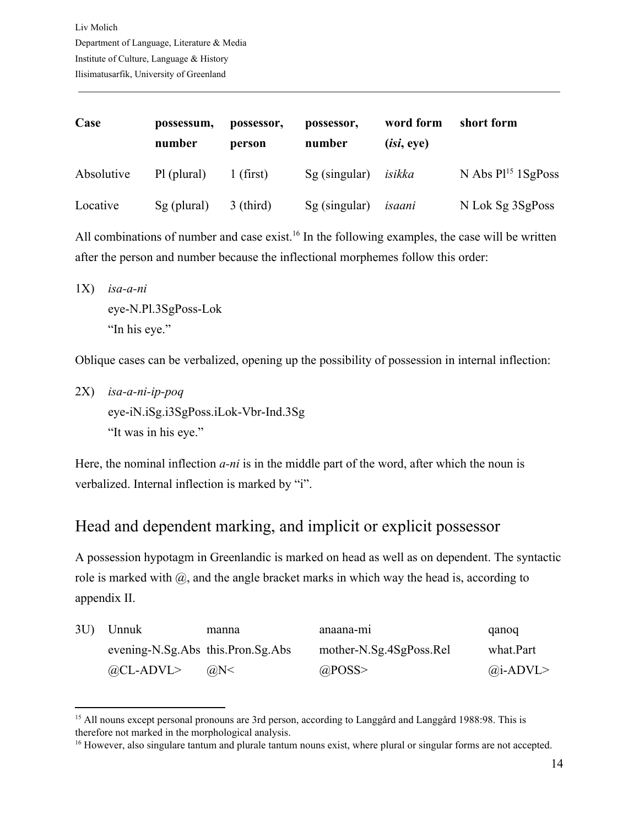| Case       | possessum,<br>number | possessor,<br>person | possessor,<br>number | word form<br>(isi, eye) | short form              |
|------------|----------------------|----------------------|----------------------|-------------------------|-------------------------|
| Absolutive | Pl (plural)          | $1$ (first)          | $Sg$ (singular)      | isikka                  | N Abs $P1^{15}$ 1SgPoss |
| Locative   | Sg (plural)          | $3$ (third)          | $Sg$ (singular)      | isaani                  | N Lok Sg 3SgPoss        |

All combinations of number and case exist.<sup>16</sup> In the following examples, the case will be written after the person and number because the inflectional morphemes follow this order:

1X) *isa-a-ni* eye-N.Pl.3SgPoss-Lok "In his eye."

Oblique cases can be verbalized, opening up the possibility of possession in internal inflection:

2X) *isa-a-ni-ip-poq* eye-iN.iSg.i3SgPoss.iLok-Vbr-Ind.3Sg "It was in his eye."

Here, the nominal inflection *a-ni* is in the middle part of the word, after which the noun is verbalized. Internal inflection is marked by "i".

#### <span id="page-13-0"></span>Head and dependent marking, and implicit or explicit possessor

A possession hypotagm in Greenlandic is marked on head as well as on dependent. The syntactic role is marked with  $\omega$ , and the angle bracket marks in which way the head is, according to appendix II.

| 3U | Unnuk                             | manna          | anaana-mi               | qanoq            |
|----|-----------------------------------|----------------|-------------------------|------------------|
|    | evening-N.Sg.Abs this.Pron.Sg.Abs |                | mother-N.Sg.4SgPoss.Rel | what.Part        |
|    | $@CL-ADVL>$                       | $(a)$ N $\leq$ | @POSS                   | $\omega$ i-ADVL> |

<sup>&</sup>lt;sup>15</sup> All nouns except personal pronouns are 3rd person, according to Langgård and Langgård 1988:98. This is therefore not marked in the morphological analysis.

<sup>&</sup>lt;sup>16</sup> However, also singulare tantum and plurale tantum nouns exist, where plural or singular forms are not accepted.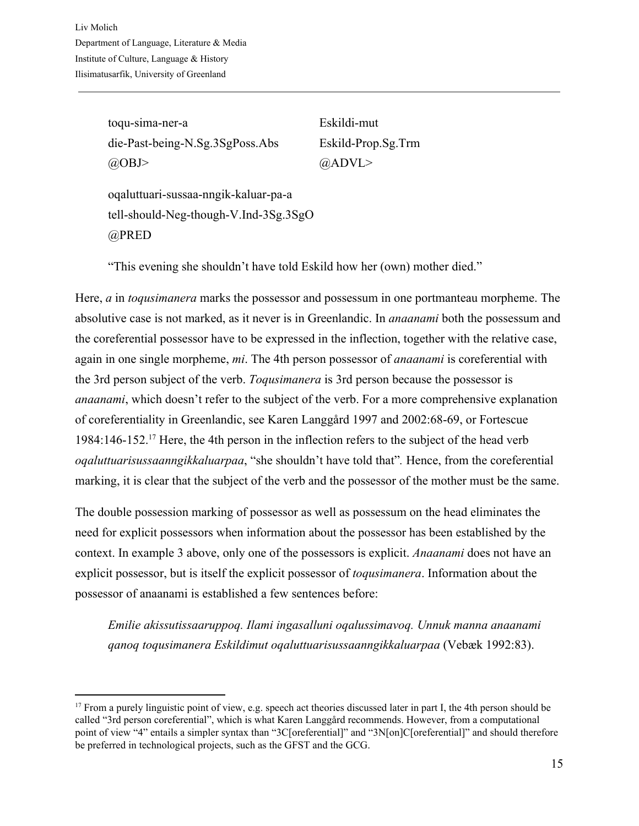toqu-sima-ner-a Eskildi-mut die-Past-being-N.Sg.3SgPoss.Abs Eskild-Prop.Sg.Trm  $(a)$ OBJ>  $(a)$ ADVL>

oqaluttuari-sussaa-nngik-kaluar-pa-a tell-should-Neg-though-V.Ind-3Sg.3SgO @PRED

"This evening she shouldn't have told Eskild how her (own) mother died."

Here, *a* in *toqusimanera* marks the possessor and possessum in one portmanteau morpheme. The absolutive case is not marked, as it never is in Greenlandic. In *anaanami* both the possessum and the coreferential possessor have to be expressed in the inflection, together with the relative case, again in one single morpheme, *mi*. The 4th person possessor of *anaanami* is coreferential with the 3rd person subject of the verb. *Toqusimanera* is 3rd person because the possessor is *anaanami*, which doesn't refer to the subject of the verb. For a more comprehensive explanation of coreferentiality in Greenlandic, see Karen Langgård 1997 and 2002:68-69, or Fortescue 1984:146-152.<sup>17</sup> Here, the 4th person in the inflection refers to the subject of the head verb *oqaluttuarisussaanngikkaluarpaa*, "she shouldn't have told that"*.* Hence, from the coreferential marking, it is clear that the subject of the verb and the possessor of the mother must be the same.

The double possession marking of possessor as well as possessum on the head eliminates the need for explicit possessors when information about the possessor has been established by the context. In example 3 above, only one of the possessors is explicit. *Anaanami* does not have an explicit possessor, but is itself the explicit possessor of *toqusimanera*. Information about the possessor of anaanami is established a few sentences before:

*Emilie akissutissaaruppoq. Ilami ingasalluni oqalussimavoq. Unnuk manna anaanami qanoq toqusimanera Eskildimut oqaluttuarisussaanngikkaluarpaa* (Vebæk 1992:83).

<sup>&</sup>lt;sup>17</sup> From a purely linguistic point of view, e.g. speech act theories discussed later in part I, the 4th person should be called "3rd person coreferential", which is what Karen Langgård recommends. However, from a computational point of view "4" entails a simpler syntax than "3C[oreferential]" and "3N[on]C[oreferential]" and should therefore be preferred in technological projects, such as the GFST and the GCG.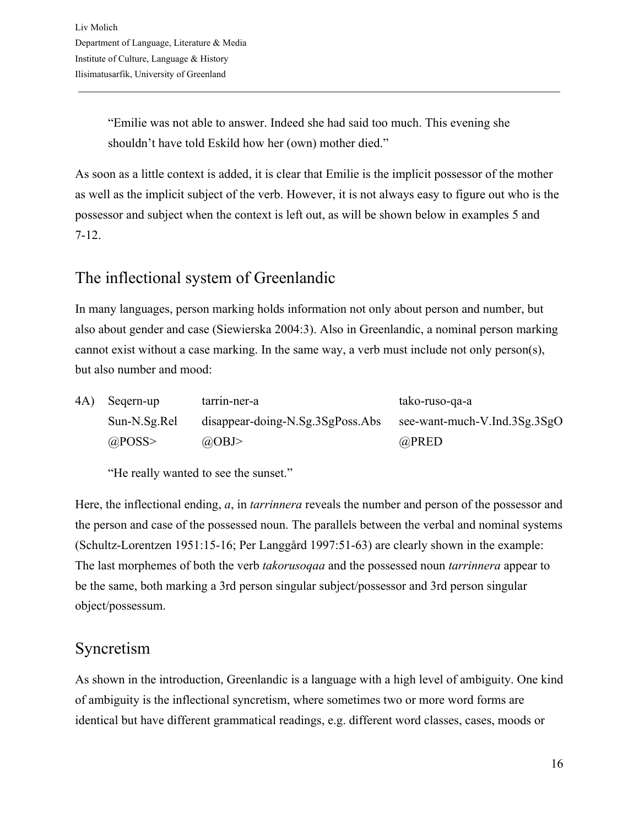"Emilie was not able to answer. Indeed she had said too much. This evening she shouldn't have told Eskild how her (own) mother died."

As soon as a little context is added, it is clear that Emilie is the implicit possessor of the mother as well as the implicit subject of the verb. However, it is not always easy to figure out who is the possessor and subject when the context is left out, as will be shown below in examples 5 and 7-12.

#### <span id="page-15-0"></span>The inflectional system of Greenlandic

In many languages, person marking holds information not only about person and number, but also about gender and case (Siewierska 2004:3). Also in Greenlandic, a nominal person marking cannot exist without a case marking. In the same way, a verb must include not only person(s), but also number and mood:

| 4A) | Segern-up    | tarrin-ner-a                               | tako-ruso-ga-a               |
|-----|--------------|--------------------------------------------|------------------------------|
|     | Sun-N.Sg.Rel | $disappear\text{-}doing-N.Sg.3SgPoss. Abs$ | see-want-much-V.Ind.3Sg.3SgO |
|     | @POSS        | $(a)$ OBJ>                                 | @PRED                        |

"He really wanted to see the sunset."

Here, the inflectional ending, *a*, in *tarrinnera* reveals the number and person of the possessor and the person and case of the possessed noun. The parallels between the verbal and nominal systems (Schultz-Lorentzen 1951:15-16; Per Langgård 1997:51-63) are clearly shown in the example: The last morphemes of both the verb *takorusoqaa* and the possessed noun *tarrinnera* appear to be the same, both marking a 3rd person singular subject/possessor and 3rd person singular object/possessum.

## <span id="page-15-1"></span>Syncretism

As shown in the introduction, Greenlandic is a language with a high level of ambiguity. One kind of ambiguity is the inflectional syncretism, where sometimes two or more word forms are identical but have different grammatical readings, e.g. different word classes, cases, moods or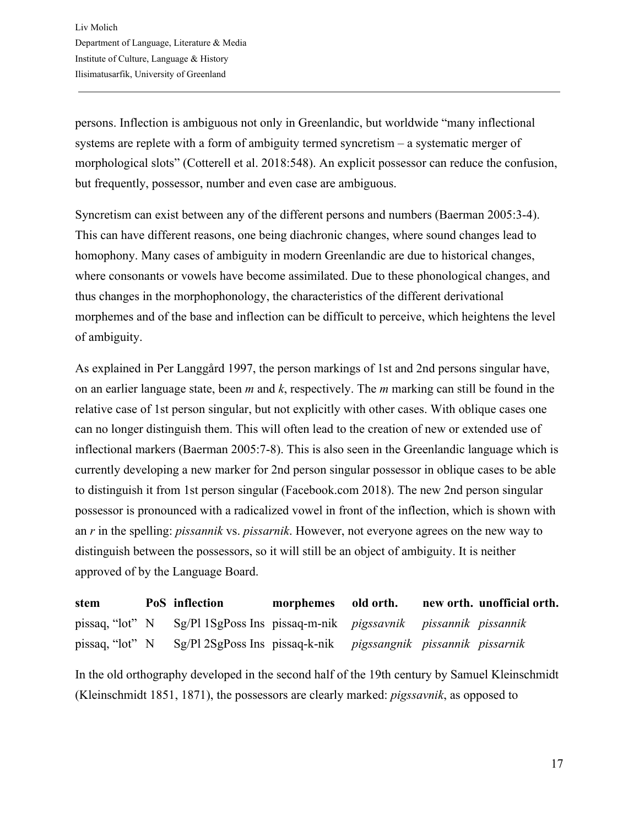persons. Inflection is ambiguous not only in Greenlandic, but worldwide "many inflectional systems are replete with a form of ambiguity termed syncretism – a systematic merger of morphological slots" (Cotterell et al. 2018:548). An explicit possessor can reduce the confusion, but frequently, possessor, number and even case are ambiguous.

Syncretism can exist between any of the different persons and numbers (Baerman 2005:3-4). This can have different reasons, one being diachronic changes, where sound changes lead to homophony. Many cases of ambiguity in modern Greenlandic are due to historical changes, where consonants or vowels have become assimilated. Due to these phonological changes, and thus changes in the morphophonology, the characteristics of the different derivational morphemes and of the base and inflection can be difficult to perceive, which heightens the level of ambiguity.

As explained in Per Langgård 1997, the person markings of 1st and 2nd persons singular have, on an earlier language state, been *m* and *k*, respectively. The *m* marking can still be found in the relative case of 1st person singular, but not explicitly with other cases. With oblique cases one can no longer distinguish them. This will often lead to the creation of new or extended use of inflectional markers (Baerman 2005:7-8). This is also seen in the Greenlandic language which is currently developing a new marker for 2nd person singular possessor in oblique cases to be able to distinguish it from 1st person singular (Facebook.com 2018). The new 2nd person singular possessor is pronounced with a radicalized vowel in front of the inflection, which is shown with an *r* in the spelling: *pissannik* vs. *pissarnik*. However, not everyone agrees on the new way to distinguish between the possessors, so it will still be an object of ambiguity. It is neither approved of by the Language Board.

| stem            | PoS inflection                                                       | morphemes old orth. |  | new orth. unofficial orth. |
|-----------------|----------------------------------------------------------------------|---------------------|--|----------------------------|
| pissaq, "lot" N | Sg/Pl 1SgPoss Ins pissaq-m-nik <i>pigssavnik pissannik pissannik</i> |                     |  |                            |
| pissaq, "lot" N | Sg/Pl 2SgPoss Ins pissaq-k-nik pigssangnik pissannik pissarnik       |                     |  |                            |

In the old orthography developed in the second half of the 19th century by Samuel Kleinschmidt (Kleinschmidt 1851, 1871), the possessors are clearly marked: *pigssavnik*, as opposed to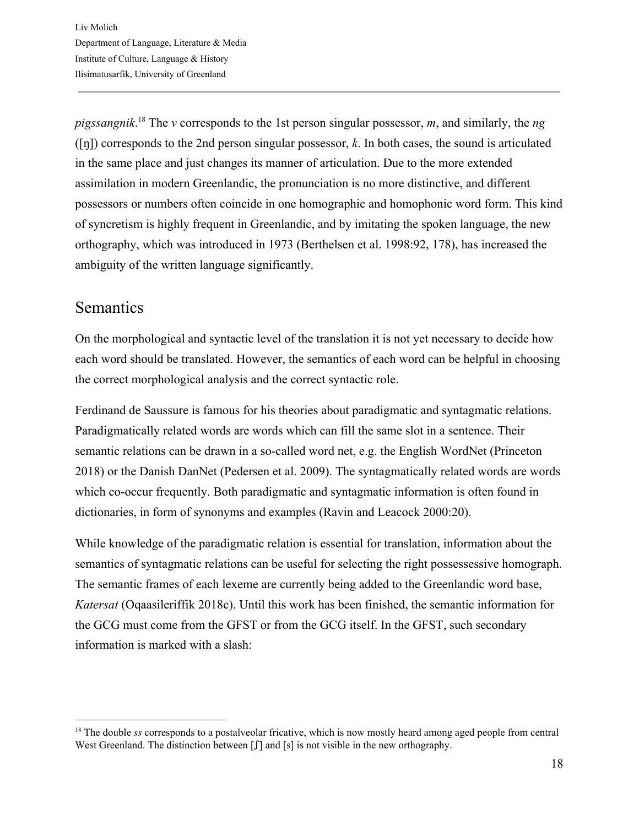*pigssangnik*.<sup>18</sup> The *v* corresponds to the 1st person singular possessor, *m*, and similarly, the *ng* ([ŋ]) corresponds to the 2nd person singular possessor, *k*. In both cases, the sound is articulated in the same place and just changes its manner of articulation. Due to the more extended assimilation in modern Greenlandic, the pronunciation is no more distinctive, and different possessors or numbers often coincide in one homographic and homophonic word form. This kind of syncretism is highly frequent in Greenlandic, and by imitating the spoken language, the new orthography, which was introduced in 1973 (Berthelsen et al. 1998:92, 178), has increased the ambiguity of the written language significantly.

#### <span id="page-17-0"></span>Semantics

On the morphological and syntactic level of the translation it is not yet necessary to decide how each word should be translated. However, the semantics of each word can be helpful in choosing the correct morphological analysis and the correct syntactic role.

Ferdinand de Saussure is famous for his theories about paradigmatic and syntagmatic relations. Paradigmatically related words are words which can fill the same slot in a sentence. Their semantic relations can be drawn in a so-called word net, e.g. the English WordNet (Princeton 2018) or the Danish DanNet (Pedersen et al. 2009). The syntagmatically related words are words which co-occur frequently. Both paradigmatic and syntagmatic information is often found in dictionaries, in form of synonyms and examples (Ravin and Leacock 2000:20).

While knowledge of the paradigmatic relation is essential for translation, information about the semantics of syntagmatic relations can be useful for selecting the right possessessive homograph. The semantic frames of each lexeme are currently being added to the Greenlandic word base, *Katersat* (Oqaasileriffik 2018c). Until this work has been finished, the semantic information for the GCG must come from the GFST or from the GCG itself. In the GFST, such secondary information is marked with a slash:

<sup>&</sup>lt;sup>18</sup> The double *ss* corresponds to a postalveolar fricative, which is now mostly heard among aged people from central West Greenland. The distinction between [ $\int$ ] and [s] is not visible in the new orthography.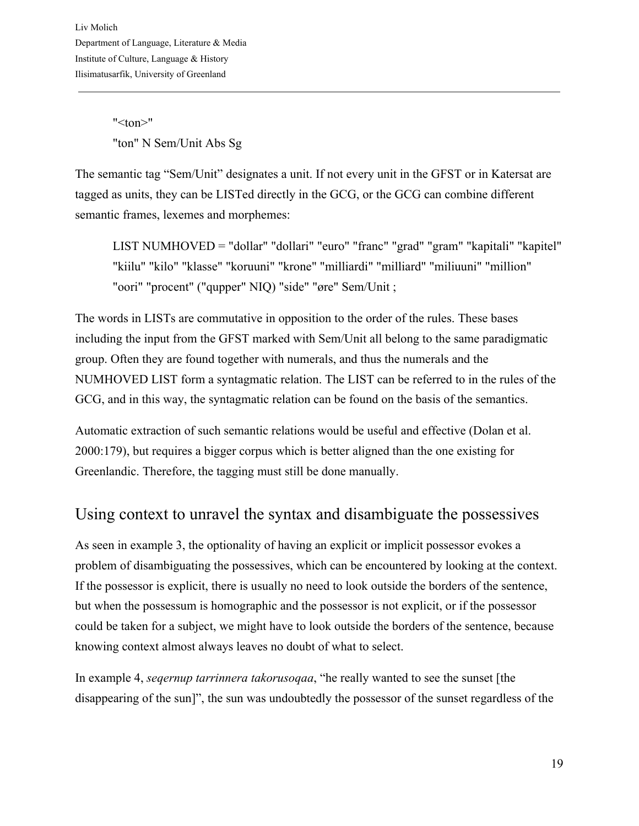$"$  <ton $>$ " "ton" N Sem/Unit Abs Sg

The semantic tag "Sem/Unit" designates a unit. If not every unit in the GFST or in Katersat are tagged as units, they can be LISTed directly in the GCG, or the GCG can combine different semantic frames, lexemes and morphemes:

LIST NUMHOVED = "dollar" "dollari" "euro" "franc" "grad" "gram" "kapitali" "kapitel" "kiilu" "kilo" "klasse" "koruuni" "krone" "milliardi" "milliard" "miliuuni" "million" "oori" "procent" ("qupper" NIQ) "side" "øre" Sem/Unit ;

The words in LISTs are commutative in opposition to the order of the rules. These bases including the input from the GFST marked with Sem/Unit all belong to the same paradigmatic group. Often they are found together with numerals, and thus the numerals and the NUMHOVED LIST form a syntagmatic relation. The LIST can be referred to in the rules of the GCG, and in this way, the syntagmatic relation can be found on the basis of the semantics.

Automatic extraction of such semantic relations would be useful and effective (Dolan et al. 2000:179), but requires a bigger corpus which is better aligned than the one existing for Greenlandic. Therefore, the tagging must still be done manually.

#### <span id="page-18-0"></span>Using context to unravel the syntax and disambiguate the possessives

As seen in example 3, the optionality of having an explicit or implicit possessor evokes a problem of disambiguating the possessives, which can be encountered by looking at the context. If the possessor is explicit, there is usually no need to look outside the borders of the sentence, but when the possessum is homographic and the possessor is not explicit, or if the possessor could be taken for a subject, we might have to look outside the borders of the sentence, because knowing context almost always leaves no doubt of what to select.

In example 4, *seqernup tarrinnera takorusoqaa*, "he really wanted to see the sunset [the disappearing of the sun]", the sun was undoubtedly the possessor of the sunset regardless of the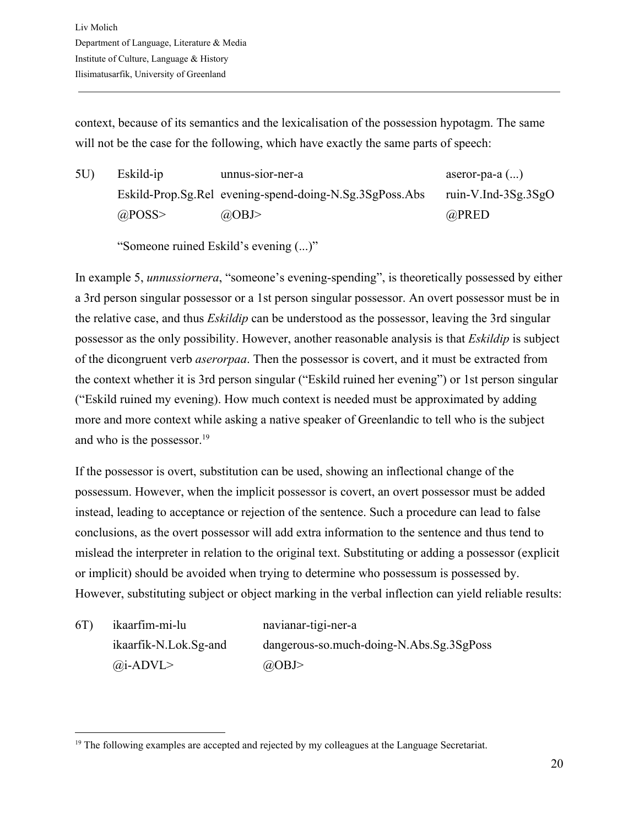context, because of its semantics and the lexicalisation of the possession hypotagm. The same will not be the case for the following, which have exactly the same parts of speech:

5U) Eskild-ip unnus-sior-ner-a aseror-pa-a (...) Eskild-Prop.Sg.Rel evening-spend-doing-N.Sg.3SgPoss.Abs ruin-V.Ind-3Sg.3SgO  $@$ POSS>  $@$ OBJ>  $@$ PRED

"Someone ruined Eskild's evening (...)"

In example 5, *unnussiornera*, "someone's evening-spending", is theoretically possessed by either a 3rd person singular possessor or a 1st person singular possessor. An overt possessor must be in the relative case, and thus *Eskildip* can be understood as the possessor, leaving the 3rd singular possessor as the only possibility. However, another reasonable analysis is that *Eskildip* is subject of the dicongruent verb *aserorpaa*. Then the possessor is covert, and it must be extracted from the context whether it is 3rd person singular ("Eskild ruined her evening") or 1st person singular ("Eskild ruined my evening). How much context is needed must be approximated by adding more and more context while asking a native speaker of Greenlandic to tell who is the subject and who is the possessor. $19$ 

If the possessor is overt, substitution can be used, showing an inflectional change of the possessum. However, when the implicit possessor is covert, an overt possessor must be added instead, leading to acceptance or rejection of the sentence. Such a procedure can lead to false conclusions, as the overt possessor will add extra information to the sentence and thus tend to mislead the interpreter in relation to the original text. Substituting or adding a possessor (explicit or implicit) should be avoided when trying to determine who possessum is possessed by. However, substituting subject or object marking in the verbal inflection can yield reliable results:

6T) ikaarfim-mi-lu navianar-tigi-ner-a  $\omega$ i-ADVL>  $\omega$ 

ikaarfik-N.Lok.Sg-and dangerous-so.much-doing-N.Abs.Sg.3SgPoss

<sup>&</sup>lt;sup>19</sup> The following examples are accepted and rejected by my colleagues at the Language Secretariat.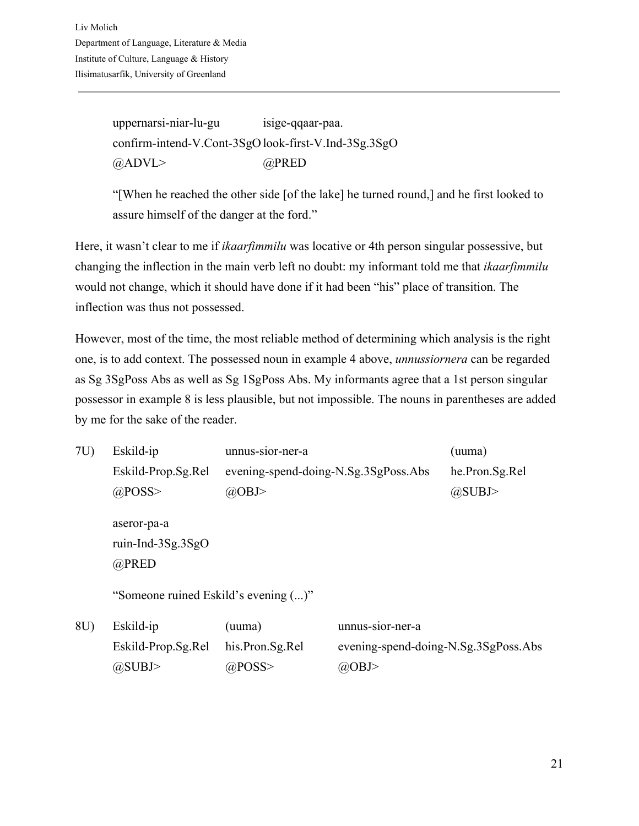uppernarsi-niar-lu-gu isige-qqaar-paa. confirm-intend-V.Cont-3SgO look-first-V.Ind-3Sg.3SgO @ADVL> @PRED

"[When he reached the other side [of the lake] he turned round,] and he first looked to assure himself of the danger at the ford."

Here, it wasn't clear to me if *ikaarfimmilu* was locative or 4th person singular possessive, but changing the inflection in the main verb left no doubt: my informant told me that *ikaarfimmilu* would not change, which it should have done if it had been "his" place of transition. The inflection was thus not possessed.

However, most of the time, the most reliable method of determining which analysis is the right one, is to add context. The possessed noun in example 4 above, *unnussiornera* can be regarded as Sg 3SgPoss Abs as well as Sg 1SgPoss Abs. My informants agree that a 1st person singular possessor in example 8 is less plausible, but not impossible. The nouns in parentheses are added by me for the sake of the reader.

| 7U | Eskild-ip                            | unnus-sior-ner-a                     |                                      | (uuma)         |  |  |  |
|----|--------------------------------------|--------------------------------------|--------------------------------------|----------------|--|--|--|
|    | Eskild-Prop.Sg.Rel                   | evening-spend-doing-N.Sg.3SgPoss.Abs |                                      | he.Pron.Sg.Rel |  |  |  |
|    | $@$ POSS>                            | $a$ OBJ>                             |                                      | @SUBJ>         |  |  |  |
|    | aseror-pa-a<br>ruin-Ind- $3Sg.3SgO$  |                                      |                                      |                |  |  |  |
|    | @PRED                                |                                      |                                      |                |  |  |  |
|    | "Someone ruined Eskild's evening ()" |                                      |                                      |                |  |  |  |
| 8U | Eskild-ip                            | (uuma)                               | unnus-sior-ner-a                     |                |  |  |  |
|    | Eskild-Prop.Sg.Rel                   | his.Pron.Sg.Rel                      | evening-spend-doing-N.Sg.3SgPoss.Abs |                |  |  |  |
|    | @SUBJ>                               | $@$ POSS>                            | $(a)$ OBJ>                           |                |  |  |  |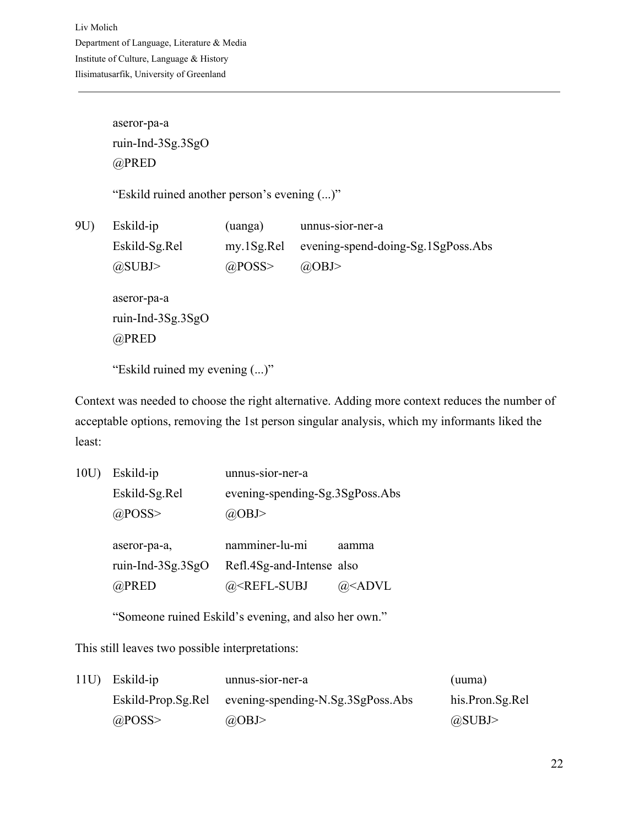Liv Molich Department of Language, Literature & Media Institute of Culture, Language & History Ilisimatusarfik, University of Greenland

> aseror-pa-a ruin-Ind-3Sg.3SgO @PRED

"Eskild ruined another person's evening (...)"

9U) Eskild-ip (uanga) unnus-sior-ner-a Eskild-Sg.Rel my.1Sg.Rel evening-spend-doing-Sg.1SgPoss.Abs  $@SUBJ>$   $@POSS>$   $@OBJ>$ aseror-pa-a ruin-Ind-3Sg.3SgO @PRED

"Eskild ruined my evening (...)"

Context was needed to choose the right alternative. Adding more context reduces the number of acceptable options, removing the 1st person singular analysis, which my informants liked the least:

| 10U) | Eskild-ip            | unnus-sior-ner-a                |       |
|------|----------------------|---------------------------------|-------|
|      | Eskild-Sg.Rel        | evening-spending-Sg.3SgPoss.Abs |       |
|      | $@$ POSS>            | @OBJ>                           |       |
|      |                      |                                 |       |
|      |                      |                                 |       |
|      | aseror-pa-a,         | namminer-lu-mi                  | aamma |
|      | ruin-Ind- $3Sg.3SgO$ | Refl.4Sg-and-Intense also       |       |

"Someone ruined Eskild's evening, and also her own."

This still leaves two possible interpretations:

| 11U) Eskild-ip | unnus-sior-ner-a                                     | (uuma)          |
|----------------|------------------------------------------------------|-----------------|
|                | Eskild-Prop.Sg.Rel evening-spending-N.Sg.3SgPoss.Abs | his.Pron.Sg.Rel |
| $@$ POSS>      | $\omega$ OBJ>                                        | @SUBJ>          |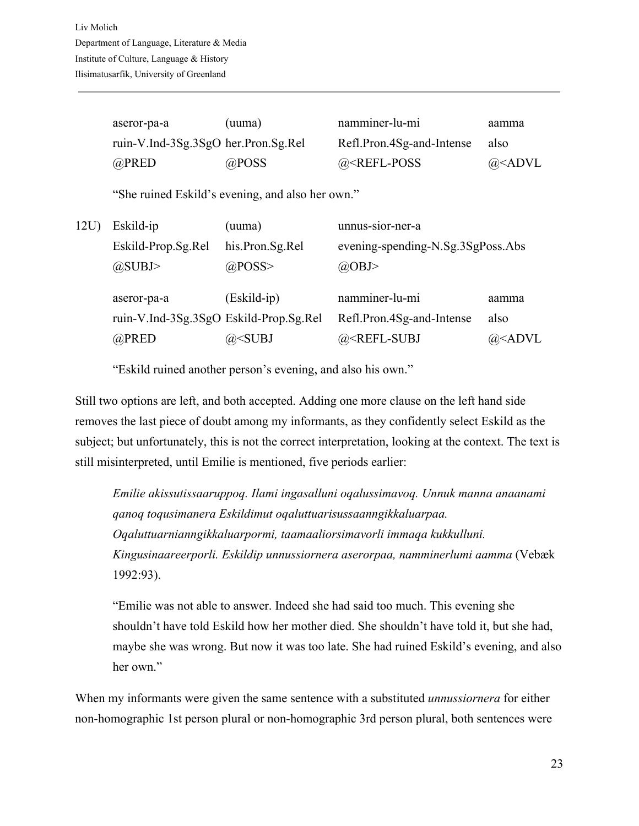| aseror-pa-a                         | (uuma) | namminer-lu-mi            | aamma               |
|-------------------------------------|--------|---------------------------|---------------------|
| ruin-V.Ind-3Sg.3SgO her.Pron.Sg.Rel |        | Refl.Pron.4Sg-and-Intense | also                |
| @PRED                               | @POSS  | $@REFL-POS$               | @ <sub>5</sub> ADVL |

"She ruined Eskild's evening, and also her own."

| 12U | Eskild-ip                              | (uuma)                                                                                          | unnus-sior-ner-a                                                 |                         |
|-----|----------------------------------------|-------------------------------------------------------------------------------------------------|------------------------------------------------------------------|-------------------------|
|     | Eskild-Prop.Sg.Rel                     | his.Pron.Sg.Rel                                                                                 | evening-spending-N.Sg.3SgPoss.Abs                                |                         |
|     | $(a)$ SUBJ>                            | $@$ POSS>                                                                                       | @OBJ>                                                            |                         |
|     | aseror-pa-a                            | $(Eskild-ip)$                                                                                   | namminer-lu-mi                                                   | aamma                   |
|     | ruin-V.Ind-3Sg.3SgO Eskild-Prop.Sg.Rel |                                                                                                 | Refl.Pron.4Sg-and-Intense                                        | also                    |
|     | @PRED                                  | @ <subj< td=""><td>@<refl-subj< td=""><td>@<advl< td=""></advl<></td></refl-subj<></td></subj<> | @ <refl-subj< td=""><td>@<advl< td=""></advl<></td></refl-subj<> | @ <advl< td=""></advl<> |

"Eskild ruined another person's evening, and also his own."

Still two options are left, and both accepted. Adding one more clause on the left hand side removes the last piece of doubt among my informants, as they confidently select Eskild as the subject; but unfortunately, this is not the correct interpretation, looking at the context. The text is still misinterpreted, until Emilie is mentioned, five periods earlier:

*Emilie akissutissaaruppoq. Ilami ingasalluni oqalussimavoq. Unnuk manna anaanami qanoq toqusimanera Eskildimut oqaluttuarisussaanngikkaluarpaa. Oqaluttuarnianngikkaluarpormi, taamaaliorsimavorli immaqa kukkulluni. Kingusinaareerporli. Eskildip unnussiornera aserorpaa, namminerlumi aamma* (Vebæk 1992:93).

"Emilie was not able to answer. Indeed she had said too much. This evening she shouldn't have told Eskild how her mother died. She shouldn't have told it, but she had, maybe she was wrong. But now it was too late. She had ruined Eskild's evening, and also her own."

When my informants were given the same sentence with a substituted *unnussiornera* for either non-homographic 1st person plural or non-homographic 3rd person plural, both sentences were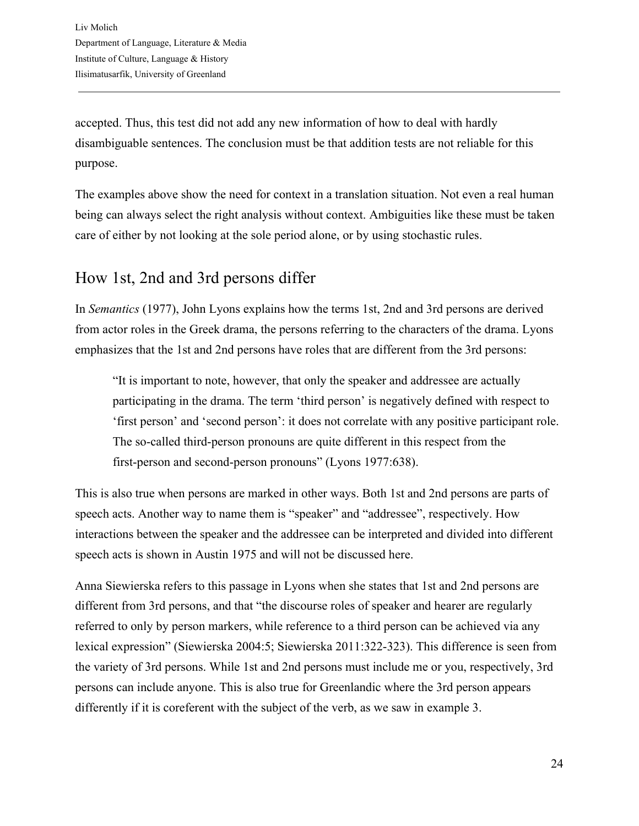accepted. Thus, this test did not add any new information of how to deal with hardly disambiguable sentences. The conclusion must be that addition tests are not reliable for this purpose.

The examples above show the need for context in a translation situation. Not even a real human being can always select the right analysis without context. Ambiguities like these must be taken care of either by not looking at the sole period alone, or by using stochastic rules.

#### <span id="page-23-0"></span>How 1st, 2nd and 3rd persons differ

In *Semantics* (1977), John Lyons explains how the terms 1st, 2nd and 3rd persons are derived from actor roles in the Greek drama, the persons referring to the characters of the drama. Lyons emphasizes that the 1st and 2nd persons have roles that are different from the 3rd persons:

"It is important to note, however, that only the speaker and addressee are actually participating in the drama. The term 'third person' is negatively defined with respect to 'first person' and 'second person': it does not correlate with any positive participant role. The so-called third-person pronouns are quite different in this respect from the first-person and second-person pronouns" (Lyons 1977:638).

This is also true when persons are marked in other ways. Both 1st and 2nd persons are parts of speech acts. Another way to name them is "speaker" and "addressee", respectively. How interactions between the speaker and the addressee can be interpreted and divided into different speech acts is shown in Austin 1975 and will not be discussed here.

Anna Siewierska refers to this passage in Lyons when she states that 1st and 2nd persons are different from 3rd persons, and that "the discourse roles of speaker and hearer are regularly referred to only by person markers, while reference to a third person can be achieved via any lexical expression" (Siewierska 2004:5; Siewierska 2011:322-323). This difference is seen from the variety of 3rd persons. While 1st and 2nd persons must include me or you, respectively, 3rd persons can include anyone. This is also true for Greenlandic where the 3rd person appears differently if it is coreferent with the subject of the verb, as we saw in example 3.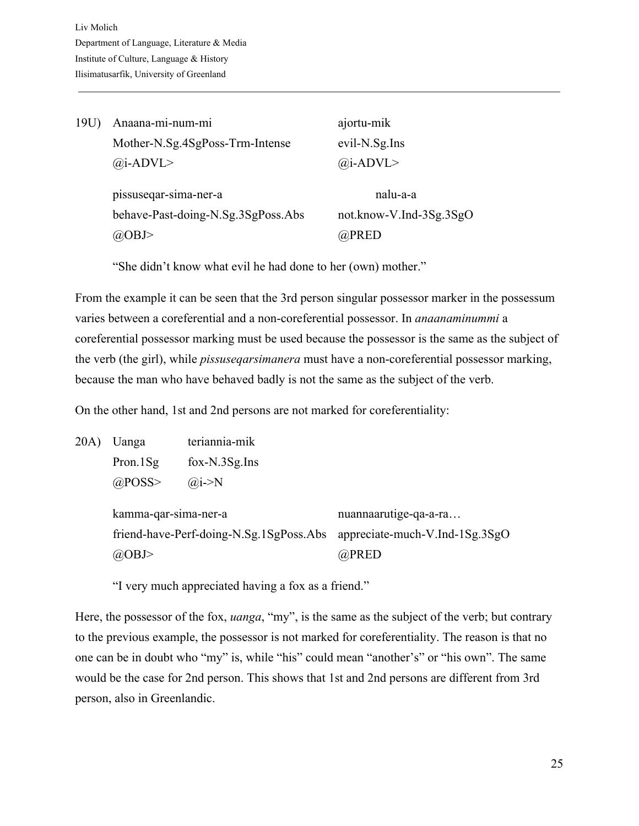| 19U | Anaana-mi-num-mi                                                          | ajortu-mik                                   |
|-----|---------------------------------------------------------------------------|----------------------------------------------|
|     | Mother-N.Sg.4SgPoss-Trm-Intense                                           | evil-N.Sg.Ins                                |
|     | $(a)$ i-ADVL>                                                             | $(a)$ i-ADVL>                                |
|     | pissuseqar-sima-ner-a<br>behave-Past-doing-N.Sg.3SgPoss.Abs<br>$(a)$ OBJ> | nalu-a-a<br>not.know-V.Ind-3Sg.3SgO<br>@PRED |

"She didn't know what evil he had done to her (own) mother."

From the example it can be seen that the 3rd person singular possessor marker in the possessum varies between a coreferential and a non-coreferential possessor. In *anaanaminummi* a coreferential possessor marking must be used because the possessor is the same as the subject of the verb (the girl), while *pissuseqarsimanera* must have a non-coreferential possessor marking, because the man who have behaved badly is not the same as the subject of the verb.

On the other hand, 1st and 2nd persons are not marked for coreferentiality:

20A) Uanga teriannia-mik Pron.1Sg fox-N.3Sg.Ins  $@$ POSS>  $@$ <sub>i</sub>->N

> kamma-qar-sima-ner-a nuannaarutige-qa-a-ra… friend-have-Perf-doing-N.Sg.1SgPoss.Abs appreciate-much-V.Ind-1Sg.3SgO @OBJ> @PRED

"I very much appreciated having a fox as a friend."

Here, the possessor of the fox, *uanga*, "my", is the same as the subject of the verb; but contrary to the previous example, the possessor is not marked for coreferentiality. The reason is that no one can be in doubt who "my" is, while "his" could mean "another's" or "his own". The same would be the case for 2nd person. This shows that 1st and 2nd persons are different from 3rd person, also in Greenlandic.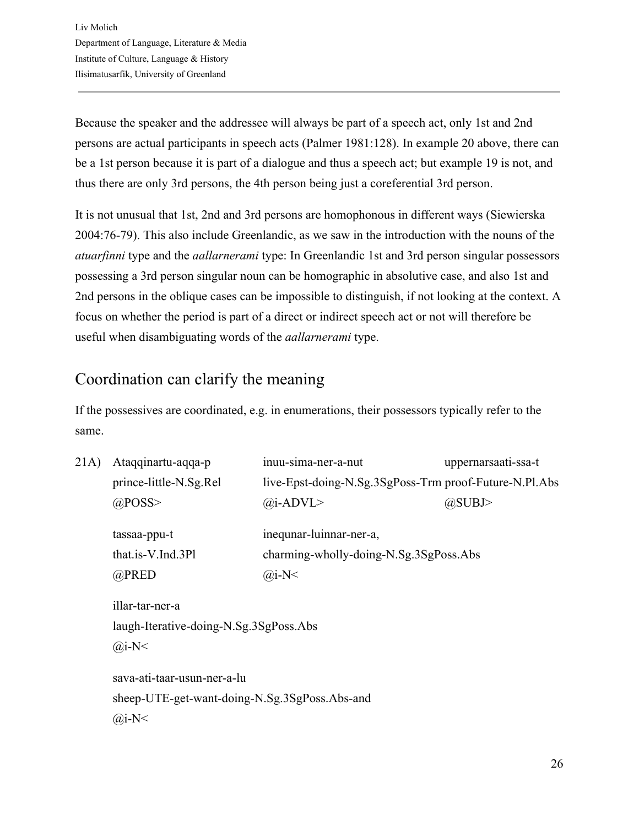Because the speaker and the addressee will always be part of a speech act, only 1st and 2nd persons are actual participants in speech acts (Palmer 1981:128). In example 20 above, there can be a 1st person because it is part of a dialogue and thus a speech act; but example 19 is not, and thus there are only 3rd persons, the 4th person being just a coreferential 3rd person.

It is not unusual that 1st, 2nd and 3rd persons are homophonous in different ways (Siewierska 2004:76-79). This also include Greenlandic, as we saw in the introduction with the nouns of the *atuarfinni* type and the *aallarnerami* type: In Greenlandic 1st and 3rd person singular possessors possessing a 3rd person singular noun can be homographic in absolutive case, and also 1st and 2nd persons in the oblique cases can be impossible to distinguish, if not looking at the context. A focus on whether the period is part of a direct or indirect speech act or not will therefore be useful when disambiguating words of the *aallarnerami* type.

## <span id="page-25-0"></span>Coordination can clarify the meaning

If the possessives are coordinated, e.g. in enumerations, their possessors typically refer to the same.

| Ataqqinartu-aqqa-p<br>prince-little-N.Sg.Rel | inuu-sima-ner-a-nut<br>live-Epst-doing-N.Sg.3SgPoss-Trm proof-Future-N.Pl.Abs | uppernarsaati-ssa-t                           |
|----------------------------------------------|-------------------------------------------------------------------------------|-----------------------------------------------|
| $@$ POSS>                                    | $(a)$ i-ADVL>                                                                 | @SUBJ>                                        |
| tassaa-ppu-t                                 | inequnar-luinnar-ner-a,                                                       |                                               |
| that.is-V.Ind.3Pl                            | charming-wholly-doing-N.Sg.3SgPoss.Abs                                        |                                               |
| $@$ PRED                                     | $(a)$ i-N<                                                                    |                                               |
| illar-tar-ner-a                              |                                                                               |                                               |
| laugh-Iterative-doing-N.Sg.3SgPoss.Abs       |                                                                               |                                               |
| $(a)$ i-N<                                   |                                                                               |                                               |
| sava-ati-taar-usun-ner-a-lu                  |                                                                               |                                               |
|                                              |                                                                               |                                               |
| $(a)$ i-N<                                   |                                                                               |                                               |
|                                              |                                                                               | sheep-UTE-get-want-doing-N.Sg.3SgPoss.Abs-and |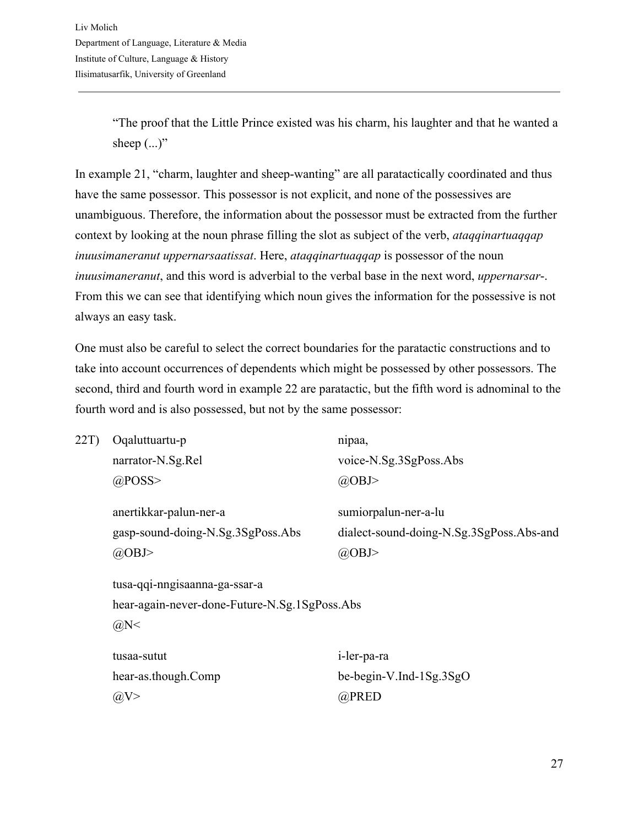"The proof that the Little Prince existed was his charm, his laughter and that he wanted a sheep  $(...)$ "

In example 21, "charm, laughter and sheep-wanting" are all paratactically coordinated and thus have the same possessor. This possessor is not explicit, and none of the possessives are unambiguous. Therefore, the information about the possessor must be extracted from the further context by looking at the noun phrase filling the slot as subject of the verb, *ataqqinartuaqqap inuusimaneranut uppernarsaatissat*. Here, *ataqqinartuaqqap* is possessor of the noun *inuusimaneranut*, and this word is adverbial to the verbal base in the next word, *uppernarsar*-. From this we can see that identifying which noun gives the information for the possessive is not always an easy task.

One must also be careful to select the correct boundaries for the paratactic constructions and to take into account occurrences of dependents which might be possessed by other possessors. The second, third and fourth word in example 22 are paratactic, but the fifth word is adnominal to the fourth word and is also possessed, but not by the same possessor:

| 22T | Oqaluttuartu-p                                | nipaa,                                   |
|-----|-----------------------------------------------|------------------------------------------|
|     | narrator-N.Sg.Rel                             | voice-N.Sg.3SgPoss.Abs                   |
|     | $@$ POSS>                                     | $(a)$ OBJ>                               |
|     | anertikkar-palun-ner-a                        | sumiorpalun-ner-a-lu                     |
|     | gasp-sound-doing-N.Sg.3SgPoss.Abs             | dialect-sound-doing-N.Sg.3SgPoss.Abs-and |
|     | $(a)$ OBJ>                                    | $(a)$ OBJ>                               |
|     | tusa-qqi-nngisaanna-ga-ssar-a                 |                                          |
|     | hear-again-never-done-Future-N.Sg.1SgPoss.Abs |                                          |
|     | $(a)$ N<                                      |                                          |
|     | tusaa-sutut                                   | i-ler-pa-ra                              |
|     | hear-as.though.Comp                           | be-begin-V.Ind-1Sg.3SgO                  |
|     | @V>                                           | @PRED                                    |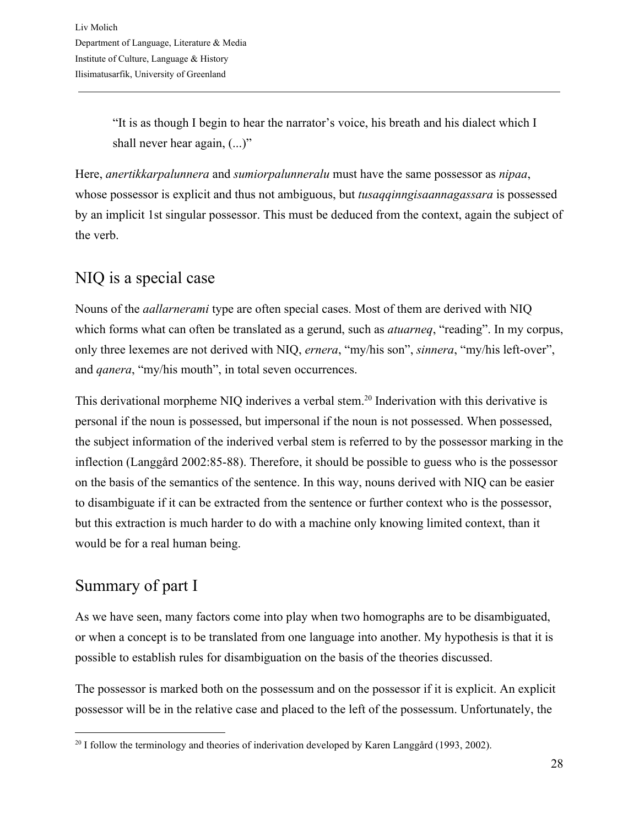"It is as though I begin to hear the narrator's voice, his breath and his dialect which I shall never hear again,  $(...)$ "

Here, *anertikkarpalunnera* and *sumiorpalunneralu* must have the same possessor as *nipaa*, whose possessor is explicit and thus not ambiguous, but *tusaqqinngisaannagassara* is possessed by an implicit 1st singular possessor. This must be deduced from the context, again the subject of the verb.

## <span id="page-27-0"></span>NIQ is a special case

Nouns of the *aallarnerami* type are often special cases. Most of them are derived with NIQ which forms what can often be translated as a gerund, such as *atuarneq*, "reading". In my corpus, only three lexemes are not derived with NIQ, *ernera*, "my/his son", *sinnera*, "my/his left-over", and *qanera*, "my/his mouth", in total seven occurrences.

This derivational morpheme NIQ inderives a verbal stem.<sup>20</sup> Inderivation with this derivative is personal if the noun is possessed, but impersonal if the noun is not possessed. When possessed, the subject information of the inderived verbal stem is referred to by the possessor marking in the inflection (Langgård 2002:85-88). Therefore, it should be possible to guess who is the possessor on the basis of the semantics of the sentence. In this way, nouns derived with NIQ can be easier to disambiguate if it can be extracted from the sentence or further context who is the possessor, but this extraction is much harder to do with a machine only knowing limited context, than it would be for a real human being.

## <span id="page-27-1"></span>Summary of part I

As we have seen, many factors come into play when two homographs are to be disambiguated, or when a concept is to be translated from one language into another. My hypothesis is that it is possible to establish rules for disambiguation on the basis of the theories discussed.

The possessor is marked both on the possessum and on the possessor if it is explicit. An explicit possessor will be in the relative case and placed to the left of the possessum. Unfortunately, the

<sup>&</sup>lt;sup>20</sup> I follow the terminology and theories of inderivation developed by Karen Langgård (1993, 2002).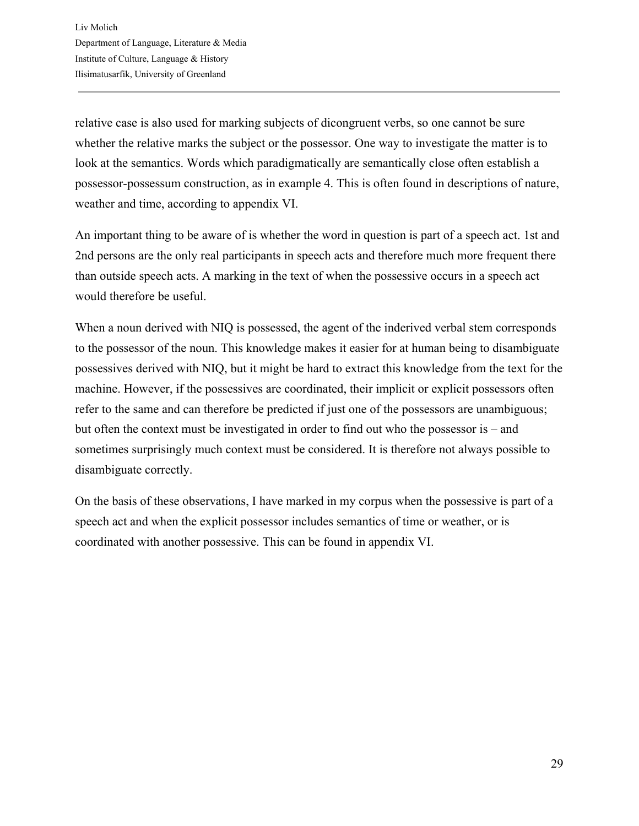relative case is also used for marking subjects of dicongruent verbs, so one cannot be sure whether the relative marks the subject or the possessor. One way to investigate the matter is to look at the semantics. Words which paradigmatically are semantically close often establish a possessor-possessum construction, as in example 4. This is often found in descriptions of nature, weather and time, according to appendix VI.

An important thing to be aware of is whether the word in question is part of a speech act. 1st and 2nd persons are the only real participants in speech acts and therefore much more frequent there than outside speech acts. A marking in the text of when the possessive occurs in a speech act would therefore be useful.

When a noun derived with NIQ is possessed, the agent of the inderived verbal stem corresponds to the possessor of the noun. This knowledge makes it easier for at human being to disambiguate possessives derived with NIQ, but it might be hard to extract this knowledge from the text for the machine. However, if the possessives are coordinated, their implicit or explicit possessors often refer to the same and can therefore be predicted if just one of the possessors are unambiguous; but often the context must be investigated in order to find out who the possessor is – and sometimes surprisingly much context must be considered. It is therefore not always possible to disambiguate correctly.

On the basis of these observations, I have marked in my corpus when the possessive is part of a speech act and when the explicit possessor includes semantics of time or weather, or is coordinated with another possessive. This can be found in appendix VI.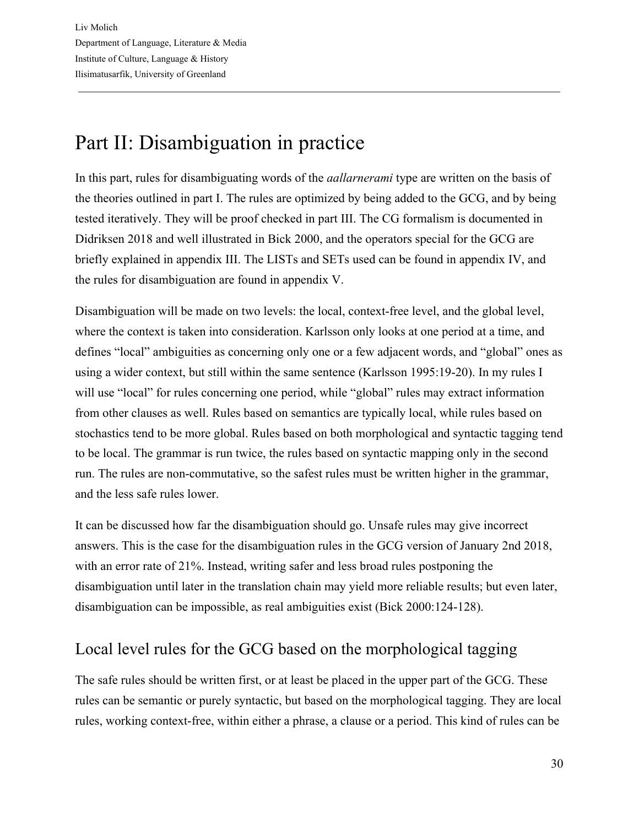# <span id="page-29-0"></span>Part II: Disambiguation in practice

In this part, rules for disambiguating words of the *aallarnerami* type are written on the basis of the theories outlined in part I. The rules are optimized by being added to the GCG, and by being tested iteratively. They will be proof checked in part III. The CG formalism is documented in Didriksen 2018 and well illustrated in Bick 2000, and the operators special for the GCG are briefly explained in appendix III. The LISTs and SETs used can be found in appendix IV, and the rules for disambiguation are found in appendix V.

Disambiguation will be made on two levels: the local, context-free level, and the global level, where the context is taken into consideration. Karlsson only looks at one period at a time, and defines "local" ambiguities as concerning only one or a few adjacent words, and "global" ones as using a wider context, but still within the same sentence (Karlsson 1995:19-20). In my rules I will use "local" for rules concerning one period, while "global" rules may extract information from other clauses as well. Rules based on semantics are typically local, while rules based on stochastics tend to be more global. Rules based on both morphological and syntactic tagging tend to be local. The grammar is run twice, the rules based on syntactic mapping only in the second run. The rules are non-commutative, so the safest rules must be written higher in the grammar, and the less safe rules lower.

It can be discussed how far the disambiguation should go. Unsafe rules may give incorrect answers. This is the case for the disambiguation rules in the GCG version of January 2nd 2018, with an error rate of 21%. Instead, writing safer and less broad rules postponing the disambiguation until later in the translation chain may yield more reliable results; but even later, disambiguation can be impossible, as real ambiguities exist (Bick 2000:124-128).

## <span id="page-29-1"></span>Local level rules for the GCG based on the morphological tagging

The safe rules should be written first, or at least be placed in the upper part of the GCG. These rules can be semantic or purely syntactic, but based on the morphological tagging. They are local rules, working context-free, within either a phrase, a clause or a period. This kind of rules can be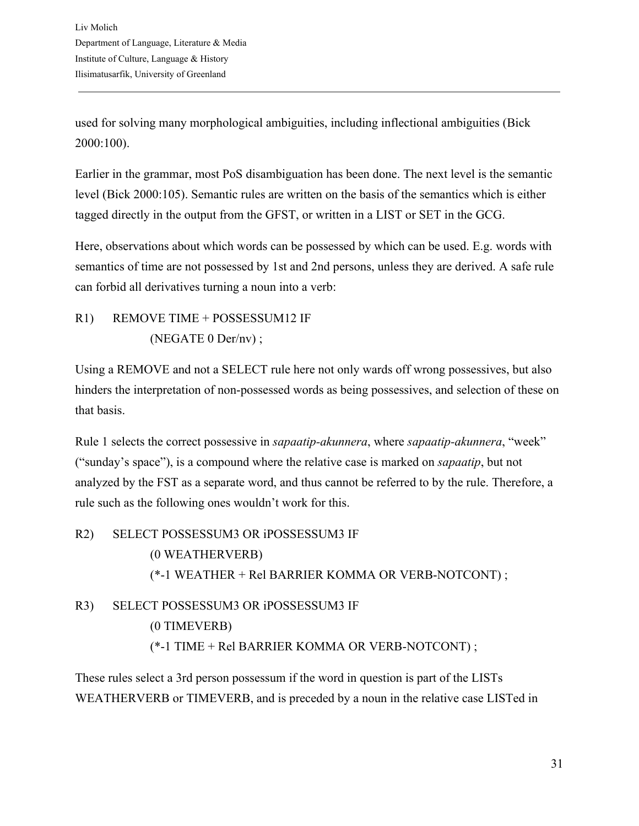used for solving many morphological ambiguities, including inflectional ambiguities (Bick 2000:100).

Earlier in the grammar, most PoS disambiguation has been done. The next level is the semantic level (Bick 2000:105). Semantic rules are written on the basis of the semantics which is either tagged directly in the output from the GFST, or written in a LIST or SET in the GCG.

Here, observations about which words can be possessed by which can be used. E.g. words with semantics of time are not possessed by 1st and 2nd persons, unless they are derived. A safe rule can forbid all derivatives turning a noun into a verb:

#### R1) REMOVE TIME + POSSESSUM12 IF (NEGATE 0 Der/nv) ;

Using a REMOVE and not a SELECT rule here not only wards off wrong possessives, but also hinders the interpretation of non-possessed words as being possessives, and selection of these on that basis.

Rule 1 selects the correct possessive in *sapaatip-akunnera*, where *sapaatip-akunnera*, "week" ("sunday's space"), is a compound where the relative case is marked on *sapaatip*, but not analyzed by the FST as a separate word, and thus cannot be referred to by the rule. Therefore, a rule such as the following ones wouldn't work for this.

## R2) SELECT POSSESSUM3 OR iPOSSESSUM3 IF (0 WEATHERVERB) (\*-1 WEATHER + Rel BARRIER KOMMA OR VERB-NOTCONT) ; R3) SELECT POSSESSUM3 OR iPOSSESSUM3 IF

(0 TIMEVERB) (\*-1 TIME + Rel BARRIER KOMMA OR VERB-NOTCONT) ;

These rules select a 3rd person possessum if the word in question is part of the LISTs WEATHERVERB or TIMEVERB, and is preceded by a noun in the relative case LISTed in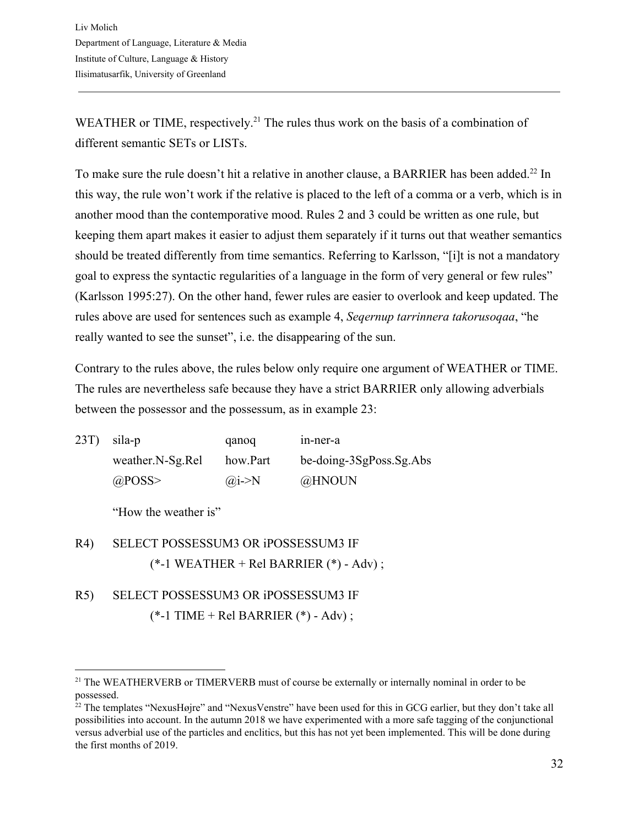WEATHER or TIME, respectively.<sup>21</sup> The rules thus work on the basis of a combination of different semantic SETs or LISTs.

To make sure the rule doesn't hit a relative in another clause, a BARRIER has been added.<sup>22</sup> In this way, the rule won't work if the relative is placed to the left of a comma or a verb, which is in another mood than the contemporative mood. Rules 2 and 3 could be written as one rule, but keeping them apart makes it easier to adjust them separately if it turns out that weather semantics should be treated differently from time semantics. Referring to Karlsson, "[i]t is not a mandatory goal to express the syntactic regularities of a language in the form of very general or few rules" (Karlsson 1995:27). On the other hand, fewer rules are easier to overlook and keep updated. The rules above are used for sentences such as example 4, *Seqernup tarrinnera takorusoqaa*, "he really wanted to see the sunset", i.e. the disappearing of the sun.

Contrary to the rules above, the rules below only require one argument of WEATHER or TIME. The rules are nevertheless safe because they have a strict BARRIER only allowing adverbials between the possessor and the possessum, as in example 23:

| $(23T)$ sila-p   | qanoq         | in-ner-a                |
|------------------|---------------|-------------------------|
| weather.N-Sg.Rel | how.Part      | be-doing-3SgPoss.Sg.Abs |
| $@$ POSS>        | $\omega$ i->N | @HNOUN                  |

"How the weather is"

- R4) SELECT POSSESSUM3 OR iPOSSESSUM3 IF  $(*-1 \text{ WEATHER} + \text{Rel BARRIER} (*) - \text{Adv})$ ;
- R5) SELECT POSSESSUM3 OR iPOSSESSUM3 IF (\*-1 TIME + Rel BARRIER (\*) - Adv) ;

<sup>&</sup>lt;sup>21</sup> The WEATHERVERB or TIMERVERB must of course be externally or internally nominal in order to be possessed.

 $^{22}$  The templates "NexusHøjre" and "NexusVenstre" have been used for this in GCG earlier, but they don't take all possibilities into account. In the autumn 2018 we have experimented with a more safe tagging of the conjunctional versus adverbial use of the particles and enclitics, but this has not yet been implemented. This will be done during the first months of 2019.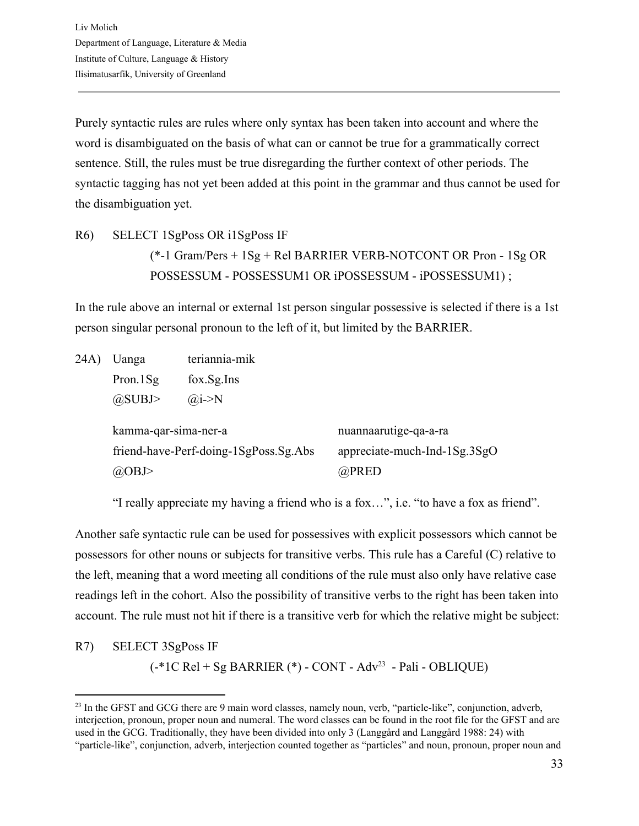Purely syntactic rules are rules where only syntax has been taken into account and where the word is disambiguated on the basis of what can or cannot be true for a grammatically correct sentence. Still, the rules must be true disregarding the further context of other periods. The syntactic tagging has not yet been added at this point in the grammar and thus cannot be used for the disambiguation yet.

R6) SELECT 1SgPoss OR i1SgPoss IF (\*-1 Gram/Pers + 1Sg + Rel BARRIER VERB-NOTCONT OR Pron - 1Sg OR POSSESSUM - POSSESSUM1 OR iPOSSESSUM - iPOSSESSUM1) ;

In the rule above an internal or external 1st person singular possessive is selected if there is a 1st person singular personal pronoun to the left of it, but limited by the BARRIER.

| 24A) | Uanga                           | teriannia-mik                         |                                                                |
|------|---------------------------------|---------------------------------------|----------------------------------------------------------------|
|      | Pron. $1$ Sg                    | $fox.Sg.$ Ins                         |                                                                |
|      | $(a)$ SUBJ>                     | $\omega$ <sub>i</sub> ->N             |                                                                |
|      | kamma-qar-sima-ner-a<br>(a)OBJ> | friend-have-Perf-doing-1SgPoss.Sg.Abs | nuannaarutige-qa-a-ra<br>appreciate-much-Ind-1Sg.3SgO<br>@PRED |

"I really appreciate my having a friend who is a fox…", i.e. "to have a fox as friend".

Another safe syntactic rule can be used for possessives with explicit possessors which cannot be possessors for other nouns or subjects for transitive verbs. This rule has a Careful (C) relative to the left, meaning that a word meeting all conditions of the rule must also only have relative case readings left in the cohort. Also the possibility of transitive verbs to the right has been taken into account. The rule must not hit if there is a transitive verb for which the relative might be subject:

R7) SELECT 3SgPoss IF

 $(-*)C$  Rel + Sg BARRIER  $(*)$  - CONT - Adv<sup>23</sup> - Pali - OBLIQUE)

<sup>&</sup>lt;sup>23</sup> In the GFST and GCG there are 9 main word classes, namely noun, verb, "particle-like", conjunction, adverb, interjection, pronoun, proper noun and numeral. The word classes can be found in the root file for the GFST and are used in the GCG. Traditionally, they have been divided into only 3 (Langgård and Langgård 1988: 24) with "particle-like", conjunction, adverb, interjection counted together as "particles" and noun, pronoun, proper noun and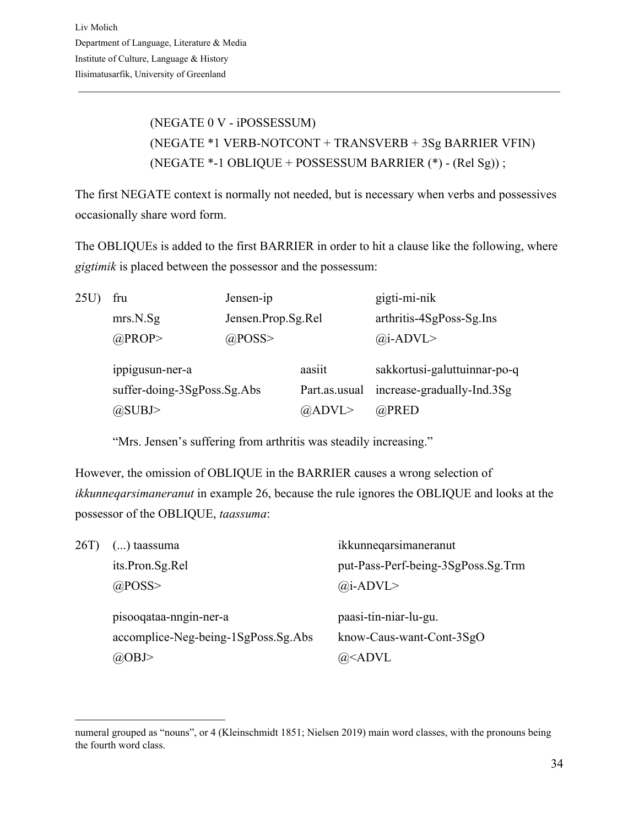(NEGATE 0 V - iPOSSESSUM) (NEGATE \*1 VERB-NOTCONT + TRANSVERB + 3Sg BARRIER VFIN) (NEGATE \*-1 OBLIQUE + POSSESSUM BARRIER (\*) - (Rel Sg)) ;

The first NEGATE context is normally not needed, but is necessary when verbs and possessives occasionally share word form.

The OBLIQUEs is added to the first BARRIER in order to hit a clause like the following, where *gigtimik* is placed between the possessor and the possessum:

| 25U | fru                         | Jensen-ip          |                | gigti-mi-nik                 |
|-----|-----------------------------|--------------------|----------------|------------------------------|
|     | mrs.N.Sg                    | Jensen.Prop.Sg.Rel |                | arthritis-4SgPoss-Sg.Ins     |
|     | $@$ PROP>                   | $@$ POSS>          |                | $(a)$ i-ADVL>                |
|     | ippigusun-ner-a             |                    | aasiit         | sakkortusi-galuttuinnar-po-q |
|     | suffer-doing-3SgPoss.Sg.Abs |                    | Part.as.usual  | increase-gradually-Ind.3Sg   |
|     | @SUBJ>                      |                    | $(a)$ ADVL $>$ | @PRED                        |

"Mrs. Jensen's suffering from arthritis was steadily increasing."

However, the omission of OBLIQUE in the BARRIER causes a wrong selection of *ikkunneqarsimaneranut* in example 26, because the rule ignores the OBLIQUE and looks at the possessor of the OBLIQUE, *taassuma*:

| 26T) | $()$ taassuma                       | ikkunneqarsimaneranut              |
|------|-------------------------------------|------------------------------------|
|      | its.Pron.Sg.Rel                     | put-Pass-Perf-being-3SgPoss.Sg.Trm |
|      | $@$ POSS>                           | $(a)$ i-ADVL>                      |
|      |                                     |                                    |
|      |                                     |                                    |
|      | pisooqataa-nngin-ner-a              | paasi-tin-niar-lu-gu.              |
|      | accomplice-Neg-being-1SgPoss.Sg.Abs | know-Caus-want-Cont-3SgO           |

numeral grouped as "nouns", or 4 (Kleinschmidt 1851; Nielsen 2019) main word classes, with the pronouns being the fourth word class.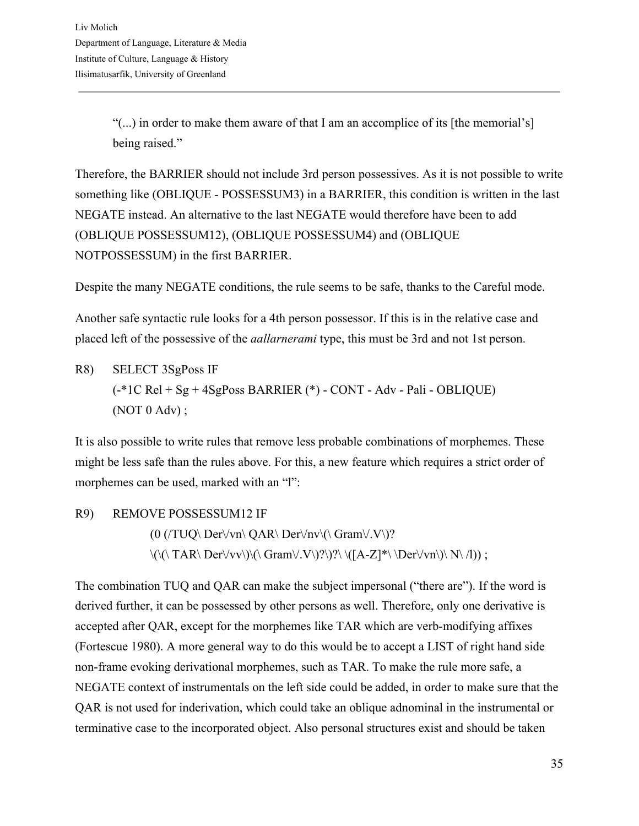"(...) in order to make them aware of that I am an accomplice of its [the memorial's] being raised."

Therefore, the BARRIER should not include 3rd person possessives. As it is not possible to write something like (OBLIQUE - POSSESSUM3) in a BARRIER, this condition is written in the last NEGATE instead. An alternative to the last NEGATE would therefore have been to add (OBLIQUE POSSESSUM12), (OBLIQUE POSSESSUM4) and (OBLIQUE NOTPOSSESSUM) in the first BARRIER.

Despite the many NEGATE conditions, the rule seems to be safe, thanks to the Careful mode.

Another safe syntactic rule looks for a 4th person possessor. If this is in the relative case and placed left of the possessive of the *aallarnerami* type, this must be 3rd and not 1st person.

R8) SELECT 3SgPoss IF (-\*1C Rel + Sg + 4SgPoss BARRIER (\*) - CONT - Adv - Pali - OBLIQUE) (NOT 0 Adv) ;

It is also possible to write rules that remove less probable combinations of morphemes. These might be less safe than the rules above. For this, a new feature which requires a strict order of morphemes can be used, marked with an "l":

R9) REMOVE POSSESSUM12 IF  $(0 \,(TUQ \setminus Der \forall v n \setminus QAR \setminus Der \forall nv \setminus (\Gamma \Gamma \setminus V \setminus)^2)$  $\langle\langle\langle\rangle\langle\Gamma A R\langle\,Der\rangle\langle\vee\vee\rangle\rangle\rangle\langle\langle\Gamma A R\langle\,Der\rangle\langle\vee\vee\rangle\rangle\rangle\langle\langle\Gamma A R\langle\,Der\rangle\langle\vee\vee\rangle\rangle\rangle\rangle$ 

The combination TUQ and QAR can make the subject impersonal ("there are"). If the word is derived further, it can be possessed by other persons as well. Therefore, only one derivative is accepted after QAR, except for the morphemes like TAR which are verb-modifying affixes (Fortescue 1980). A more general way to do this would be to accept a LIST of right hand side non-frame evoking derivational morphemes, such as TAR. To make the rule more safe, a NEGATE context of instrumentals on the left side could be added, in order to make sure that the QAR is not used for inderivation, which could take an oblique adnominal in the instrumental or terminative case to the incorporated object. Also personal structures exist and should be taken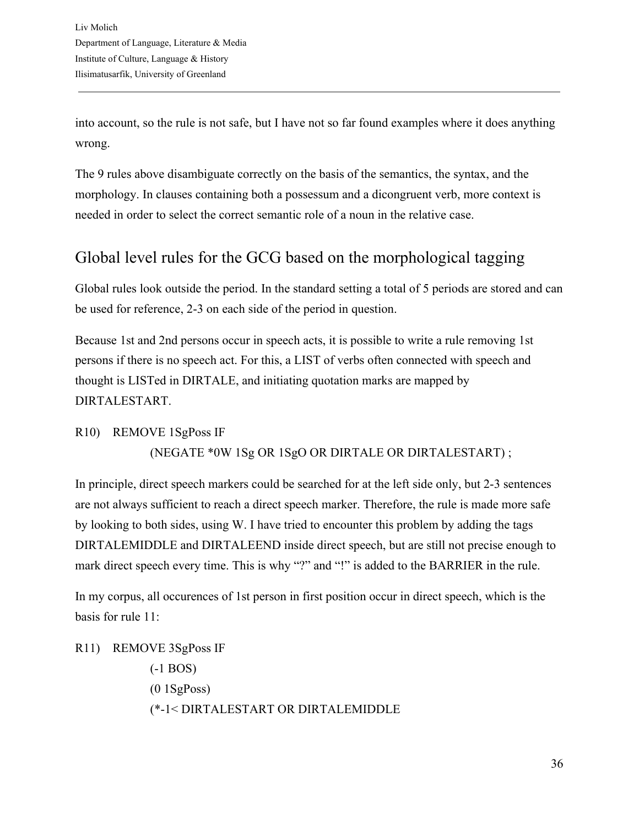into account, so the rule is not safe, but I have not so far found examples where it does anything wrong.

The 9 rules above disambiguate correctly on the basis of the semantics, the syntax, and the morphology. In clauses containing both a possessum and a dicongruent verb, more context is needed in order to select the correct semantic role of a noun in the relative case.

## <span id="page-35-0"></span>Global level rules for the GCG based on the morphological tagging

Global rules look outside the period. In the standard setting a total of 5 periods are stored and can be used for reference, 2-3 on each side of the period in question.

Because 1st and 2nd persons occur in speech acts, it is possible to write a rule removing 1st persons if there is no speech act. For this, a LIST of verbs often connected with speech and thought is LISTed in DIRTALE, and initiating quotation marks are mapped by DIRTALESTART.

R10) REMOVE 1SgPoss IF

(NEGATE \*0W 1Sg OR 1SgO OR DIRTALE OR DIRTALESTART) ;

In principle, direct speech markers could be searched for at the left side only, but 2-3 sentences are not always sufficient to reach a direct speech marker. Therefore, the rule is made more safe by looking to both sides, using W. I have tried to encounter this problem by adding the tags DIRTALEMIDDLE and DIRTALEEND inside direct speech, but are still not precise enough to mark direct speech every time. This is why "?" and "!" is added to the BARRIER in the rule.

In my corpus, all occurences of 1st person in first position occur in direct speech, which is the basis for rule 11:

R11) REMOVE 3SgPoss IF (-1 BOS)  $(0 1SgPoss)$ (\*-1< DIRTALESTART OR DIRTALEMIDDLE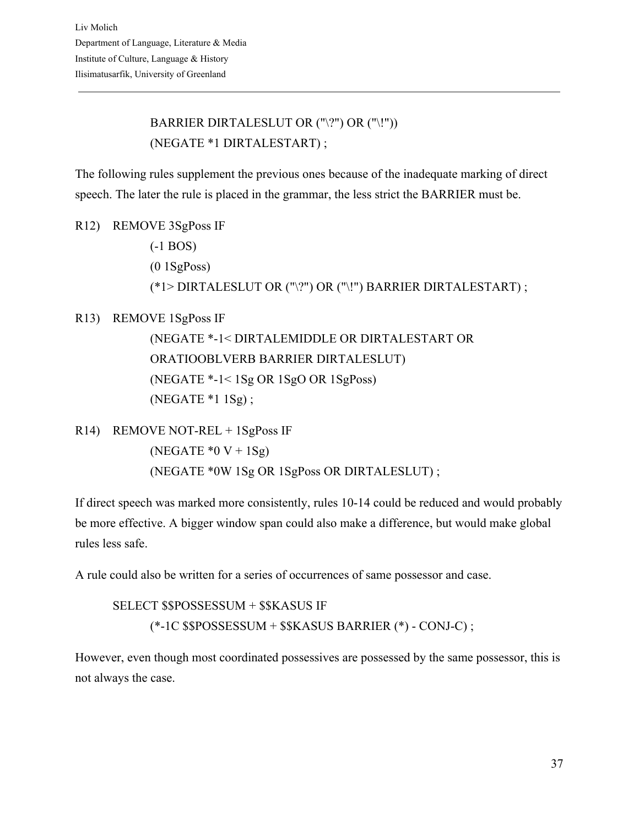### BARRIER DIRTALESLUT OR ("\?") OR ("\!")) (NEGATE \*1 DIRTALESTART) ;

The following rules supplement the previous ones because of the inadequate marking of direct speech. The later the rule is placed in the grammar, the less strict the BARRIER must be.

R12) REMOVE 3SgPoss IF (-1 BOS)  $(0.1SgPoss)$ (\*1> DIRTALESLUT OR ("\?") OR ("\!") BARRIER DIRTALESTART) ;

R13) REMOVE 1SgPoss IF

(NEGATE \*-1< DIRTALEMIDDLE OR DIRTALESTART OR ORATIOOBLVERB BARRIER DIRTALESLUT) (NEGATE \*-1< 1Sg OR 1SgO OR 1SgPoss) (NEGATE \*1 1Sg) ;

R14) REMOVE NOT-REL + 1SgPoss IF (NEGATE  $*0 V + 1Sg$ ) (NEGATE \*0W 1Sg OR 1SgPoss OR DIRTALESLUT) ;

If direct speech was marked more consistently, rules 10-14 could be reduced and would probably be more effective. A bigger window span could also make a difference, but would make global rules less safe.

A rule could also be written for a series of occurrences of same possessor and case.

SELECT \$\$POSSESSUM + \$\$KASUS IF (\*-1C \$\$POSSESSUM + \$\$KASUS BARRIER (\*) - CONJ-C) ;

However, even though most coordinated possessives are possessed by the same possessor, this is not always the case.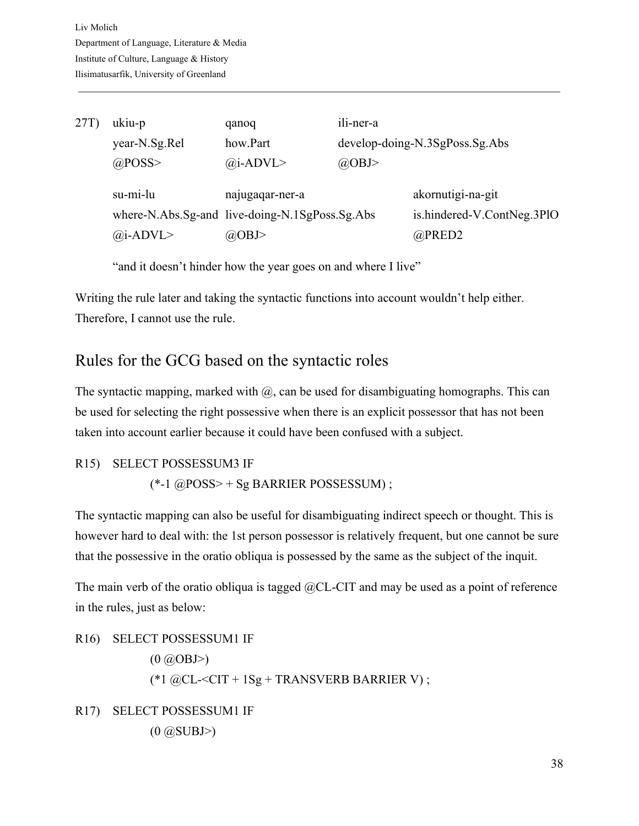| 27T) | ukiu-p        | qanoq                                                             | ili-ner-a                      |                                                 |  |  |  |
|------|---------------|-------------------------------------------------------------------|--------------------------------|-------------------------------------------------|--|--|--|
|      | year-N.Sg.Rel | how.Part                                                          | develop-doing-N.3SgPoss.Sg.Abs |                                                 |  |  |  |
|      | $@$ POSS>     | $(a)$ i-ADVL>                                                     | @OBJ>                          |                                                 |  |  |  |
|      | su-mi-lu      | najugagar-ner-a<br>where-N.Abs.Sg-and live-doing-N.1SgPoss.Sg.Abs |                                | akornutigi-na-git<br>is.hindered-V.ContNeg.3PlO |  |  |  |
|      | $(a)$ i-ADVL> | @OBJ>                                                             |                                | $@$ PRED2                                       |  |  |  |

"and it doesn't hinder how the year goes on and where I live"

Writing the rule later and taking the syntactic functions into account wouldn't help either. Therefore, I cannot use the rule.

## Rules for the GCG based on the syntactic roles

The syntactic mapping, marked with  $\omega$ , can be used for disambiguating homographs. This can be used for selecting the right possessive when there is an explicit possessor that has not been taken into account earlier because it could have been confused with a subject.

R15) SELECT POSSESSUM3 IF  $(*-1 @POSS > + Sg BARRIER POSSESSUM)$ ;

The syntactic mapping can also be useful for disambiguating indirect speech or thought. This is however hard to deal with: the 1st person possessor is relatively frequent, but one cannot be sure that the possessive in the oratio obliqua is possessed by the same as the subject of the inquit.

The main verb of the oratio obliqua is tagged @CL-CIT and may be used as a point of reference in the rules, just as below:

R16) SELECT POSSESSUM1 IF  $(0 \tQ OBB>)$ (\*1  $@CL < CIT + 1Sg + TRANSVERB BARRIER V$ ); R17) SELECT POSSESSUM1 IF

 $(0 \t@SUBJ>)$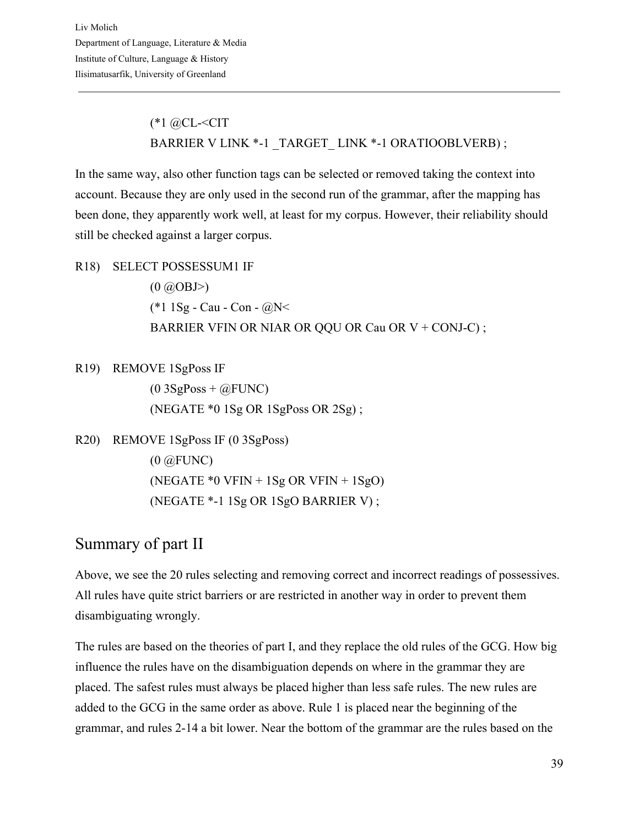(\*1 @CL-<CIT BARRIER V LINK \*-1 TARGET LINK \*-1 ORATIOOBLVERB) ;

In the same way, also other function tags can be selected or removed taking the context into account. Because they are only used in the second run of the grammar, after the mapping has been done, they apparently work well, at least for my corpus. However, their reliability should still be checked against a larger corpus.

R18) SELECT POSSESSUM1 IF  $(0 \tQ OBB>)$ (\*1 1Sg - Cau - Con - @N< BARRIER VFIN OR NIAR OR QQU OR Cau OR V + CONJ-C) ;

R19) REMOVE 1SgPoss IF  $(0 3SgPoss + @FUNC)$ (NEGATE \*0 1Sg OR 1SgPoss OR 2Sg) ;

```
R20) REMOVE 1SgPoss IF (0 3SgPoss)
(0 @FUNC)
 (NEGATE *0 VFIN + 1Sg OR VFIN + 1SgO)
 (NEGATE *-1 1Sg OR 1SgO BARRIER V) ;
```
## Summary of part II

Above, we see the 20 rules selecting and removing correct and incorrect readings of possessives. All rules have quite strict barriers or are restricted in another way in order to prevent them disambiguating wrongly.

The rules are based on the theories of part I, and they replace the old rules of the GCG. How big influence the rules have on the disambiguation depends on where in the grammar they are placed. The safest rules must always be placed higher than less safe rules. The new rules are added to the GCG in the same order as above. Rule 1 is placed near the beginning of the grammar, and rules 2-14 a bit lower. Near the bottom of the grammar are the rules based on the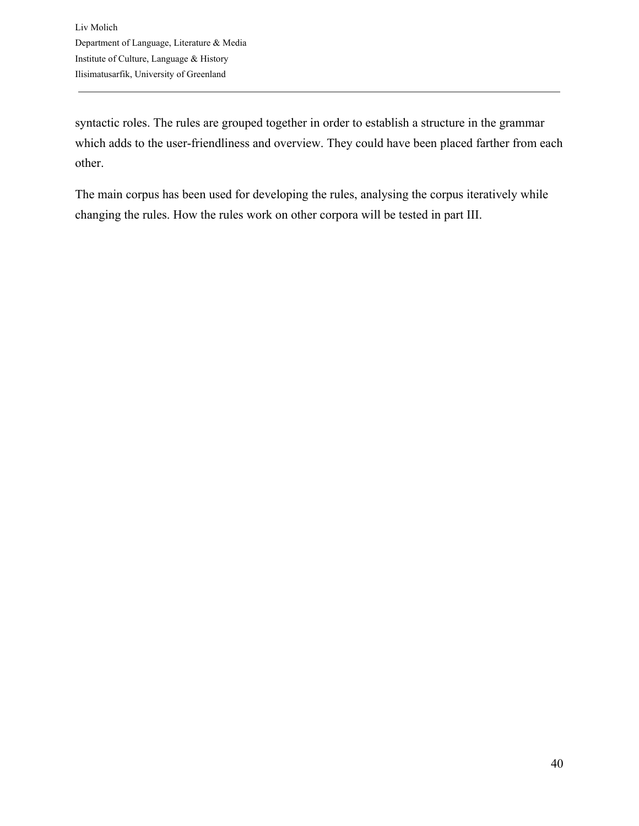syntactic roles. The rules are grouped together in order to establish a structure in the grammar which adds to the user-friendliness and overview. They could have been placed farther from each other.

The main corpus has been used for developing the rules, analysing the corpus iteratively while changing the rules. How the rules work on other corpora will be tested in part III.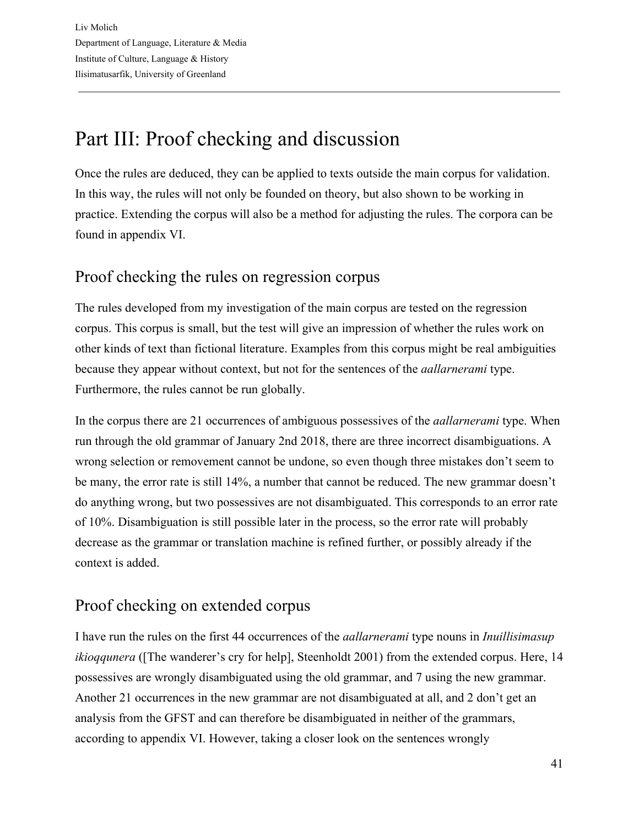# Part III: Proof checking and discussion

Once the rules are deduced, they can be applied to texts outside the main corpus for validation. In this way, the rules will not only be founded on theory, but also shown to be working in practice. Extending the corpus will also be a method for adjusting the rules. The corpora can be found in appendix VI.

### Proof checking the rules on regression corpus

The rules developed from my investigation of the main corpus are tested on the regression corpus. This corpus is small, but the test will give an impression of whether the rules work on other kinds of text than fictional literature. Examples from this corpus might be real ambiguities because they appear without context, but not for the sentences of the *aallarnerami* type. Furthermore, the rules cannot be run globally.

In the corpus there are 21 occurrences of ambiguous possessives of the *aallarnerami* type. When run through the old grammar of January 2nd 2018, there are three incorrect disambiguations. A wrong selection or removement cannot be undone, so even though three mistakes don't seem to be many, the error rate is still 14%, a number that cannot be reduced. The new grammar doesn't do anything wrong, but two possessives are not disambiguated. This corresponds to an error rate of 10%. Disambiguation is still possible later in the process, so the error rate will probably decrease as the grammar or translation machine is refined further, or possibly already if the context is added.

## Proof checking on extended corpus

I have run the rules on the first 44 occurrences of the *aallarnerami* type nouns in *Inuillisimasup ikioqqunera* ([The wanderer's cry for help], Steenholdt 2001) from the extended corpus. Here, 14 possessives are wrongly disambiguated using the old grammar, and 7 using the new grammar. Another 21 occurrences in the new grammar are not disambiguated at all, and 2 don't get an analysis from the GFST and can therefore be disambiguated in neither of the grammars, according to appendix VI. However, taking a closer look on the sentences wrongly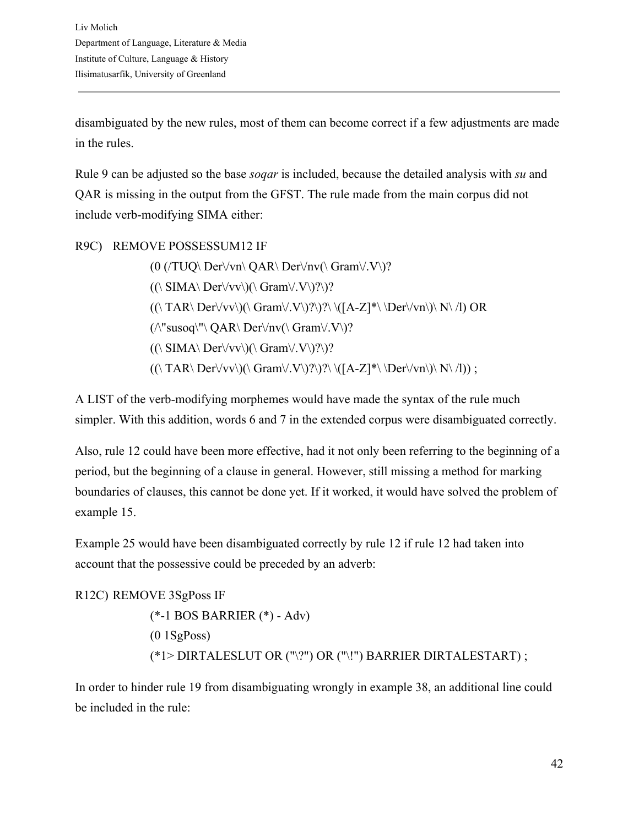disambiguated by the new rules, most of them can become correct if a few adjustments are made in the rules.

Rule 9 can be adjusted so the base *soqar* is included, because the detailed analysis with *su* and QAR is missing in the output from the GFST. The rule made from the main corpus did not include verb-modifying SIMA either:

R9C) REMOVE POSSESSUM12 IF

 $(0 \frac{\text{TUQ}}{\text{Der}}\sqrt{\text{vn}}\$ QAR\ Der $\text{vn}\$  Gram $\vee$ . V\)?  $((\Delta \text{SIMA}\ \text{Der}\ \lor\ \lor\ \lor\ \text{Gram}\ \lor\ \lor\ \lor\ ?\$  $((\Gamma\ A\ R\ Der\V v\nu)(\Gamma\ Gram\V. V\)?\)?\ \ (A-Z]^*\ \ Der\V v\nu)\ N\ /I)\ OR$  $(\wedge$ "susoq\"\ QAR\ Der $\forall$ nv(\ Gram $\lor$ .V\)?  $((\langle SIMA \rangle Der \langle \langle \langle V \rangle \rangle)(\langle Gram \langle \langle V \rangle \rangle)^2)$  $((\Gamma\ A\ R\ \ Der\ \lor\lor\ \lor\ \Gamma\ \ Y\ \ ?\ \ \lor\ \ \ (A-Z]^*\ \ \ Der\ \lor\ \ N\ \ /\) ;$ 

A LIST of the verb-modifying morphemes would have made the syntax of the rule much simpler. With this addition, words 6 and 7 in the extended corpus were disambiguated correctly.

Also, rule 12 could have been more effective, had it not only been referring to the beginning of a period, but the beginning of a clause in general. However, still missing a method for marking boundaries of clauses, this cannot be done yet. If it worked, it would have solved the problem of example 15.

Example 25 would have been disambiguated correctly by rule 12 if rule 12 had taken into account that the possessive could be preceded by an adverb:

R12C) REMOVE 3SgPoss IF (\*-1 BOS BARRIER (\*) - Adv)  $(0.1SgPoss)$ (\*1> DIRTALESLUT OR ("\?") OR ("\!") BARRIER DIRTALESTART) ;

In order to hinder rule 19 from disambiguating wrongly in example 38, an additional line could be included in the rule: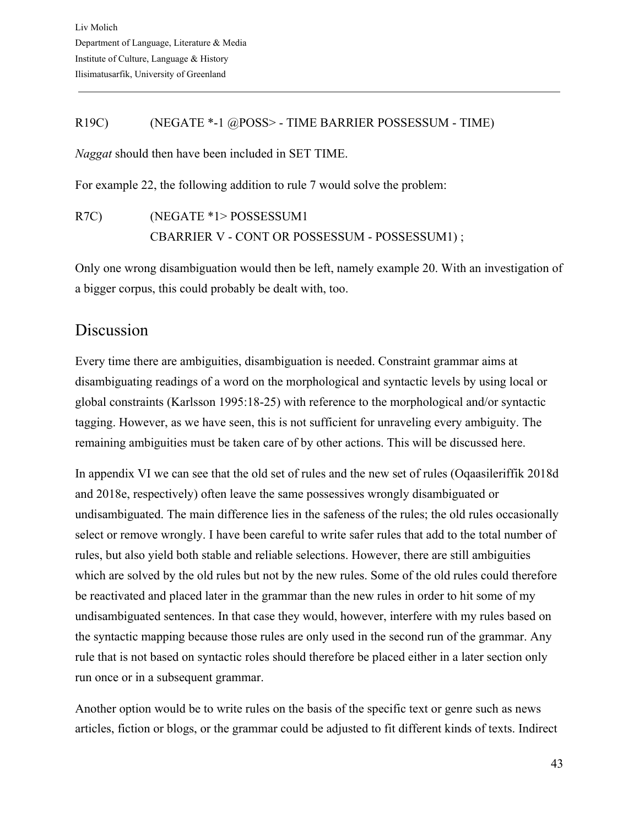#### R19C) (NEGATE \*-1 @POSS> - TIME BARRIER POSSESSUM - TIME)

*Naggat* should then have been included in SET TIME.

For example 22, the following addition to rule 7 would solve the problem:

R7C) (NEGATE \*1> POSSESSUM1 CBARRIER V - CONT OR POSSESSUM - POSSESSUM1) ;

Only one wrong disambiguation would then be left, namely example 20. With an investigation of a bigger corpus, this could probably be dealt with, too.

## Discussion

Every time there are ambiguities, disambiguation is needed. Constraint grammar aims at disambiguating readings of a word on the morphological and syntactic levels by using local or global constraints (Karlsson 1995:18-25) with reference to the morphological and/or syntactic tagging. However, as we have seen, this is not sufficient for unraveling every ambiguity. The remaining ambiguities must be taken care of by other actions. This will be discussed here.

In appendix VI we can see that the old set of rules and the new set of rules (Oqaasileriffik 2018d and 2018e, respectively) often leave the same possessives wrongly disambiguated or undisambiguated. The main difference lies in the safeness of the rules; the old rules occasionally select or remove wrongly. I have been careful to write safer rules that add to the total number of rules, but also yield both stable and reliable selections. However, there are still ambiguities which are solved by the old rules but not by the new rules. Some of the old rules could therefore be reactivated and placed later in the grammar than the new rules in order to hit some of my undisambiguated sentences. In that case they would, however, interfere with my rules based on the syntactic mapping because those rules are only used in the second run of the grammar. Any rule that is not based on syntactic roles should therefore be placed either in a later section only run once or in a subsequent grammar.

Another option would be to write rules on the basis of the specific text or genre such as news articles, fiction or blogs, or the grammar could be adjusted to fit different kinds of texts. Indirect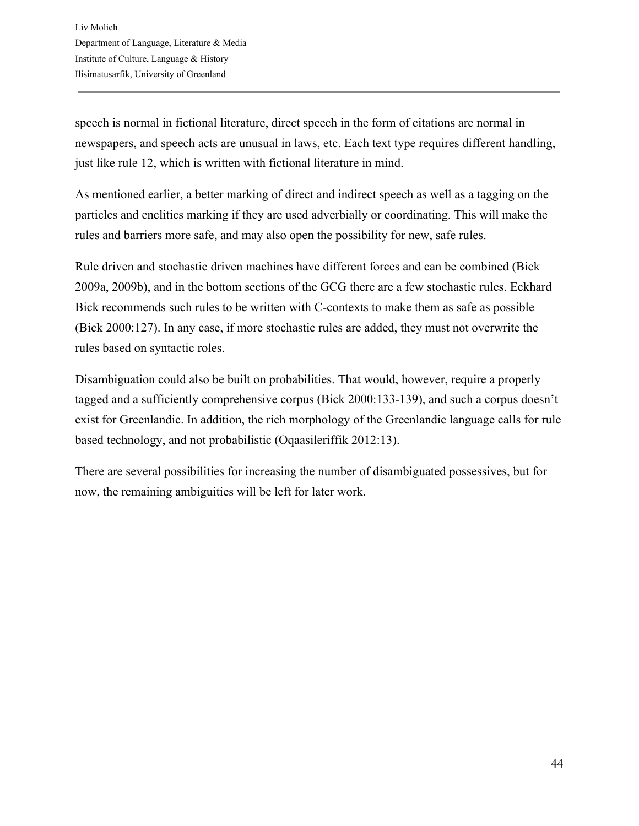speech is normal in fictional literature, direct speech in the form of citations are normal in newspapers, and speech acts are unusual in laws, etc. Each text type requires different handling, just like rule 12, which is written with fictional literature in mind.

As mentioned earlier, a better marking of direct and indirect speech as well as a tagging on the particles and enclitics marking if they are used adverbially or coordinating. This will make the rules and barriers more safe, and may also open the possibility for new, safe rules.

Rule driven and stochastic driven machines have different forces and can be combined (Bick 2009a, 2009b), and in the bottom sections of the GCG there are a few stochastic rules. Eckhard Bick recommends such rules to be written with C-contexts to make them as safe as possible (Bick 2000:127). In any case, if more stochastic rules are added, they must not overwrite the rules based on syntactic roles.

Disambiguation could also be built on probabilities. That would, however, require a properly tagged and a sufficiently comprehensive corpus (Bick 2000:133-139), and such a corpus doesn't exist for Greenlandic. In addition, the rich morphology of the Greenlandic language calls for rule based technology, and not probabilistic (Oqaasileriffik 2012:13).

There are several possibilities for increasing the number of disambiguated possessives, but for now, the remaining ambiguities will be left for later work.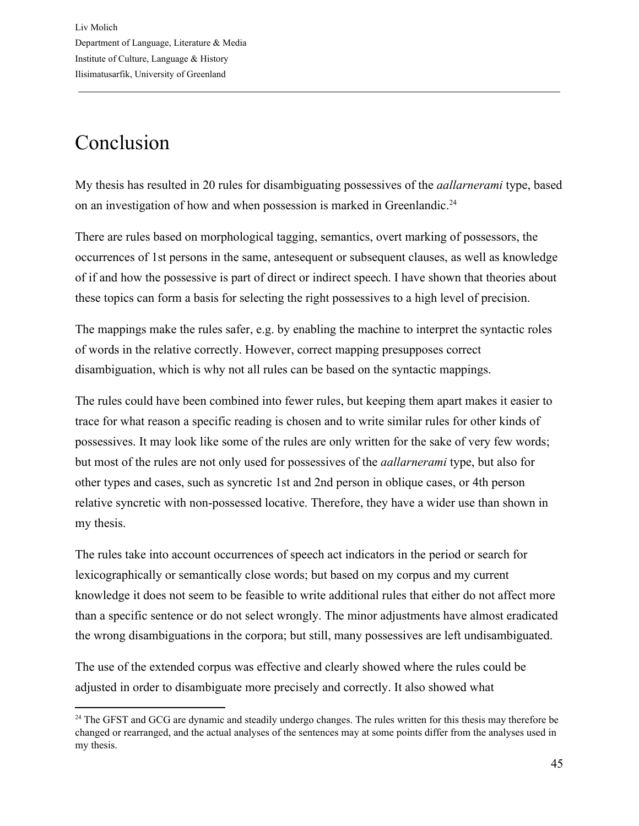# Conclusion

My thesis has resulted in 20 rules for disambiguating possessives of the *aallarnerami* type, based on an investigation of how and when possession is marked in Greenlandic.<sup>24</sup>

There are rules based on morphological tagging, semantics, overt marking of possessors, the occurrences of 1st persons in the same, antesequent or subsequent clauses, as well as knowledge of if and how the possessive is part of direct or indirect speech. I have shown that theories about these topics can form a basis for selecting the right possessives to a high level of precision.

The mappings make the rules safer, e.g. by enabling the machine to interpret the syntactic roles of words in the relative correctly. However, correct mapping presupposes correct disambiguation, which is why not all rules can be based on the syntactic mappings.

The rules could have been combined into fewer rules, but keeping them apart makes it easier to trace for what reason a specific reading is chosen and to write similar rules for other kinds of possessives. It may look like some of the rules are only written for the sake of very few words; but most of the rules are not only used for possessives of the *aallarnerami* type, but also for other types and cases, such as syncretic 1st and 2nd person in oblique cases, or 4th person relative syncretic with non-possessed locative. Therefore, they have a wider use than shown in my thesis.

The rules take into account occurrences of speech act indicators in the period or search for lexicographically or semantically close words; but based on my corpus and my current knowledge it does not seem to be feasible to write additional rules that either do not affect more than a specific sentence or do not select wrongly. The minor adjustments have almost eradicated the wrong disambiguations in the corpora; but still, many possessives are left undisambiguated.

The use of the extended corpus was effective and clearly showed where the rules could be adjusted in order to disambiguate more precisely and correctly. It also showed what

<sup>&</sup>lt;sup>24</sup> The GFST and GCG are dynamic and steadily undergo changes. The rules written for this thesis may therefore be changed or rearranged, and the actual analyses of the sentences may at some points differ from the analyses used in my thesis.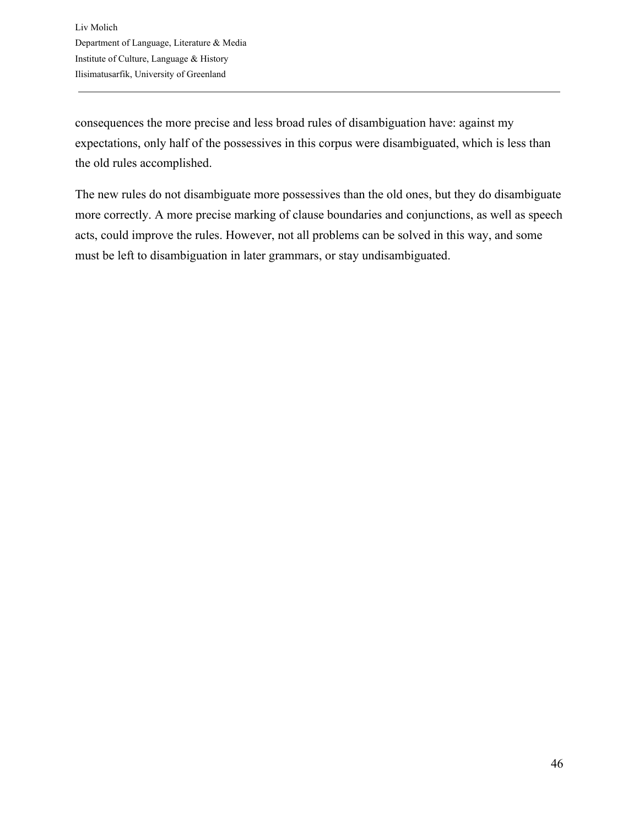consequences the more precise and less broad rules of disambiguation have: against my expectations, only half of the possessives in this corpus were disambiguated, which is less than the old rules accomplished.

The new rules do not disambiguate more possessives than the old ones, but they do disambiguate more correctly. A more precise marking of clause boundaries and conjunctions, as well as speech acts, could improve the rules. However, not all problems can be solved in this way, and some must be left to disambiguation in later grammars, or stay undisambiguated.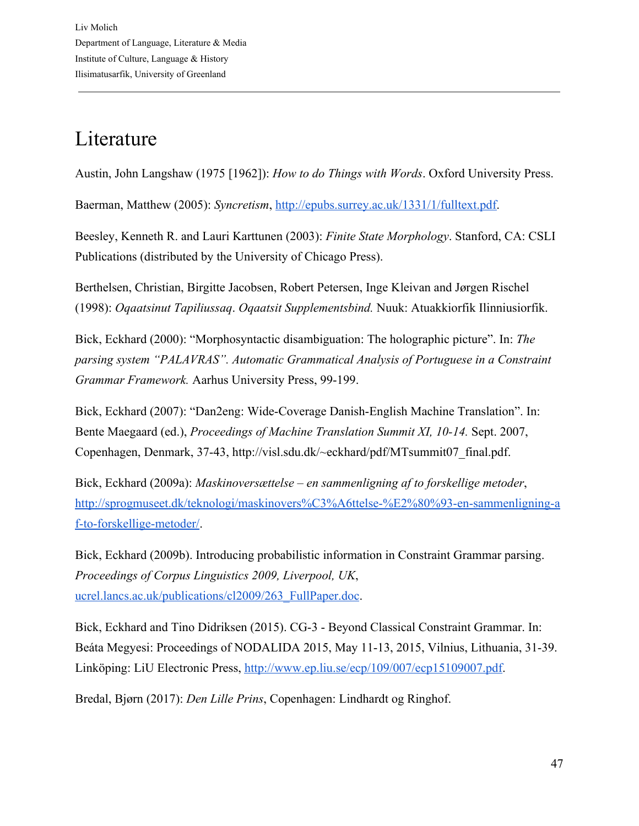## Literature

Austin, John Langshaw (1975 [1962]): *How to do Things with Words*. Oxford University Press.

Baerman, Matthew (2005): *Syncretism*, [http://epubs.surrey.ac.uk/1331/1/fulltext.pdf.](http://epubs.surrey.ac.uk/1331/1/fulltext.pdf)

Beesley, Kenneth R. and Lauri Karttunen (2003): *Finite State Morphology*. Stanford, CA: CSLI Publications (distributed by the University of Chicago Press).

Berthelsen, Christian, Birgitte Jacobsen, Robert Petersen, Inge Kleivan and Jørgen Rischel (1998): *Oqaatsinut Tapiliussaq*. *Oqaatsit Supplementsbind.* Nuuk: Atuakkiorfik Ilinniusiorfik.

Bick, Eckhard (2000): "Morphosyntactic disambiguation: The holographic picture". In: *The parsing system "PALAVRAS". Automatic Grammatical Analysis of Portuguese in a Constraint Grammar Framework.* Aarhus University Press, 99-199.

Bick, Eckhard (2007): "Dan2eng: Wide-Coverage Danish-English Machine Translation". In: Bente Maegaard (ed.), *Proceedings of Machine Translation Summit XI, 10-14.* Sept. 2007, Copenhagen, Denmark, 37-43, http://visl.sdu.dk/~eckhard/pdf/MTsummit07\_final.pdf.

Bick, Eckhard (2009a): *Maskinoversættelse – en sammenligning af to forskellige metoder*, [http://sprogmuseet.dk/teknologi/maskinovers%C3%A6ttelse-%E2%80%93-en-sammenligning-a](http://sprogmuseet.dk/teknologi/maskinovers%C3%A6ttelse-%E2%80%93-en-sammenligning-af-to-forskellige-metoder/) [f-to-forskellige-metoder/](http://sprogmuseet.dk/teknologi/maskinovers%C3%A6ttelse-%E2%80%93-en-sammenligning-af-to-forskellige-metoder/).

Bick, Eckhard (2009b). Introducing probabilistic information in Constraint Grammar parsing. *Proceedings of Corpus Linguistics 2009, Liverpool, UK*, [ucrel.lancs.ac.uk/publications/cl2009/263\\_FullPaper.doc](http://ucrel.lancs.ac.uk/publications/cl2009/263_FullPaper.doc).

Bick, Eckhard and Tino Didriksen (2015). CG-3 - Beyond Classical Constraint Grammar. In: Beáta Megyesi: Proceedings of NODALIDA 2015, May 11-13, 2015, Vilnius, Lithuania, 31-39. Linköping: LiU Electronic Press, [http://www.ep.liu.se/ecp/109/007/ecp15109007.pdf.](http://www.ep.liu.se/ecp/109/007/ecp15109007.pdf)

Bredal, Bjørn (2017): *Den Lille Prins*, Copenhagen: Lindhardt og Ringhof.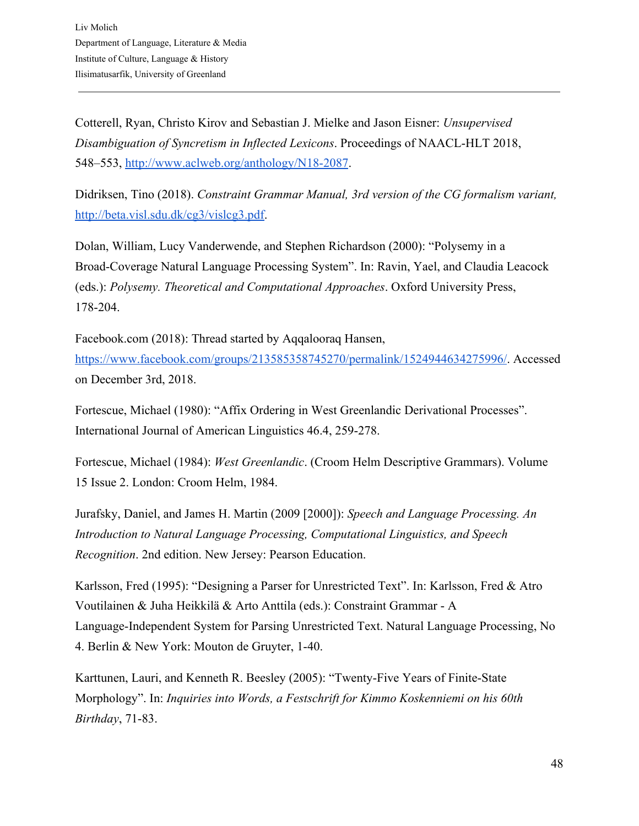Cotterell, Ryan, Christo Kirov and Sebastian J. Mielke and Jason Eisner: *Unsupervised Disambiguation of Syncretism in Inflected Lexicons*. Proceedings of NAACL-HLT 2018, 548–553, [http://www.aclweb.org/anthology/N18-2087.](http://www.aclweb.org/anthology/N18-2087)

Didriksen, Tino (2018). *Constraint Grammar Manual, 3rd version of the CG formalism variant,* [http://beta.visl.sdu.dk/cg3/vislcg3.pdf.](http://beta.visl.sdu.dk/cg3/vislcg3.pdf)

Dolan, William, Lucy Vanderwende, and Stephen Richardson (2000): "Polysemy in a Broad-Coverage Natural Language Processing System". In: Ravin, Yael, and Claudia Leacock (eds.): *Polysemy. Theoretical and Computational Approaches*. Oxford University Press, 178-204.

Facebook.com (2018): Thread started by Aqqalooraq Hansen, [https://www.facebook.com/groups/213585358745270/permalink/1524944634275996/.](https://www.facebook.com/groups/213585358745270/permalink/1524944634275996/) Accessed on December 3rd, 2018.

Fortescue, Michael (1980): "Affix Ordering in West Greenlandic Derivational Processes". International Journal of American Linguistics 46.4, 259-278.

Fortescue, Michael (1984): *West Greenlandic*. (Croom Helm Descriptive Grammars). Volume 15 Issue 2. London: Croom Helm, 1984.

Jurafsky, Daniel, and James H. Martin (2009 [2000]): *Speech and Language Processing. An Introduction to Natural Language Processing, Computational Linguistics, and Speech Recognition*. 2nd edition. New Jersey: Pearson Education.

Karlsson, Fred (1995): "Designing a Parser for Unrestricted Text". In: Karlsson, Fred & Atro Voutilainen & Juha Heikkilä & Arto Anttila (eds.): Constraint Grammar - A Language-Independent System for Parsing Unrestricted Text. Natural Language Processing, No 4. Berlin & New York: Mouton de Gruyter, 1-40.

Karttunen, Lauri, and Kenneth R. Beesley (2005): "Twenty-Five Years of Finite-State Morphology". In: *Inquiries into Words, a Festschrift for Kimmo Koskenniemi on his 60th Birthday*, 71-83.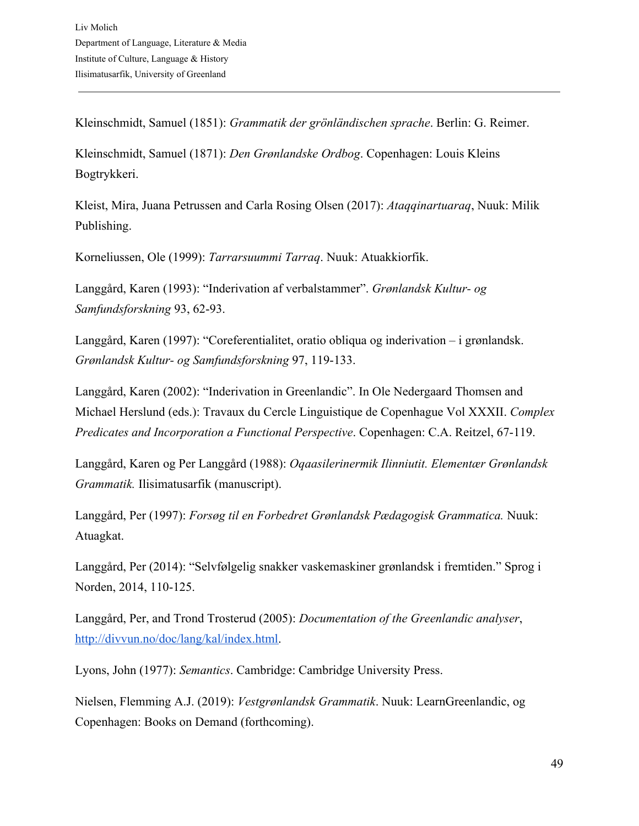Kleinschmidt, Samuel (1851): *Grammatik der grönländischen sprache*. Berlin: G. Reimer.

Kleinschmidt, Samuel (1871): *Den Grønlandske Ordbog*. Copenhagen: Louis Kleins Bogtrykkeri.

Kleist, Mira, Juana Petrussen and Carla Rosing Olsen (2017): *Ataqqinartuaraq*, Nuuk: Milik Publishing.

Korneliussen, Ole (1999): *Tarrarsuummi Tarraq*. Nuuk: Atuakkiorfik.

Langgård, Karen (1993): "Inderivation af verbalstammer". *Grønlandsk Kultur- og Samfundsforskning* 93, 62-93.

Langgård, Karen (1997): "Coreferentialitet, oratio obliqua og inderivation – i grønlandsk. *Grønlandsk Kultur- og Samfundsforskning* 97, 119-133.

Langgård, Karen (2002): "Inderivation in Greenlandic". In Ole Nedergaard Thomsen and Michael Herslund (eds.): Travaux du Cercle Linguistique de Copenhague Vol XXXII. *Complex Predicates and Incorporation a Functional Perspective*. Copenhagen: C.A. Reitzel, 67-119.

Langgård, Karen og Per Langgård (1988): *Oqaasilerinermik Ilinniutit. Elementær Grønlandsk Grammatik.* Ilisimatusarfik (manuscript).

Langgård, Per (1997): *Forsøg til en Forbedret Grønlandsk Pædagogisk Grammatica.* Nuuk: Atuagkat.

Langgård, Per (2014): "Selvfølgelig snakker vaskemaskiner grønlandsk i fremtiden." Sprog i Norden, 2014, 110-125.

Langgård, Per, and Trond Trosterud (2005): *Documentation of the Greenlandic analyser*, [http://divvun.no/doc/lang/kal/index.html.](http://divvun.no/doc/lang/kal/index.html)

Lyons, John (1977): *Semantics*. Cambridge: Cambridge University Press.

Nielsen, Flemming A.J. (2019): *Vestgrønlandsk Grammatik*. Nuuk: LearnGreenlandic, og Copenhagen: Books on Demand (forthcoming).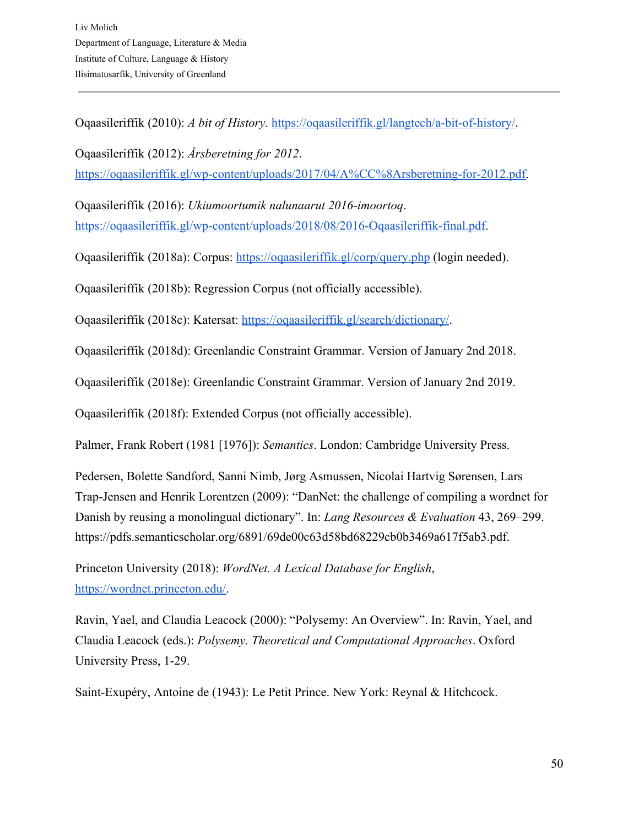Oqaasileriffik (2010): *A bit of History.* [https://oqaasileriffik.gl/langtech/a-bit-of-history/.](https://oqaasileriffik.gl/langtech/a-bit-of-history/)

Oqaasileriffik (2012): *Årsberetning for 2012*. [https://oqaasileriffik.gl/wp-content/uploads/2017/04/A%CC%8Arsberetning-for-2012.pdf.](https://oqaasileriffik.gl/wp-content/uploads/2017/04/A%CC%8Arsberetning-for-2012.pdf)

Oqaasileriffik (2016): *Ukiumoortumik nalunaarut 2016-imoortoq*. <https://oqaasileriffik.gl/wp-content/uploads/2018/08/2016-Oqaasileriffik-final.pdf>.

Oqaasileriffik (2018a): Corpus:<https://oqaasileriffik.gl/corp/query.php> (login needed).

Oqaasileriffik (2018b): Regression Corpus (not officially accessible).

Oqaasileriffik (2018c): Katersat: <https://oqaasileriffik.gl/search/dictionary/>.

Oqaasileriffik (2018d): Greenlandic Constraint Grammar. Version of January 2nd 2018.

Oqaasileriffik (2018e): Greenlandic Constraint Grammar. Version of January 2nd 2019.

Oqaasileriffik (2018f): Extended Corpus (not officially accessible).

Palmer, Frank Robert (1981 [1976]): *Semantics*. London: Cambridge University Press.

Pedersen, Bolette Sandford, Sanni Nimb, Jørg Asmussen, Nicolai Hartvig Sørensen, Lars Trap-Jensen and Henrik Lorentzen (2009): "DanNet: the challenge of compiling a wordnet for Danish by reusing a monolingual dictionary". In: *Lang Resources & Evaluation* 43, 269–299. https://pdfs.semanticscholar.org/6891/69de00c63d58bd68229cb0b3469a617f5ab3.pdf.

Princeton University (2018): *WordNet. A Lexical Database for English*, [https://wordnet.princeton.edu/.](https://wordnet.princeton.edu/)

Ravin, Yael, and Claudia Leacock (2000): "Polysemy: An Overview". In: Ravin, Yael, and Claudia Leacock (eds.): *Polysemy. Theoretical and Computational Approaches*. Oxford University Press, 1-29.

Saint-Exupéry, Antoine de (1943): Le Petit Prince. New York: Reynal & Hitchcock.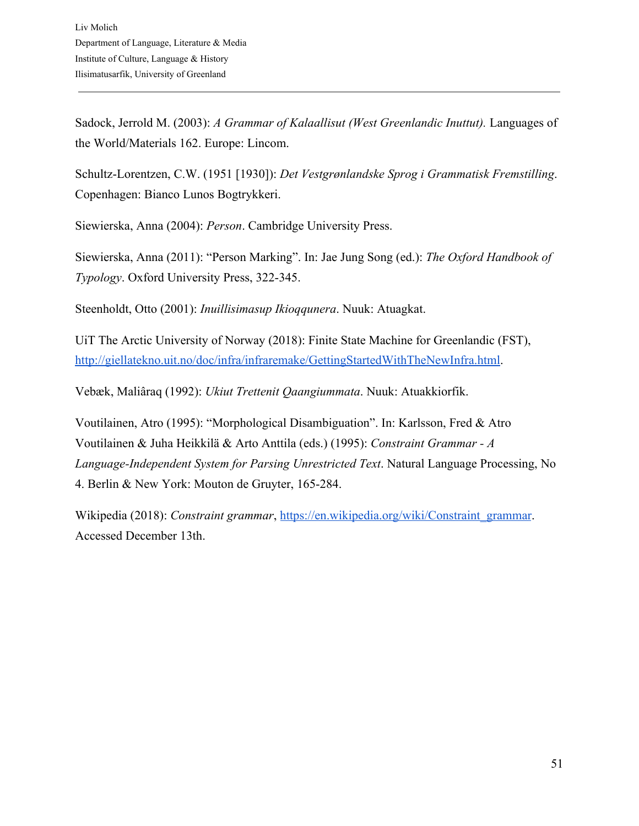Sadock, Jerrold M. (2003): *A Grammar of Kalaallisut (West Greenlandic Inuttut).* Languages of the World/Materials 162. Europe: Lincom.

Schultz-Lorentzen, C.W. (1951 [1930]): *Det Vestgrønlandske Sprog i Grammatisk Fremstilling*. Copenhagen: Bianco Lunos Bogtrykkeri.

Siewierska, Anna (2004): *Person*. Cambridge University Press.

Siewierska, Anna (2011): "Person Marking". In: Jae Jung Song (ed.): *The Oxford Handbook of Typology*. Oxford University Press, 322-345.

Steenholdt, Otto (2001): *Inuillisimasup Ikioqqunera*. Nuuk: Atuagkat.

UiT The Arctic University of Norway (2018): Finite State Machine for Greenlandic (FST), <http://giellatekno.uit.no/doc/infra/infraremake/GettingStartedWithTheNewInfra.html>.

Vebæk, Maliâraq (1992): *Ukiut Trettenit Qaangiummata*. Nuuk: Atuakkiorfik.

Voutilainen, Atro (1995): "Morphological Disambiguation". In: Karlsson, Fred & Atro Voutilainen & Juha Heikkilä & Arto Anttila (eds.) (1995): *Constraint Grammar - A Language-Independent System for Parsing Unrestricted Text*. Natural Language Processing, No 4. Berlin & New York: Mouton de Gruyter, 165-284.

Wikipedia (2018): *Constraint grammar*, [https://en.wikipedia.org/wiki/Constraint\\_grammar](https://en.wikipedia.org/wiki/Constraint_grammar). Accessed December 13th.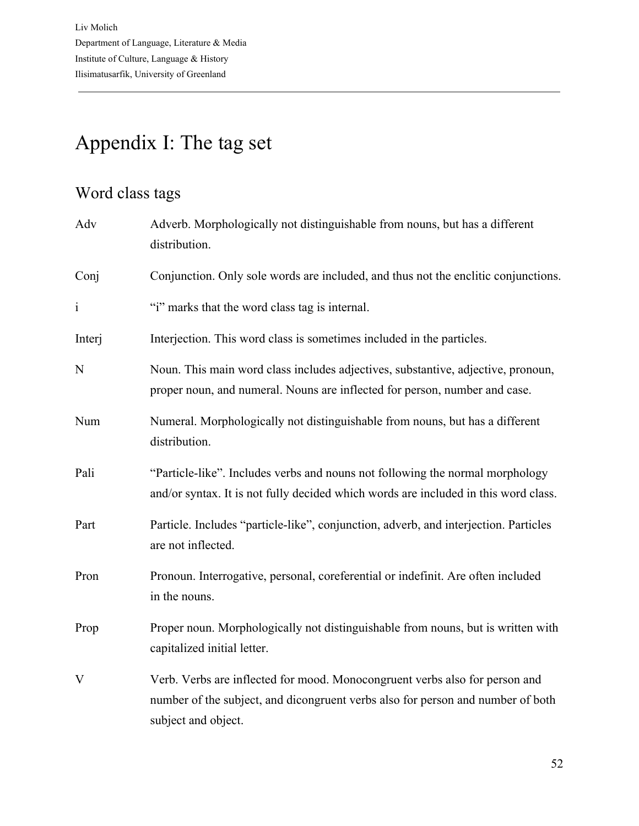# Appendix I: The tag set

## Word class tags

| Adv          | Adverb. Morphologically not distinguishable from nouns, but has a different<br>distribution.                                                                                          |
|--------------|---------------------------------------------------------------------------------------------------------------------------------------------------------------------------------------|
| Conj         | Conjunction. Only sole words are included, and thus not the enclitic conjunctions.                                                                                                    |
| $\mathbf{i}$ | "i" marks that the word class tag is internal.                                                                                                                                        |
| Interj       | Interjection. This word class is sometimes included in the particles.                                                                                                                 |
| N            | Noun. This main word class includes adjectives, substantive, adjective, pronoun,<br>proper noun, and numeral. Nouns are inflected for person, number and case.                        |
| Num          | Numeral. Morphologically not distinguishable from nouns, but has a different<br>distribution.                                                                                         |
| Pali         | "Particle-like". Includes verbs and nouns not following the normal morphology<br>and/or syntax. It is not fully decided which words are included in this word class.                  |
| Part         | Particle. Includes "particle-like", conjunction, adverb, and interjection. Particles<br>are not inflected.                                                                            |
| Pron         | Pronoun. Interrogative, personal, coreferential or indefinit. Are often included<br>in the nouns.                                                                                     |
| Prop         | Proper noun. Morphologically not distinguishable from nouns, but is written with<br>capitalized initial letter.                                                                       |
| $\mathbf{V}$ | Verb. Verbs are inflected for mood. Monocongruent verbs also for person and<br>number of the subject, and dicongruent verbs also for person and number of both<br>subject and object. |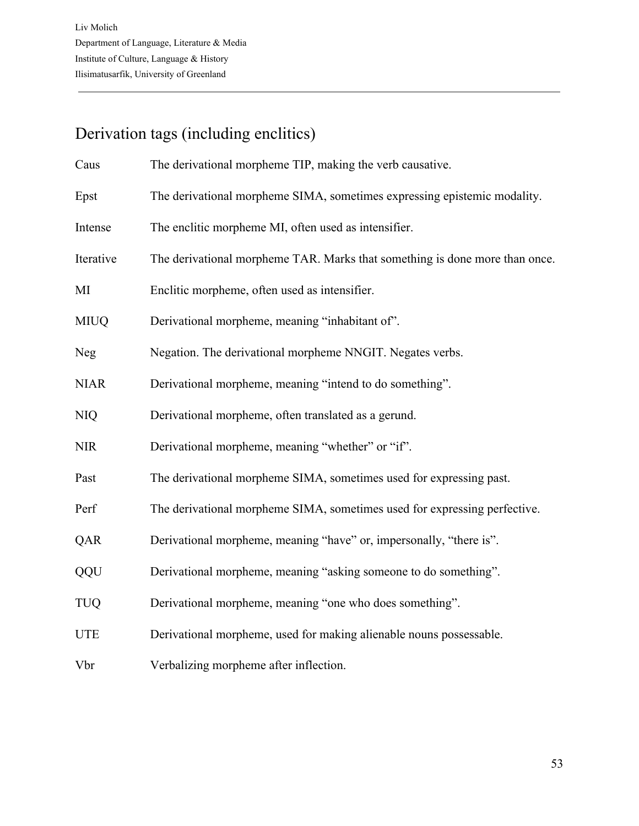## Derivation tags (including enclitics)

| Caus        | The derivational morpheme TIP, making the verb causative.                   |
|-------------|-----------------------------------------------------------------------------|
| Epst        | The derivational morpheme SIMA, sometimes expressing epistemic modality.    |
| Intense     | The enclitic morpheme MI, often used as intensifier.                        |
| Iterative   | The derivational morpheme TAR. Marks that something is done more than once. |
| MI          | Enclitic morpheme, often used as intensifier.                               |
| <b>MIUQ</b> | Derivational morpheme, meaning "inhabitant of".                             |
| <b>Neg</b>  | Negation. The derivational morpheme NNGIT. Negates verbs.                   |
| <b>NIAR</b> | Derivational morpheme, meaning "intend to do something".                    |
| <b>NIQ</b>  | Derivational morpheme, often translated as a gerund.                        |
| <b>NIR</b>  | Derivational morpheme, meaning "whether" or "if".                           |
| Past        | The derivational morpheme SIMA, sometimes used for expressing past.         |
| Perf        | The derivational morpheme SIMA, sometimes used for expressing perfective.   |
| QAR         | Derivational morpheme, meaning "have" or, impersonally, "there is".         |
| QQU         | Derivational morpheme, meaning "asking someone to do something".            |
| <b>TUQ</b>  | Derivational morpheme, meaning "one who does something".                    |
| <b>UTE</b>  | Derivational morpheme, used for making alienable nouns possessable.         |
| Vbr         | Verbalizing morpheme after inflection.                                      |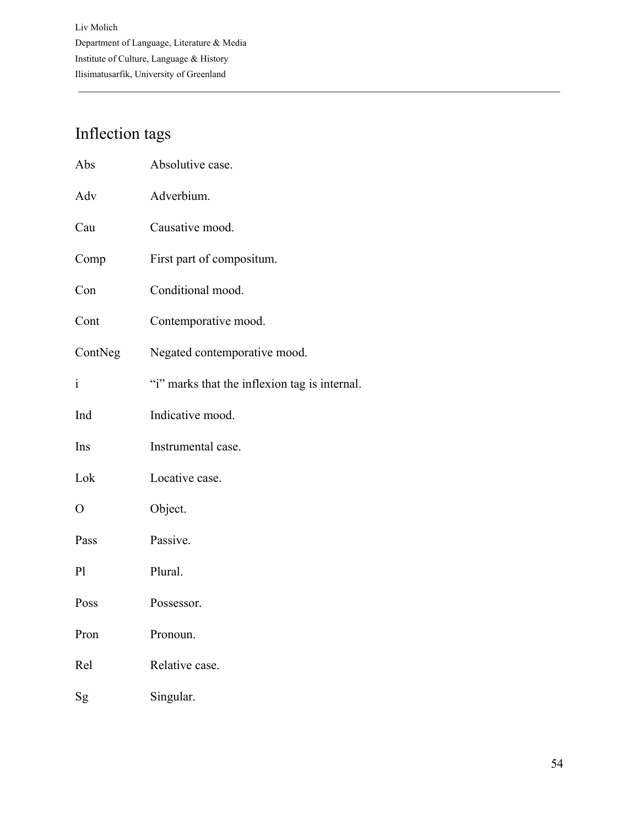## Inflection tags

| Abs            | Absolutive case.                              |
|----------------|-----------------------------------------------|
| Adv            | Adverbium.                                    |
| Cau            | Causative mood.                               |
| Comp           | First part of compositum.                     |
| Con            | Conditional mood.                             |
| Cont           | Contemporative mood.                          |
| ContNeg        | Negated contemporative mood.                  |
| $\mathbf{i}$   | "i" marks that the inflexion tag is internal. |
| Ind            | Indicative mood.                              |
| Ins            | Instrumental case.                            |
| Lok            | Locative case.                                |
| $\mathbf{O}$   | Object.                                       |
| Pass           | Passive.                                      |
| P <sub>1</sub> | Plural.                                       |
| Poss           | Possessor.                                    |
| Pron           | Pronoun.                                      |
| Rel            | Relative case.                                |
| Sg             | Singular.                                     |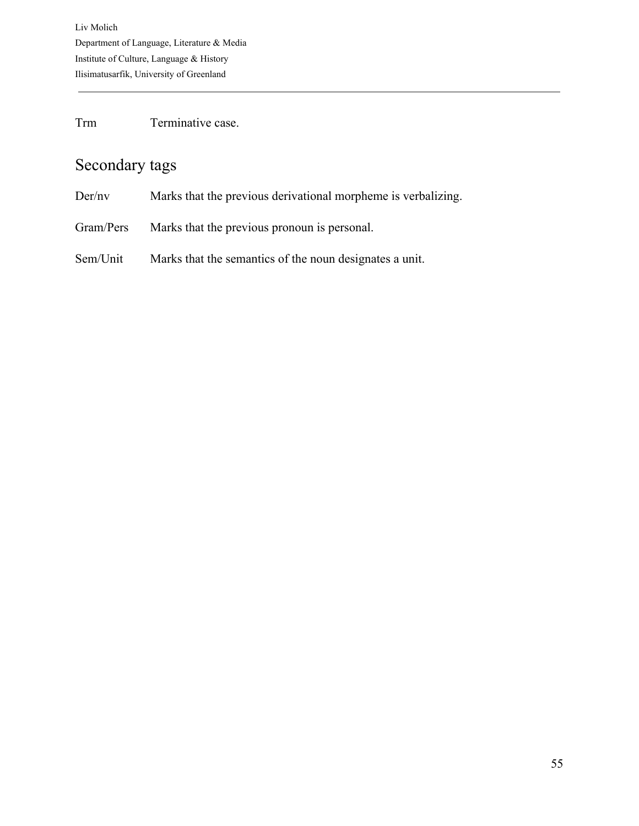Trm Terminative case.

## Secondary tags

- Der/nv Marks that the previous derivational morpheme is verbalizing.
- Gram/Pers Marks that the previous pronoun is personal.
- Sem/Unit Marks that the semantics of the noun designates a unit.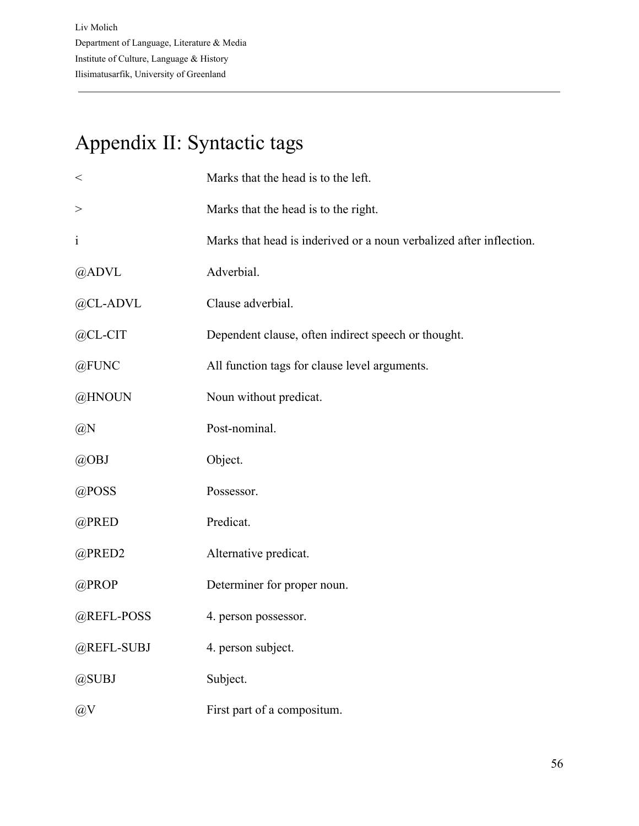# Appendix II: Syntactic tags

| $\,<$        | Marks that the head is to the left.                                 |
|--------------|---------------------------------------------------------------------|
| $\rm{>}$     | Marks that the head is to the right.                                |
| $\mathbf{i}$ | Marks that head is inderived or a noun verbalized after inflection. |
| @ADVL        | Adverbial.                                                          |
| @CL-ADVL     | Clause adverbial.                                                   |
| @CL-CIT      | Dependent clause, often indirect speech or thought.                 |
| @FUNC        | All function tags for clause level arguments.                       |
| @HNOUN       | Noun without predicat.                                              |
| @N           | Post-nominal.                                                       |
| @OBJ         | Object.                                                             |
| @POSS        | Possessor.                                                          |
| @PRED        | Predicat.                                                           |
| @PRED2       | Alternative predicat.                                               |
| @PROP        | Determiner for proper noun.                                         |
| @REFL-POSS   | 4. person possessor.                                                |
| @REFL-SUBJ   | 4. person subject.                                                  |
| @SUBJ        | Subject.                                                            |
| @V           | First part of a compositum.                                         |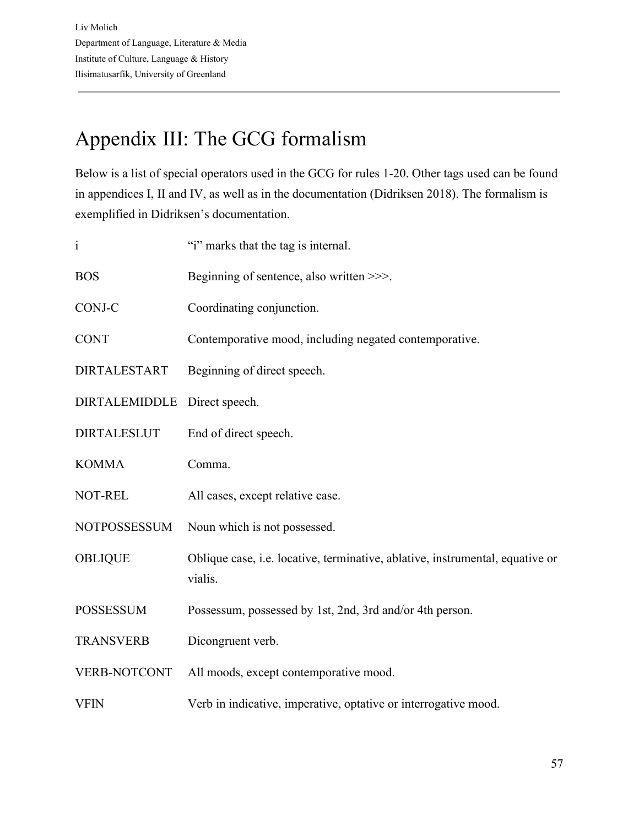# Appendix III: The GCG formalism

Below is a list of special operators used in the GCG for rules 1-20. Other tags used can be found in appendices I, II and IV, as well as in the documentation (Didriksen 2018). The formalism is exemplified in Didriksen's documentation.

| $\mathbf{i}$         | "i" marks that the tag is internal.                                                      |
|----------------------|------------------------------------------------------------------------------------------|
| <b>BOS</b>           | Beginning of sentence, also written >>>.                                                 |
| CONJ-C               | Coordinating conjunction.                                                                |
| <b>CONT</b>          | Contemporative mood, including negated contemporative.                                   |
| <b>DIRTALESTART</b>  | Beginning of direct speech.                                                              |
| <b>DIRTALEMIDDLE</b> | Direct speech.                                                                           |
| <b>DIRTALESLUT</b>   | End of direct speech.                                                                    |
| <b>KOMMA</b>         | Comma.                                                                                   |
| NOT-REL              | All cases, except relative case.                                                         |
| <b>NOTPOSSESSUM</b>  | Noun which is not possessed.                                                             |
| <b>OBLIQUE</b>       | Oblique case, i.e. locative, terminative, ablative, instrumental, equative or<br>vialis. |
| <b>POSSESSUM</b>     | Possessum, possessed by 1st, 2nd, 3rd and/or 4th person.                                 |
| <b>TRANSVERB</b>     | Dicongruent verb.                                                                        |
| <b>VERB-NOTCONT</b>  | All moods, except contemporative mood.                                                   |
| <b>VFIN</b>          | Verb in indicative, imperative, optative or interrogative mood.                          |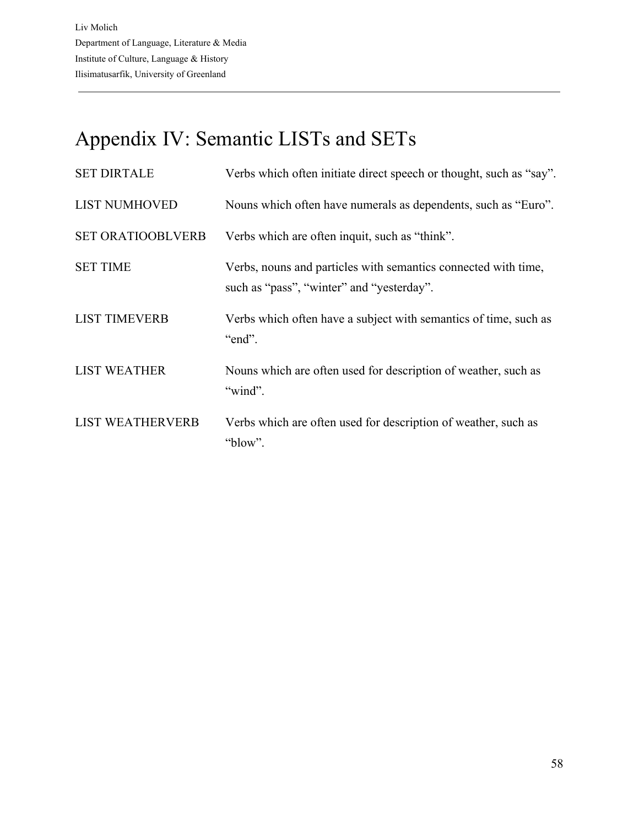# Appendix IV: Semantic LISTs and SETs

| <b>SET DIRTALE</b>       | Verbs which often initiate direct speech or thought, such as "say".                                         |
|--------------------------|-------------------------------------------------------------------------------------------------------------|
| <b>LIST NUMHOVED</b>     | Nouns which often have numerals as dependents, such as "Euro".                                              |
| <b>SET ORATIOOBLVERB</b> | Verbs which are often inquit, such as "think".                                                              |
| <b>SET TIME</b>          | Verbs, nouns and particles with semantics connected with time,<br>such as "pass", "winter" and "yesterday". |
| <b>LIST TIMEVERB</b>     | Verbs which often have a subject with semantics of time, such as<br>"end".                                  |
| <b>LIST WEATHER</b>      | Nouns which are often used for description of weather, such as<br>"wind".                                   |
| <b>LIST WEATHERVERB</b>  | Verbs which are often used for description of weather, such as<br>"blow".                                   |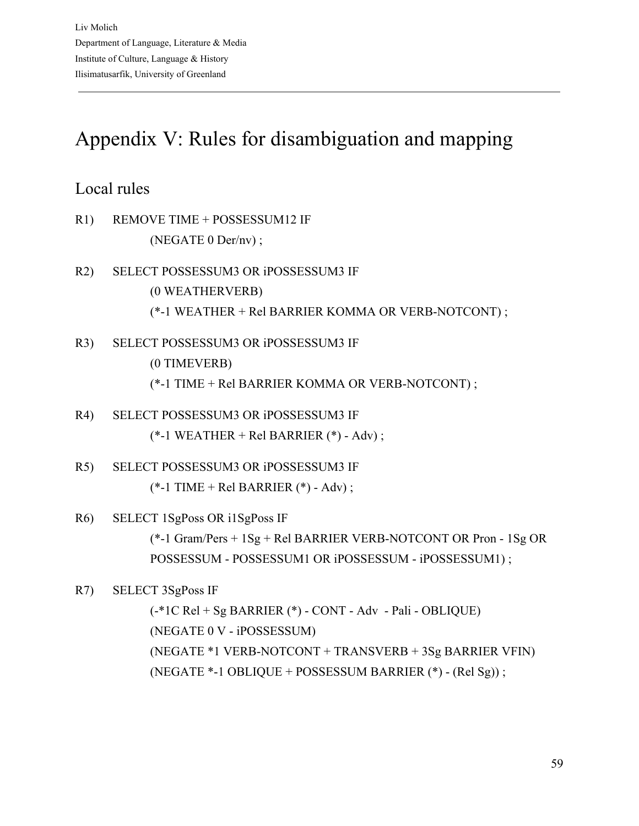# Appendix V: Rules for disambiguation and mapping

## Local rules

- R1) REMOVE TIME + POSSESSUM12 IF (NEGATE 0 Der/nv) ;
- R2) SELECT POSSESSUM3 OR iPOSSESSUM3 IF (0 WEATHERVERB) (\*-1 WEATHER + Rel BARRIER KOMMA OR VERB-NOTCONT) ;
- R3) SELECT POSSESSUM3 OR iPOSSESSUM3 IF (0 TIMEVERB)
	- (\*-1 TIME + Rel BARRIER KOMMA OR VERB-NOTCONT) ;
- R4) SELECT POSSESSUM3 OR iPOSSESSUM3 IF  $(*-1 \text{ WEATHER} + \text{Rel BARRIER} (*) - \text{Adv})$ ;
- R5) SELECT POSSESSUM3 OR iPOSSESSUM3 IF (\*-1 TIME + Rel BARRIER (\*) - Adv) ;
- R6) SELECT 1SgPoss OR i1SgPoss IF

(\*-1 Gram/Pers + 1Sg + Rel BARRIER VERB-NOTCONT OR Pron - 1Sg OR POSSESSUM - POSSESSUM1 OR iPOSSESSUM - iPOSSESSUM1) ;

R7) SELECT 3SgPoss IF

(-\*1C Rel + Sg BARRIER (\*) - CONT - Adv - Pali - OBLIQUE) (NEGATE 0 V - iPOSSESSUM) (NEGATE \*1 VERB-NOTCONT + TRANSVERB + 3Sg BARRIER VFIN) (NEGATE \*-1 OBLIQUE + POSSESSUM BARRIER (\*) - (Rel Sg)) ;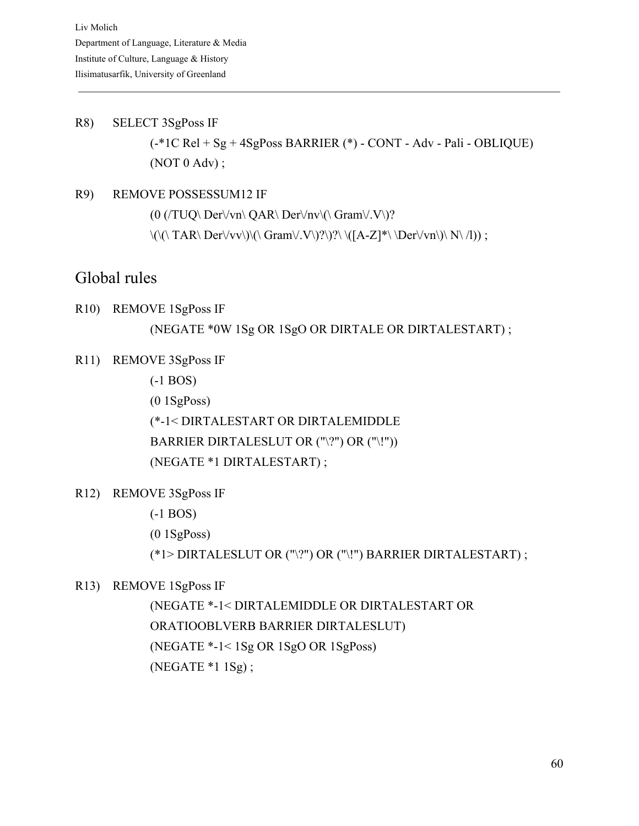R8) SELECT 3SgPoss IF (-\*1C Rel + Sg + 4SgPoss BARRIER (\*) - CONT - Adv - Pali - OBLIQUE) (NOT 0 Adv) ;

R9) REMOVE POSSESSUM12 IF  $(0 \,(TUQ \setminus Der \forall vu \setminus QAR \setminus Der \forall nv \setminus (\Gamma \Gamma \setminus V\setminus)^2)$  $\langle\langle\langle\rangle \rangle \langle TAR\langle Der\rangle\langle\langle vv\rangle\rangle \langle\rangle \langle Gram\rangle\langle V\rangle) \rangle$  \([A-Z]\*\\Der\/vn\)\ N\ /l)) ;

### Global rules

- R10) REMOVE 1SgPoss IF (NEGATE \*0W 1Sg OR 1SgO OR DIRTALE OR DIRTALESTART) ;
- R11) REMOVE 3SgPoss IF

(-1 BOS)

(0 1SgPoss)

(\*-1< DIRTALESTART OR DIRTALEMIDDLE BARRIER DIRTALESLUT OR ("\?") OR ("\!")) (NEGATE \*1 DIRTALESTART) ;

R12) REMOVE 3SgPoss IF

(-1 BOS)

(0 1SgPoss)

(\*1> DIRTALESLUT OR ("\?") OR ("\!") BARRIER DIRTALESTART) ;

#### R13) REMOVE 1SgPoss IF

(NEGATE \*-1< DIRTALEMIDDLE OR DIRTALESTART OR ORATIOOBLVERB BARRIER DIRTALESLUT) (NEGATE \*-1< 1Sg OR 1SgO OR 1SgPoss) (NEGATE \*1 1Sg) ;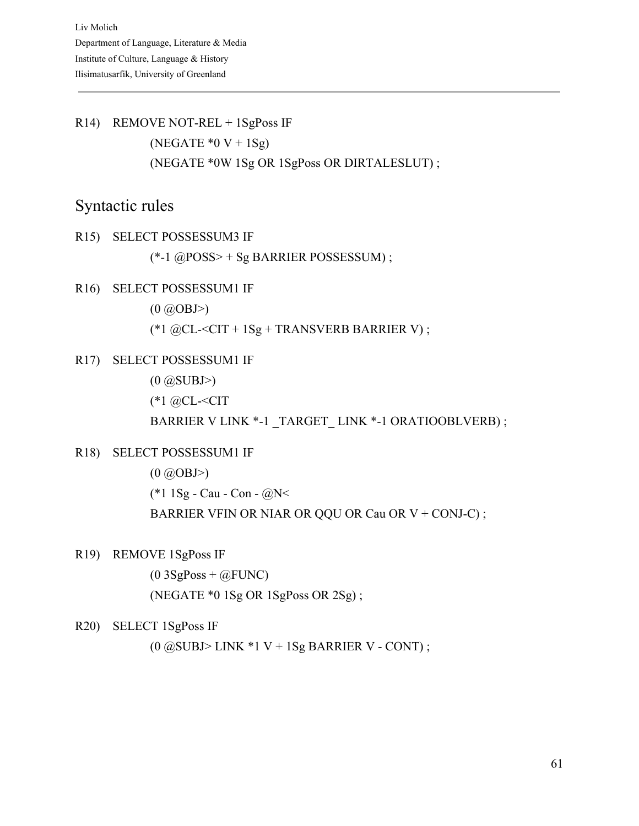R14) REMOVE NOT-REL + 1SgPoss IF (NEGATE  $*0 V + 1Sg$ ) (NEGATE \*0W 1Sg OR 1SgPoss OR DIRTALESLUT) ;

### Syntactic rules

R15) SELECT POSSESSUM3 IF

(\*-1 @POSS> + Sg BARRIER POSSESSUM) ;

#### R16) SELECT POSSESSUM1 IF

 $(0 \, \textcircled{a}$ OBJ>)

(\*1  $@CL < CIT + 1Sg + TRANSVERB BARRIER V$ );

R17) SELECT POSSESSUM1 IF

 $(0 \t@SUBJ>)$ 

(\*1 @CL-<CIT

BARRIER V LINK \*-1 \_TARGET\_ LINK \*-1 ORATIOOBLVERB) ;

R18) SELECT POSSESSUM1 IF

 $(0 \, \textcircled{a}$ OBJ>) (\*1 1Sg - Cau - Con - @N< BARRIER VFIN OR NIAR OR QQU OR Cau OR V + CONJ-C) ;

R19) REMOVE 1SgPoss IF

 $(0.3SgPoss + @FUNC)$ (NEGATE \*0 1Sg OR 1SgPoss OR 2Sg) ;

#### R20) SELECT 1SgPoss IF

 $(0 \oslash \text{SUBJ} > \text{LINK} * 1 \text{ V} + 1 \text{Sg} \text{ BARRIER V} - \text{CONT})$ ;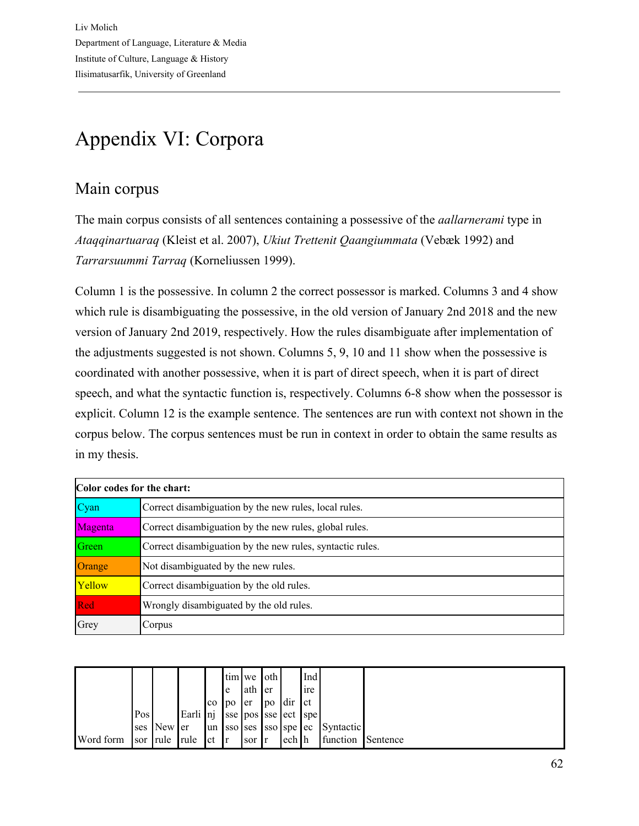# Appendix VI: Corpora

## Main corpus

The main corpus consists of all sentences containing a possessive of the *aallarnerami* type in *Ataqqinartuaraq* (Kleist et al. 2007), *Ukiut Trettenit Qaangiummata* (Vebæk 1992) and *Tarrarsuummi Tarraq* (Korneliussen 1999).

Column 1 is the possessive. In column 2 the correct possessor is marked. Columns 3 and 4 show which rule is disambiguating the possessive, in the old version of January 2nd 2018 and the new version of January 2nd 2019, respectively. How the rules disambiguate after implementation of the adjustments suggested is not shown. Columns 5, 9, 10 and 11 show when the possessive is coordinated with another possessive, when it is part of direct speech, when it is part of direct speech, and what the syntactic function is, respectively. Columns 6-8 show when the possessor is explicit. Column 12 is the example sentence. The sentences are run with context not shown in the corpus below. The corpus sentences must be run in context in order to obtain the same results as in my thesis.

| Color codes for the chart: |                                                           |  |  |  |  |  |  |  |  |  |
|----------------------------|-----------------------------------------------------------|--|--|--|--|--|--|--|--|--|
| Cyan                       | Correct disambiguation by the new rules, local rules.     |  |  |  |  |  |  |  |  |  |
| Magenta                    | Correct disambiguation by the new rules, global rules.    |  |  |  |  |  |  |  |  |  |
| Green                      | Correct disambiguation by the new rules, syntactic rules. |  |  |  |  |  |  |  |  |  |
| Orange                     | Not disambiguated by the new rules.                       |  |  |  |  |  |  |  |  |  |
| Yellow                     | Correct disambiguation by the old rules.                  |  |  |  |  |  |  |  |  |  |
| Red                        | Wrongly disambiguated by the old rules.                   |  |  |  |  |  |  |  |  |  |
| Grey                       | Corpus                                                    |  |  |  |  |  |  |  |  |  |

|           |     |            |                              |           |                 | tim we oth  |     |               | Ind |                                 |          |
|-----------|-----|------------|------------------------------|-----------|-----------------|-------------|-----|---------------|-----|---------------------------------|----------|
|           |     |            |                              |           | e               | lath        | ler |               | ire |                                 |          |
|           |     |            |                              | $\rm{co}$ | 1 <sub>DO</sub> | <b>l</b> er |     | $po$ dir $ct$ |     |                                 |          |
|           | Pos |            | Earli nj sse pos sse ect spe |           |                 |             |     |               |     |                                 |          |
|           |     | ses New er |                              |           |                 |             |     |               |     | un Sso ses Sso spe ec Syntactic |          |
| Word form |     |            | sor rule rule ct r           |           |                 | sor r       |     | ech h         |     | function                        | Sentence |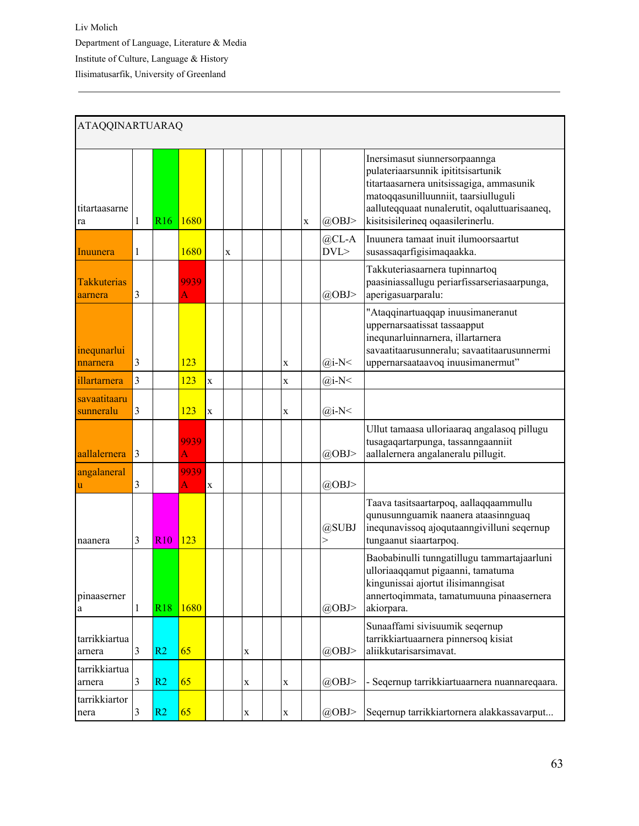| <b>ATAQQINARTUARAQ</b>        |                |            |           |             |   |             |  |             |   |                       |                                                                                                                                                                                                                                               |
|-------------------------------|----------------|------------|-----------|-------------|---|-------------|--|-------------|---|-----------------------|-----------------------------------------------------------------------------------------------------------------------------------------------------------------------------------------------------------------------------------------------|
| titartaasarne<br>ra           | 1              | <b>R16</b> | 1680      |             |   |             |  |             | X | @OBJ>                 | Inersimasut siunnersorpaannga<br>pulateriaarsunnik ipititsisartunik<br>titartaasarnera unitsissagiga, ammasunik<br>matoqqasunilluunniit, taarsiulluguli<br>aalluteqquaat nunalerutit, oqaluttuarisaaneq,<br>kisitsisilerineq oqaasilerinerlu. |
| Inuunera                      | 1              |            | 1680      |             | X |             |  |             |   | $@CD-A$<br>DVL        | Inuunera tamaat inuit ilumoorsaartut<br>susassaqarfigisimaqaakka.                                                                                                                                                                             |
| <b>Takkuterias</b><br>aarnera | 3              |            | 9939<br>A |             |   |             |  |             |   | @OBJ>                 | Takkuteriasaarnera tupinnartoq<br>paasiniassallugu periarfissarseriasaarpunga,<br>aperigasuarparalu:                                                                                                                                          |
| inequnarlui<br>nnarnera       | 3              |            | 123       |             |   |             |  | $\mathbf X$ |   | $(a)$ i-N<            | "Ataqqinartuaqqap inuusimaneranut<br>uppernarsaatissat tassaapput<br>inequnarluinnarnera, illartarnera<br>savaatitaarusunneralu; savaatitaarusunnermi<br>uppernarsaataavoq inuusimanermut"                                                    |
| illartarnera                  | $\overline{3}$ |            | 123       | $\mathbf X$ |   |             |  | $\mathbf X$ |   | $(a)$ i-N<            |                                                                                                                                                                                                                                               |
| savaatitaaru<br>sunneralu     | 3              |            | 123       | $\mathbf x$ |   |             |  | $\mathbf X$ |   | $(a)$ i-N<            |                                                                                                                                                                                                                                               |
| aallalernera                  | 3              |            | 9939<br>A |             |   |             |  |             |   | @OBJ>                 | Ullut tamaasa ulloriaaraq angalasoq pillugu<br>tusagaqartarpunga, tassanngaanniit<br>aallalernera angalaneralu pillugit.                                                                                                                      |
| angalaneral<br>u              | 3              |            | 9939<br>A | $\mathbf X$ |   |             |  |             |   | $(a)$ OBJ>            |                                                                                                                                                                                                                                               |
| naanera                       | 3              | <b>R10</b> | 123       |             |   |             |  |             |   | @SUBJ<br>$\mathbf{r}$ | Taava tasitsaartarpoq, aallaqqaammullu<br>qunusunnguamik naanera ataasinnguaq<br>inequnavissoq ajoqutaanngivilluni seqernup<br>tungaanut siaartarpoq.                                                                                         |
| pinaaserner<br>a              | 1              | <b>R18</b> | 1680      |             |   |             |  |             |   | @OBJ>                 | Baobabinulli tunngatillugu tammartajaarluni<br>ulloriaaqqamut pigaanni, tamatuma<br>kingunissai ajortut ilisimanngisat<br>annertoqimmata, tamatumuuna pinaasernera<br>akiorpara.                                                              |
| tarrikkiartua<br>arnera       | 3              | R2         | 65        |             |   | X           |  |             |   | @OBJ>                 | Sunaaffami sivisuumik seqernup<br>tarrikkiartuaarnera pinnersoq kisiat<br>aliikkutarisarsimavat.                                                                                                                                              |
| tarrikkiartua<br>arnera       | 3              | R2         | 65        |             |   | X           |  | $\mathbf X$ |   | $(a)$ OBJ>            | - Seqernup tarrikkiartuaarnera nuannareqaara.                                                                                                                                                                                                 |
| tarrikkiartor<br>nera         | 3              | R2         | 65        |             |   | $\mathbf X$ |  | $\mathbf X$ |   | $(a)$ OBJ>            | Segernup tarrikkiartornera alakkassavarput                                                                                                                                                                                                    |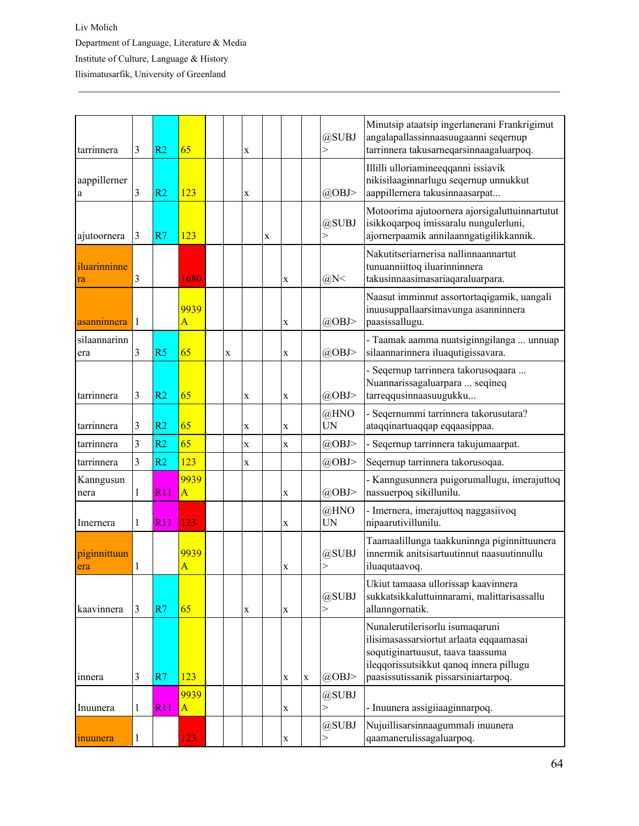| tarrinnera          | 3            | R <sub>2</sub> | 65                              |             | X |             |             |   | @SUBJ<br>$\mathbf{r}$ | Minutsip ataatsip ingerlanerani Frankrigimut<br>angalapallassinnaasuugaanni seqernup<br>tarrinnera takusarneqarsinnaagaluarpoq.                                                                    |
|---------------------|--------------|----------------|---------------------------------|-------------|---|-------------|-------------|---|-----------------------|----------------------------------------------------------------------------------------------------------------------------------------------------------------------------------------------------|
| aappillerner<br>a   | 3            | R <sub>2</sub> | 123                             |             | X |             |             |   | @OBJ>                 | Illilli ulloriamineeqqanni issiavik<br>nikisilaaginnarlugu seqernup unnukkut<br>aappillernera takusinnaasarpat                                                                                     |
| ajutoornera         | 3            | R7             | 123                             |             |   | $\mathbf X$ |             |   | @SUBJ<br>>            | Motoorima ajutoornera ajorsigaluttuinnartutut<br>isikkoqarpoq imissaralu nungulerluni,<br>ajornerpaamik annilaanngatigilikkannik.                                                                  |
| iluarinninne<br>ra  | 3            |                | 1680                            |             |   |             | X           |   | $(a)$ N<              | Nakutitseriarnerisa nallinnaannartut<br>tunuanniittoq iluarinninnera<br>takusinnaasimasariaqaraluarpara.                                                                                           |
| asanninnera         | 1            |                | 9939<br>A                       |             |   |             | X           |   | @OBJ>                 | Naasut imminnut assortortaqigamik, uangali<br>inuusuppallaarsimavunga asanninnera<br>paasissallugu.                                                                                                |
| silaannarinn<br>era | 3            | R <sub>5</sub> | 65                              | $\mathbf X$ |   |             | X           |   | $(a)$ OBJ>            | - Taamak aamma nuatsiginngilanga  unnuap<br>silaannarinnera iluaqutigissavara.                                                                                                                     |
| tarrinnera          | 3            | R <sub>2</sub> | 65                              |             | X |             | X           |   | @OBJ>                 | - Seqernup tarrinnera takorusoqaara<br>Nuannarissagaluarpara  seqineq<br>tarreqqusinnaasuugukku                                                                                                    |
| tarrinnera          | 3            | R <sub>2</sub> | 65                              |             | X |             | X           |   | @HNO<br>UN            | - Seqernummi tarrinnera takorusutara?<br>ataqqinartuaqqap eqqaasippaa.                                                                                                                             |
| tarrinnera          | 3            | R <sub>2</sub> | 65                              |             | X |             | X           |   | @OBJ>                 | - Seqernup tarrinnera takujumaarpat.                                                                                                                                                               |
| tarrinnera          | 3            | R <sub>2</sub> | 123                             |             | X |             |             |   | @OBJ>                 | Seqernup tarrinnera takorusoqaa.                                                                                                                                                                   |
| Kanngusun<br>nera   | 1            | R11            | 9939<br>$\overline{A}$          |             |   |             | X           |   | @OBJ>                 | - Kanngusunnera puigorumallugu, imerajuttoq<br>nassuerpoq sikillunilu.                                                                                                                             |
| Imernera            | 1            | R11            | 123                             |             |   |             | X           |   | @HNO<br>UN            | - Imernera, imerajuttoq naggasiivoq<br>nipaarutivillunilu.                                                                                                                                         |
| piginnittuun<br>era | 1            |                | 9939<br>$\overline{\mathsf{A}}$ |             |   |             | X           |   | @SUBJ<br>>            | Taamaalillunga taakkuninnga piginnittuunera<br>innermik anitsisartuutinnut naasuutinnullu<br>iluaqutaavoq.                                                                                         |
| kaavinnera          | 3            | R7             | 65                              |             | X |             | $\mathbf X$ |   | @SUBJ<br>$\mathbf{r}$ | Ukiut tamaasa ullorissap kaavinnera<br>sukkatsikkaluttuinnarami, malittarisassallu<br>allanngornatik.                                                                                              |
| innera              | 3            | R7             | 123                             |             |   |             | X           | X | @OBJ>                 | Nunalerutilerisorlu isumaqaruni<br>ilisimasassarsiortut arlaata eqqaamasai<br>soqutiginartuusut, taava taassuma<br>ileqqorissutsikkut qanoq innera pillugu<br>paasissutissanik pissarsiniartarpoq. |
| Inuunera            | 1            | R11            | 9939<br>$\overline{A}$          |             |   |             | X           |   | @SUBJ<br>$\geq$       | - Inuunera assigiiaaginnarpoq.                                                                                                                                                                     |
| inuunera            | $\mathbf{1}$ |                | 123                             |             |   |             | X           |   | @SUBJ<br>>            | Nujuillisarsinnaagummali inuunera<br>qaamanerulissagaluarpoq.                                                                                                                                      |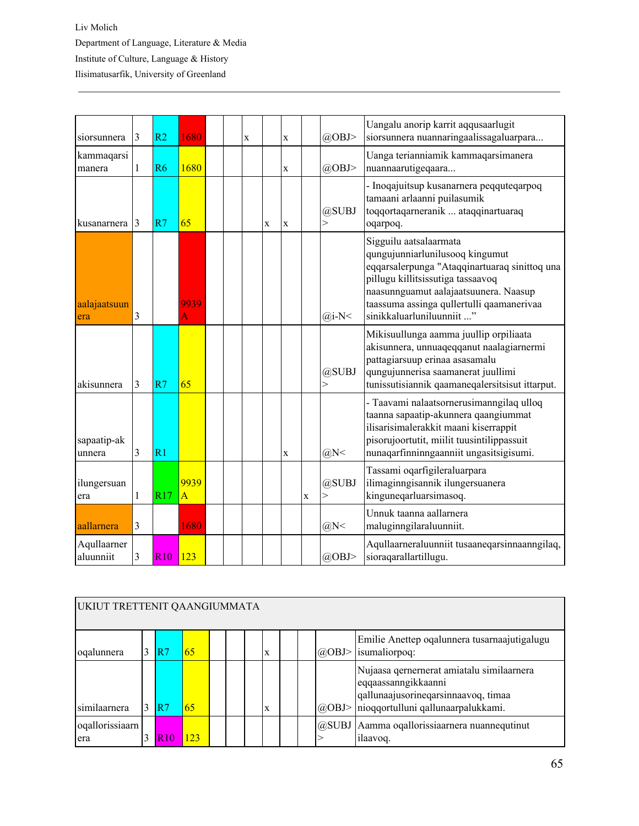| siorsunnera              | 3             | R <sub>2</sub>  | 1680                   |  | X |             | X           |   | @OBJ>                 | Uangalu anorip karrit aqqusaarlugit<br>siorsunnera nuannaringaalissagaluarpara                                                                                                                                                                                     |
|--------------------------|---------------|-----------------|------------------------|--|---|-------------|-------------|---|-----------------------|--------------------------------------------------------------------------------------------------------------------------------------------------------------------------------------------------------------------------------------------------------------------|
| kammaqarsi<br>manera     | 1             | R6              | 1680                   |  |   |             | $\mathbf X$ |   | $(a)$ OBJ>            | Uanga terianniamik kammaqarsimanera<br>nuannaarutigeqaara                                                                                                                                                                                                          |
| kusanarnera              | $\mathcal{E}$ | R7              | 65                     |  |   | $\mathbf x$ | X           |   | @SUBJ<br>$\mathbf{r}$ | - Inoqajuitsup kusanarnera peqquteqarpoq<br>tamaani arlaanni puilasumik<br>toqqortaqarneranik  ataqqinartuaraq<br>oqarpoq.                                                                                                                                         |
| aalajaatsuun<br>era      | 3             |                 | 9939<br>A              |  |   |             |             |   | $(a)$ i-N<            | Sigguilu aatsalaarmata<br>qungujunniarlunilusooq kingumut<br>eqqarsalerpunga "Ataqqinartuaraq sinittoq una<br>pillugu killitsissutiga tassaavoq<br>naasunnguamut aalajaatsuunera. Naasup<br>taassuma assinga qullertulli qaamanerivaa<br>sinikkaluarluniluunniit " |
| akisunnera               | 3             | R7              | 65                     |  |   |             |             |   | @SUBJ<br>$\rm{>}$     | Mikisuullunga aamma juullip orpiliaata<br>akisunnera, unnuaqeqqanut naalagiarnermi<br>pattagiarsuup erinaa asasamalu<br>qungujunnerisa saamanerat juullimi<br>tunissutisiannik qaamaneqalersitsisut ittarput.                                                      |
| sapaatip-ak<br>unnera    | 3             | $\overline{R}1$ |                        |  |   |             | X           |   | $(a)$ N<              | - Taavami nalaatsornerusimanngilaq ulloq<br>taanna sapaatip-akunnera qaangiummat<br>ilisarisimalerakkit maani kiserrappit<br>pisorujoortutit, miilit tuusintilippassuit<br>nunaqarfinninngaanniit ungasitsigisumi.                                                 |
| ilungersuan<br>era       | 1             | R17             | 9939<br>$\overline{A}$ |  |   |             |             | X | @SUBJ<br>>            | Tassami oqarfigileraluarpara<br>ilimaginngisannik ilungersuanera<br>kinguneqarluarsimasoq.                                                                                                                                                                         |
| aallarnera               | 3             |                 | 1680                   |  |   |             |             |   | $(a)$ N<              | Unnuk taanna aallarnera<br>maluginngilaraluunniit.                                                                                                                                                                                                                 |
| Aqullaarner<br>aluunniit | 3             | R10             | 123                    |  |   |             |             |   | $(a)$ OBJ>            | Aqullaarneraluunniit tusaaneqarsinnaanngilaq,<br>sioraqarallartillugu.                                                                                                                                                                                             |

|                        | UKIUT TRETTENIT QAANGIUMMATA |         |     |  |  |  |   |  |  |               |                                                                                                                                               |  |  |  |
|------------------------|------------------------------|---------|-----|--|--|--|---|--|--|---------------|-----------------------------------------------------------------------------------------------------------------------------------------------|--|--|--|
| oqalunnera             |                              | R7      | 65  |  |  |  | X |  |  | $\omega$ OBJ> | Emilie Anettep oqalunnera tusarnaajutigalugu<br>isumaliorpoq:                                                                                 |  |  |  |
| similaarnera           |                              | R7      | 65  |  |  |  | X |  |  | $\omega$ OBJ> | Nujaasa qernernerat amiatalu similaarnera<br>eqqaassanngikkaanni<br>qallunaajusorineqarsinnaavoq, timaa<br>nioqqortulluni qallunaarpalukkami. |  |  |  |
| oqallorissiaarn<br>era |                              | 10<br>R | 123 |  |  |  |   |  |  |               | @SUBJ Aamma oqallorissiaarnera nuannequtinut<br>ilaavoq.                                                                                      |  |  |  |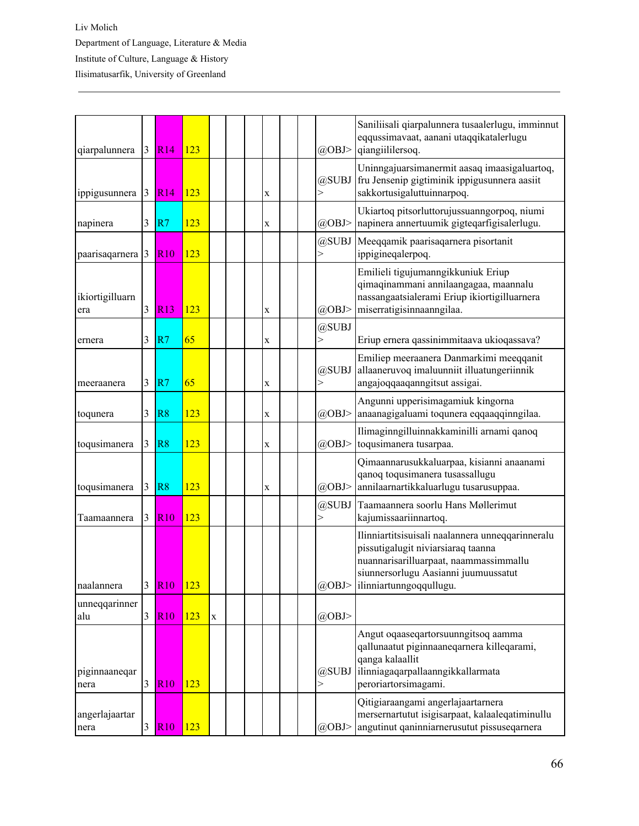| qiarpalunnera          | $\mathfrak{Z}$ | <b>R14</b>  | 123         |             |  |             |  | @OBJ>             | Saniliisali qiarpalunnera tusaalerlugu, imminnut<br>eqqussimavaat, aanani utaqqikatalerlugu<br>qiangiililersoq.                                                                                     |
|------------------------|----------------|-------------|-------------|-------------|--|-------------|--|-------------------|-----------------------------------------------------------------------------------------------------------------------------------------------------------------------------------------------------|
| ippigusunnera          | 3              | <b>R14</b>  | 123         |             |  | X           |  | @SUBJ<br>$\rm{>}$ | Uninngajuarsimanermit aasaq imaasigaluartoq,<br>fru Jensenip gigtiminik ippigusunnera aasiit<br>sakkortusigaluttuinnarpoq.                                                                          |
| napinera               | 3              | R7          | 123         |             |  | $\mathbf X$ |  | @OBJ>             | Ukiartoq pitsorluttorujussuanngorpoq, niumi<br>napinera annertuumik gigteqarfigisalerlugu.                                                                                                          |
| paarisaqarnera         | 3              | <b>R10</b>  | 123         |             |  |             |  | @SUBJ<br>>        | Meeqqamik paarisaqarnera pisortanit<br>ippigineqalerpoq.                                                                                                                                            |
| ikiortigilluarn<br>era | 3              | R13         | 123         |             |  | X           |  | $(a)$ OBJ>        | Emilieli tigujumanngikkuniuk Eriup<br>qimaqinammani annilaangagaa, maannalu<br>nassangaatsialerami Eriup ikiortigilluarnera<br>miserratigisinnaanngilaa.                                            |
| ernera                 | 3              | R7          | 65          |             |  | X           |  | @SUBJ<br>$\gt$    | Eriup ernera qassinimmitaava ukioqassava?                                                                                                                                                           |
| meeraanera             | 3              | R7          | 65          |             |  | X           |  | @SUBJ             | Emiliep meeraanera Danmarkimi meeqqanit<br>allaaneruvoq imaluunniit illuatungeriinnik<br>angajoqqaaqanngitsut assigai.                                                                              |
| toqunera               | 3              | R8          | 123         |             |  | $\mathbf X$ |  | @OBJ>             | Angunni upperisimagamiuk kingorna<br>anaanagigaluami toqunera eqqaaqqinngilaa.                                                                                                                      |
| toqusimanera           | 3              | R8          | 123         |             |  | $\mathbf X$ |  | @OBJ>             | Ilimaginngilluinnakkaminilli arnami qanoq<br>toqusimanera tusarpaa.                                                                                                                                 |
| toqusimanera           | 3              | R8          | 123         |             |  | X           |  | @OBJ>             | Qimaannarusukkaluarpaa, kisianni anaanami<br>qanoq toqusimanera tusassallugu<br>annilaarnartikkaluarlugu tusarusuppaa.                                                                              |
| Taamaannera            | 3              | <b>R10</b>  | 123         |             |  |             |  | @SUBJ<br>$\geq$   | Taamaannera soorlu Hans Møllerimut<br>kajumissaariinnartoq.                                                                                                                                         |
| naalannera             | 3              | <u> R10</u> | <u> 123</u> |             |  |             |  | $\omega$ OBJ>     | Ilinniartitsisuisali naalannera unneqqarinneralu<br>pissutigalugit niviarsiaraq taanna<br>nuannarisarilluarpaat, naammassimmallu<br>siunnersorlugu Aasianni juumuussatut<br>ilinniartunngoqqullugu. |
| unneqqarinner<br>alu   | $\mathfrak{Z}$ | <b>R10</b>  | 123         | $\mathbf X$ |  |             |  | @OBJ>             |                                                                                                                                                                                                     |
| piginnaaneqar<br>nera  | $\overline{3}$ | <b>R10</b>  | 123         |             |  |             |  | @SUBJ<br>$\rm{>}$ | Angut oqaaseqartorsuunngitsoq aamma<br>qallunaatut piginnaaneqarnera killeqarami,<br>qanga kalaallit<br>ilinniagaqarpallaanngikkallarmata<br>peroriartorsimagami.                                   |
| angerlajaartar<br>nera | 3              | <b>R10</b>  | 123         |             |  |             |  | $(a)$ OBJ>        | Qitigiaraangami angerlajaartarnera<br>mersernartutut isigisarpaat, kalaaleqatiminullu<br>angutinut qaninniarnerusutut pissuseqarnera                                                                |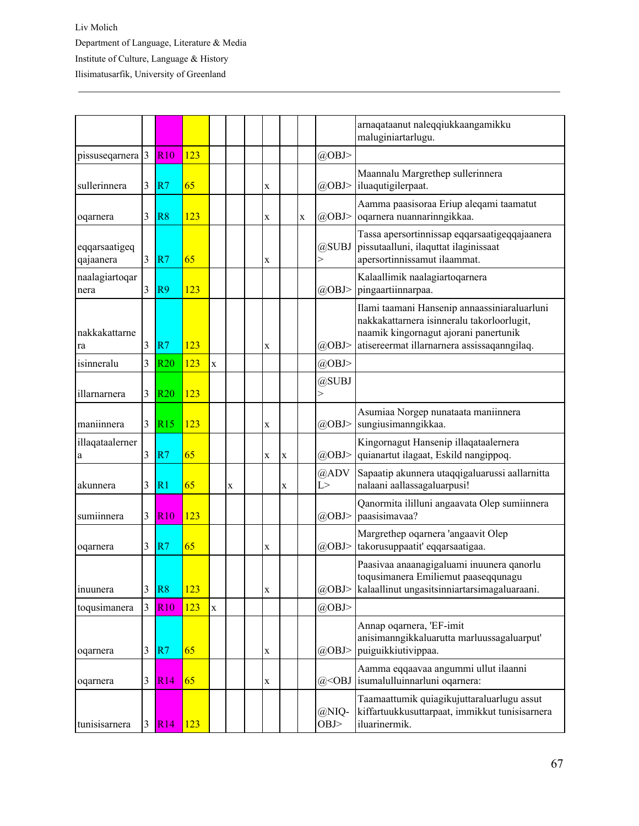|                            |                         |                |     |             |             |   |   |             |                | arnaqataanut naleqqiukkaangamikku<br>maluginiartarlugu.                                                                                                                            |
|----------------------------|-------------------------|----------------|-----|-------------|-------------|---|---|-------------|----------------|------------------------------------------------------------------------------------------------------------------------------------------------------------------------------------|
| pissuseqarnera             | 3                       | <b>R10</b>     | 123 |             |             |   |   |             | $(a)$ OBJ>     |                                                                                                                                                                                    |
| sullerinnera               | 3                       | R7             | 65  |             |             | X |   |             | $(a)$ OBJ>     | Maannalu Margrethep sullerinnera<br>iluaqutigilerpaat.                                                                                                                             |
| oqarnera                   | 3                       | R8             | 123 |             |             | X |   | $\mathbf X$ | $(a)$ OBJ>     | Aamma paasisoraa Eriup aleqami taamatut<br>oqarnera nuannarinngikkaa.                                                                                                              |
| eqqarsaatigeq<br>qajaanera | 3                       | R7             | 65  |             |             | X |   |             | @SUBJ<br>$\!>$ | Tassa apersortinnissap eqqarsaatigeqqajaanera<br>pissutaalluni, ilaquttat ilaginissaat<br>apersortinnissamut ilaammat.                                                             |
| naalagiartoqar<br>nera     | 3                       | R <sub>9</sub> | 123 |             |             |   |   |             | $(a)$ OBJ>     | Kalaallimik naalagiartoqarnera<br>pingaartiinnarpaa.                                                                                                                               |
| nakkakattarne<br>ra        | 3                       | R7             | 123 |             |             | X |   |             | @OBJ>          | Ilami taamani Hansenip annaassiniaraluarluni<br>nakkakattarnera isinneralu takorloorlugit,<br>naamik kingornagut ajorani panertunik<br>atisereermat illarnarnera assissaqanngilaq. |
| isinneralu                 | 3                       | <b>R20</b>     | 123 | $\mathbf X$ |             |   |   |             | $(a)$ OBJ>     |                                                                                                                                                                                    |
| illarnarnera               | 3                       | <b>R20</b>     | 123 |             |             |   |   |             | @SUBJ<br>>     |                                                                                                                                                                                    |
| maniinnera                 | 3                       | R15            | 123 |             |             | X |   |             | $(a)$ OBJ>     | Asumiaa Norgep nunataata maniinnera<br>sungiusimanngikkaa.                                                                                                                         |
| illaqataalerner<br>a       | 3                       | R7             | 65  |             |             | X | X |             | $(a)$ OBJ>     | Kingornagut Hansenip illaqataalernera<br>quianartut ilagaat, Eskild nangippoq.                                                                                                     |
| akunnera                   | 3                       | R <sub>1</sub> | 65  |             | $\mathbf X$ |   | X |             | @ADV<br>L >    | Sapaatip akunnera utaqqigaluarussi aallarnitta<br>nalaani aallassagaluarpusi!                                                                                                      |
| sumiinnera                 | 3                       | <b>R10</b>     | 123 |             |             |   |   |             | $(a)$ OBJ>     | Qanormita ililluni angaavata Olep sumiinnera<br>paasisimavaa?                                                                                                                      |
| oqarnera                   | 3                       | R7             | 65  |             |             | X |   |             | $(a)$ OBJ>     | Margrethep oqarnera 'angaavit Olep<br>takorusuppaatit' eqqarsaatigaa.                                                                                                              |
| inuunera                   | 3                       | R8             | 123 |             |             | X |   |             | $(a)$ OBJ>     | Paasivaa anaanagigaluami inuunera qanorlu<br>toqusimanera Emiliemut paaseqqunagu<br>kalaallinut ungasitsinniartarsimagaluaraani.                                                   |
| toqusimanera               | $\overline{\mathbf{3}}$ | R10            | 123 | $\mathbf X$ |             |   |   |             | @OBJ>          |                                                                                                                                                                                    |
| oqarnera                   | 3                       | R7             | 65  |             |             | X |   |             | $(a)$ OBJ>     | Annap oqarnera, 'EF-imit<br>anisimanngikkaluarutta marluussagaluarput'<br>puiguikkiutivippaa.                                                                                      |
| oqarnera                   | 3                       | R14            | 65  |             |             | X |   |             | $@<$ OBJ       | Aamma eqqaavaa angummi ullut ilaanni<br>isumalulluinnarluni oqarnera:                                                                                                              |
| tunisisarnera              | $\mathfrak{Z}$          | R14            | 123 |             |             |   |   |             | @NIQ-<br>OBJ   | Taamaattumik quiagikujuttaraluarlugu assut<br>kiffartuukkusuttarpaat, immikkut tunisisarnera<br>iluarinermik.                                                                      |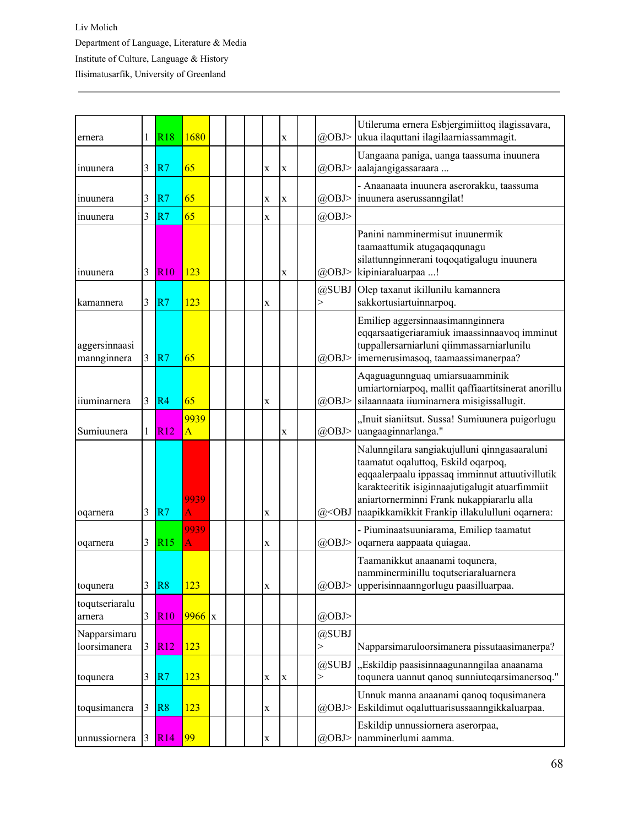| ernera                       | 1              | <b>R18</b>       | 1680       |  |             | X           | @OBJ>      | Utileruma ernera Esbjergimiittoq ilagissavara,<br>ukua ilaquttani ilagilaarniassammagit.                                                                                                                                                                                                 |
|------------------------------|----------------|------------------|------------|--|-------------|-------------|------------|------------------------------------------------------------------------------------------------------------------------------------------------------------------------------------------------------------------------------------------------------------------------------------------|
| inuunera                     | 3              | R7               | 65         |  | $\mathbf X$ | X           | $(a)$ OBJ> | Uangaana paniga, uanga taassuma inuunera<br>aalajangigassaraara                                                                                                                                                                                                                          |
| inuunera                     | 3              | R7               | 65         |  | $\mathbf X$ | X           | @OBJ>      | - Anaanaata inuunera aserorakku, taassuma<br>inuunera aserussanngilat!                                                                                                                                                                                                                   |
| inuunera                     | 3              | R7               | 65         |  | $\mathbf x$ |             | @OBJ>      |                                                                                                                                                                                                                                                                                          |
| inuunera                     | 3              | <b>R10</b>       | 123        |  |             | X           | $(a)$ OBJ> | Panini namminermisut inuunermik<br>taamaattumik atugaqaqqunagu<br>silattunnginnerani toqoqatigalugu inuunera<br>kipiniaraluarpaa !                                                                                                                                                       |
| kamannera                    | 3              | R7               | 123        |  | $\mathbf X$ |             | @SUBJ<br>> | Olep taxanut ikillunilu kamannera<br>sakkortusiartuinnarpoq.                                                                                                                                                                                                                             |
| aggersinnaasi<br>mannginnera | 3              | R7               | 65         |  |             |             | $(a)$ OBJ> | Emiliep aggersinnaasimannginnera<br>eqqarsaatigeriaramiuk imaassinnaavoq imminut<br>tuppallersarniarluni qiimmassarniarlunilu<br>imernerusimasoq, taamaassimanerpaa?                                                                                                                     |
| iiuminarnera                 | 3              | R4               | 65         |  | $\mathbf X$ |             | @OBJ>      | Aqaguagunnguaq umiarsuaamminik<br>umiartorniarpoq, mallit qaffiaartitsinerat anorillu<br>silaannaata iiuminarnera misigissallugit.                                                                                                                                                       |
| Sumiuunera                   | 1              | $\overline{R12}$ | 9939<br>A  |  |             | X           | @OBJ>      | "Inuit sianiitsut. Sussa! Sumiuunera puigorlugu<br>uangaaginnarlanga."                                                                                                                                                                                                                   |
| oqarnera                     | 3              | R7               | 9939<br>A  |  | $\mathbf X$ |             | $@<$ OBJ   | Nalunngilara sangiakujulluni qinngasaaraluni<br>taamatut oqaluttoq, Eskild oqarpoq,<br>eqqaalerpaalu ippassaq imminnut attuutivillutik<br>karakteeritik isiginnaajutigalugit atuarfimmiit<br>aniartornerminni Frank nukappiararlu alla<br>naapikkamikkit Frankip illakululluni oqarnera: |
| oqarnera                     | 3              | R15              | 9939<br>A  |  | $\mathbf X$ |             | @OBJ>      | - Piuminaatsuuniarama, Emiliep taamatut<br>oqarnera aappaata quiagaa.                                                                                                                                                                                                                    |
| toqunera                     | 3              | R <sup>8</sup>   | <u>123</u> |  | $\mathbf X$ |             | $(a)$ OBJ> | Taamanikkut anaanami toqunera,<br>namminerminillu toqutseriaraluarnera<br>upperisinnaanngorlugu paasilluarpaa.                                                                                                                                                                           |
| toqutseriaralu<br>arnera     | 3              | <b>R10</b>       | $9966$ x   |  |             |             | @OBJ>      |                                                                                                                                                                                                                                                                                          |
| Napparsimaru<br>loorsimanera | $\overline{3}$ | R12              | 123        |  |             |             | @SUBJ<br>> | Napparsimaruloorsimanera pissutaasimanerpa?                                                                                                                                                                                                                                              |
| toqunera                     | 3              | R7               | 123        |  | $\mathbf X$ | $\mathbf X$ | @SUBJ<br>> | "Eskildip paasisinnaagunanngilaa anaanama<br>toqunera uannut qanoq sunniuteqarsimanersoq."                                                                                                                                                                                               |
| toqusimanera                 | 3              | R8               | 123        |  | X           |             | $(a)$ OBJ> | Unnuk manna anaanami qanoq toqusimanera<br>Eskildimut oqaluttuarisussaanngikkaluarpaa.                                                                                                                                                                                                   |
| unnussiornera                | 3              | R14              | 99         |  | $\mathbf X$ |             | @OBJ>      | Eskildip unnussiornera aserorpaa,<br>namminerlumi aamma.                                                                                                                                                                                                                                 |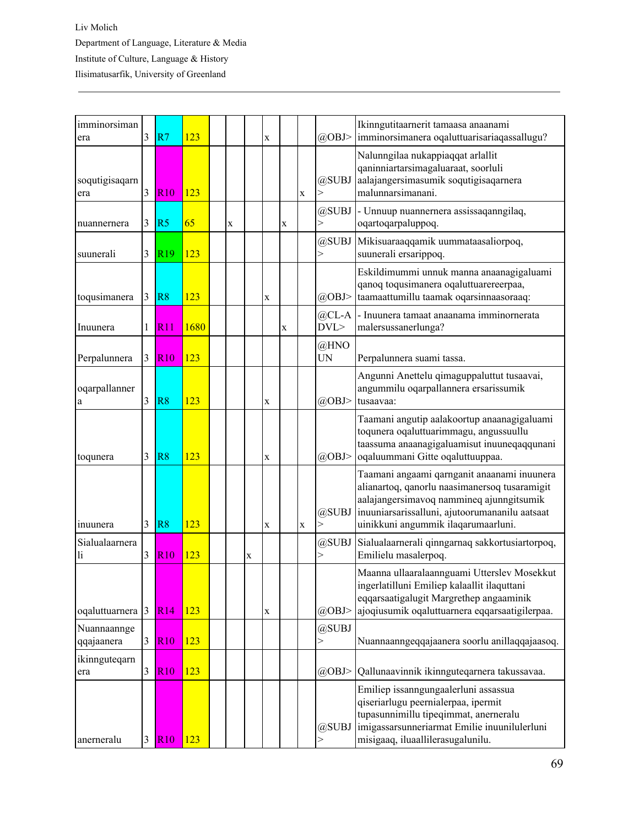| imminorsiman<br>era       | 3              | R <sub>7</sub>  | 123  |             |             | X           |   |             | @OBJ>             | Ikinngutitaarnerit tamaasa anaanami<br>imminorsimanera oqaluttuarisariaqassallugu?                                                                                                                                                |
|---------------------------|----------------|-----------------|------|-------------|-------------|-------------|---|-------------|-------------------|-----------------------------------------------------------------------------------------------------------------------------------------------------------------------------------------------------------------------------------|
| soqutigisaqarn<br>era     | $\overline{3}$ | <b>R10</b>      | 123  |             |             |             |   | $\mathbf X$ | @SUBJ<br>$\gt$    | Nalunngilaa nukappiaqqat arlallit<br>qaninniartarsimagaluaraat, soorluli<br>aalajangersimasumik soqutigisaqarnera<br>malunnarsimanani.                                                                                            |
| nuannernera               | 3              | R <sub>5</sub>  | 65   | $\mathbf X$ |             |             | X |             | @SUBJ<br>$\rm{>}$ | - Unnuup nuannernera assissaqanngilaq,<br>oqartoqarpaluppoq.                                                                                                                                                                      |
| suunerali                 | 3              | R <sub>19</sub> | 123  |             |             |             |   |             | @SUBJ<br>$\rm{>}$ | Mikisuaraaqqamik uummataasaliorpoq,<br>suunerali ersarippoq.                                                                                                                                                                      |
| toqusimanera              | 3              | R8              | 123  |             |             | $\mathbf X$ |   |             | $(a)$ OBJ>        | Eskildimummi unnuk manna anaanagigaluami<br>qanoq toqusimanera oqaluttuarereerpaa,<br>taamaattumillu taamak oqarsinnaasoraaq:                                                                                                     |
| Inuunera                  | 1              | R11             | 1680 |             |             |             | X |             | $@CL-A$<br>DVL    | - Inuunera tamaat anaanama imminornerata<br>malersussanerlunga?                                                                                                                                                                   |
| Perpalunnera              | 3              | <b>R10</b>      | 123  |             |             |             |   |             | @HNO<br><b>UN</b> | Perpalunnera suami tassa.                                                                                                                                                                                                         |
| oqarpallanner<br>a        | 3              | R8              | 123  |             |             | X           |   |             | $(a)$ OBJ>        | Angunni Anettelu qimaguppaluttut tusaavai,<br>angummilu oqarpallannera ersarissumik<br>tusaavaa:                                                                                                                                  |
| toqunera                  | 3              | R8              | 123  |             |             | $\mathbf X$ |   |             | $(a)$ OBJ>        | Taamani angutip aalakoortup anaanagigaluami<br>toqunera oqaluttuarimmagu, angussuullu<br>taassuma anaanagigaluamisut inuuneqaqqunani<br>oqaluummani Gitte oqaluttuuppaa.                                                          |
| inuunera                  | $\overline{3}$ | R <sub>8</sub>  | 123  |             |             | $\mathbf X$ |   | X           | @SUBJ<br>$\gt$    | Taamani angaami qarnganit anaanami inuunera<br>alianartoq, qanorlu naasimanersoq tusaramigit<br>aalajangersimavoq nammineq ajunngitsumik<br>inuuniarsarissalluni, ajutoorumananilu aatsaat<br>uinikkuni angummik ilaqarumaarluni. |
| Sialualaarnera<br>li      | 3              | <b>R10</b>      | 123  |             | $\mathbf X$ |             |   |             | @SUBJ<br>$\gt$    | Sialualaarnerali qinngarnaq sakkortusiartorpoq,<br>Emilielu masalerpoq.                                                                                                                                                           |
| oqaluttuarnera 3          |                | R14             | 123  |             |             | $\mathbf X$ |   |             | $(a)$ OBJ>        | Maanna ullaaralaannguami Utterslev Mosekkut<br>ingerlatilluni Emiliep kalaallit ilaquttani<br>eqqarsaatigalugit Margrethep angaaminik<br>ajoqiusumik oqaluttuarnera eqqarsaatigilerpaa.                                           |
| Nuannaannge<br>qqajaanera | 3              | <b>R10</b>      | 123  |             |             |             |   |             | @SUBJ<br>$\,>$    | Nuannaanngeqqajaanera soorlu anillaqqajaasoq.                                                                                                                                                                                     |
| ikinnguteqarn<br>era      | 3              | <b>R10</b>      | 123  |             |             |             |   |             | @OBJ>             | Qallunaavinnik ikinnguteqarnera takussavaa.                                                                                                                                                                                       |
| anerneralu                | 3              | <b>R10</b>      | 123  |             |             |             |   |             | @SUBJ             | Emiliep issanngungaalerluni assassua<br>qiseriarlugu peernialerpaa, ipermit<br>tupasunnimillu tipeqimmat, anerneralu<br>imigassarsunneriarmat Emilie inuunilulerluni<br>misigaaq, iluaallilerasugalunilu.                         |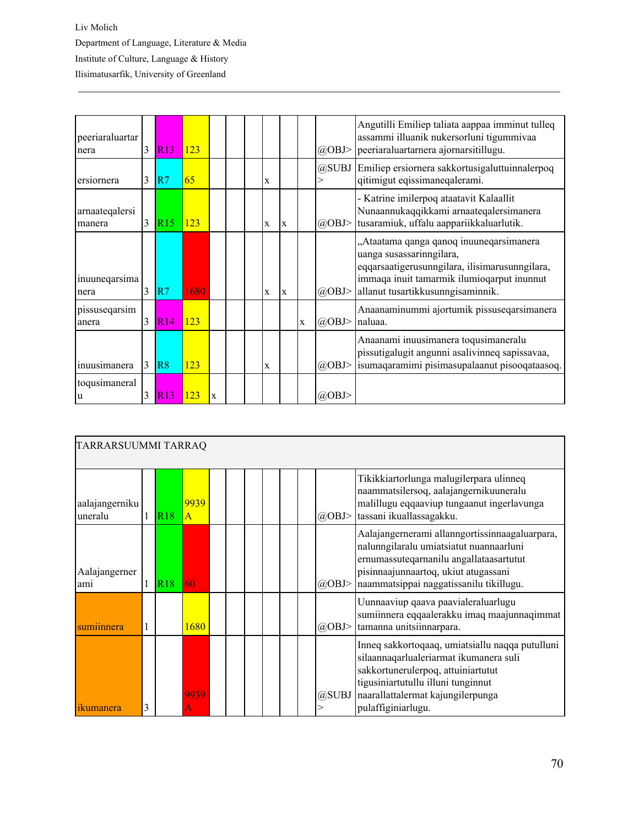| peeriaraluartar<br>nera  | 3 | <b>R13</b>      | 123         |             |  |   |   |             | @OBJ>      | Angutilli Emiliep taliata aappaa imminut tulleq<br>assammi illuanik nukersorluni tigummivaa<br>peeriaraluartarnera ajornarsitillugu.                                                                     |
|--------------------------|---|-----------------|-------------|-------------|--|---|---|-------------|------------|----------------------------------------------------------------------------------------------------------------------------------------------------------------------------------------------------------|
| ersiornera               | 3 | R7              | 65          |             |  | X |   |             |            | @SUBJ Emiliep ersiornera sakkortusigaluttuinnalerpoq<br>qitimigut eqissimaneqalerami.                                                                                                                    |
| arnaateqalersi<br>manera | 3 | R <sub>15</sub> | 123         |             |  | X | X |             | $(a)$ OBJ> | - Katrine imilerpoq ataatavit Kalaallit<br>Nunaannukaqqikkami arnaateqalersimanera<br>tusaramiuk, uffalu aappariikkaluarlutik.                                                                           |
| inuuneqarsima<br>nera    | 3 | R7              | 1680        |             |  | X | X |             | $(a)$ OBJ> | "Ataatama qanga qanoq inuuneqarsimanera<br>uanga susassarinngilara,<br>eqqarsaatigerusunngilara, ilisimarusunngilara,<br>immaqa inuit tamarmik ilumioqarput inunnut<br>allanut tusartikkusunngisaminnik. |
| pissuseqarsim<br>anera   | 3 | <b>R14</b>      | 123         |             |  |   |   | $\mathbf x$ | $(a)$ OBJ> | Anaanaminummi ajortumik pissuseqarsimanera<br>naluaa.                                                                                                                                                    |
| inuusimanera             | 3 | R <sub>8</sub>  | 123         |             |  | X |   |             | $(a)$ OBJ> | Anaanami inuusimanera toqusimaneralu<br>pissutigalugit angunni asalivinneq sapissavaa,<br>isumaqaramimi pisimasupalaanut pisooqataasoq.                                                                  |
| toqusimaneral<br>u       | 3 | R13             | <u> 123</u> | $\mathbf x$ |  |   |   |             | @OBJ>      |                                                                                                                                                                                                          |

|                           | TARRARSUUMMI TARRAQ |                 |                      |  |  |  |  |  |  |            |                                                                                                                                                                                                                                  |  |  |  |
|---------------------------|---------------------|-----------------|----------------------|--|--|--|--|--|--|------------|----------------------------------------------------------------------------------------------------------------------------------------------------------------------------------------------------------------------------------|--|--|--|
| aalajangerniku<br>uneralu |                     | R <sub>18</sub> | 9939<br>$\mathsf{A}$ |  |  |  |  |  |  | $(a)$ OBJ> | Tikikkiartorlunga malugilerpara ulinneq<br>naammatsilersoq, aalajangernikuuneralu<br>malillugu eqqaaviup tungaanut ingerlavunga<br>tassani ikuallassagakku.                                                                      |  |  |  |
| Aalajangerner<br>ami      |                     | R <sub>18</sub> | 60                   |  |  |  |  |  |  | $(a)$ OBJ> | Aalajangernerami allanngortissinnaagaluarpara,<br>nalunngilaralu umiatsiatut nuannaarluni<br>ernumassuteqarnanilu angallataasartutut<br>pisinnaajunnaartoq, ukiut atugassani<br>naammatsippai naggatissanilu tikillugu.          |  |  |  |
| sumiinnera                |                     |                 | 1680                 |  |  |  |  |  |  | $(a)$ OBJ> | Uunnaaviup qaava paavialeraluarlugu<br>sumiinnera eqqaalerakku imaq maajunnaqimmat<br>tamanna unitsiinnarpara.                                                                                                                   |  |  |  |
| 1kumanera                 | 3                   |                 | 9939                 |  |  |  |  |  |  | @SUBJ      | Inneq sakkortoqaaq, umiatsiallu naqqa putulluni<br>silaannaqarlualeriarmat ikumanera suli<br>sakkortunerulerpoq, attuiniartutut<br>tigusiniartutullu illuni tunginnut<br>naarallattalermat kajungilerpunga<br>pulaffiginiarlugu. |  |  |  |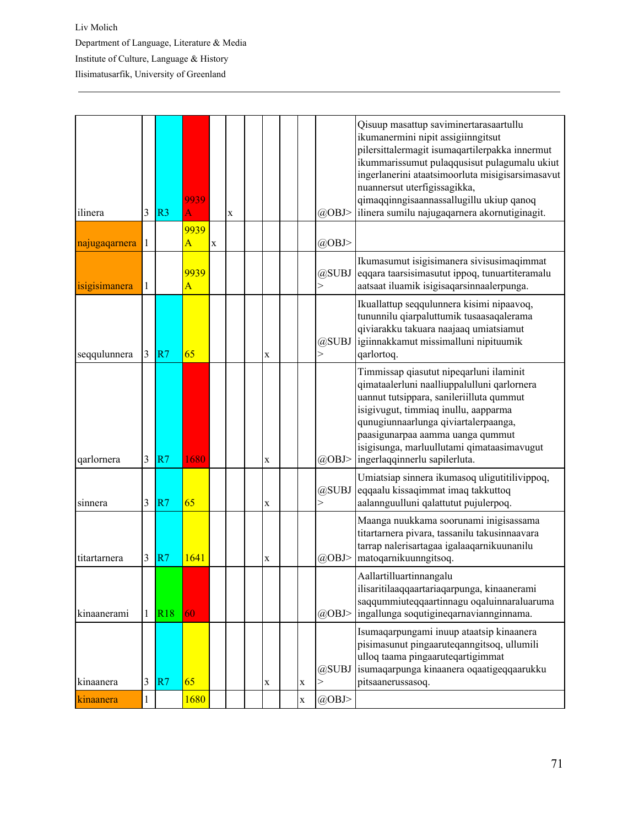| ilinera       | 3            | R <sub>3</sub> | 9939<br>A              |             | $\mathbf X$ |             |             | $(a)$ OBJ>            | Qisuup masattup saviminertarasaartullu<br>ikumanermini nipit assigiinngitsut<br>pilersittalermagit isumaqartilerpakka innermut<br>ikummarissumut pulaqqusisut pulagumalu ukiut<br>ingerlanerini ataatsimoorluta misigisarsimasavut<br>nuannersut uterfigissagikka,<br>qimaqqinngisaannassallugillu ukiup qanoq<br>ilinera sumilu najugaqarnera akornutiginagit. |
|---------------|--------------|----------------|------------------------|-------------|-------------|-------------|-------------|-----------------------|-----------------------------------------------------------------------------------------------------------------------------------------------------------------------------------------------------------------------------------------------------------------------------------------------------------------------------------------------------------------|
| najugaqarnera | 1            |                | 9939<br>$\overline{A}$ | $\mathbf X$ |             |             |             | @OBJ>                 |                                                                                                                                                                                                                                                                                                                                                                 |
| isigisimanera | 1            |                | 9939<br>$\overline{A}$ |             |             |             |             | @SUBJ<br>$\geq$       | Ikumasumut isigisimanera sivisusimaqimmat<br>eqqara taarsisimasutut ippoq, tunuartiteramalu<br>aatsaat iluamik isigisaqarsinnaalerpunga.                                                                                                                                                                                                                        |
| seqqulunnera  | 3            | R7             | 65                     |             |             | $\mathbf X$ |             | @SUBJ<br>$\geq$       | Ikuallattup seqqulunnera kisimi nipaavoq,<br>tununnilu qiarpaluttumik tusaasaqalerama<br>qiviarakku takuara naajaaq umiatsiamut<br>igiinnakkamut missimalluni nipituumik<br>qarlortoq.                                                                                                                                                                          |
| qarlornera    | 3            | R7             | 1680                   |             |             | X           |             | @OBJ>                 | Timmissap qiasutut nipeqarluni ilaminit<br>qimataalerluni naalliuppalulluni qarlornera<br>uannut tutsippara, sanileriilluta qummut<br>isigivugut, timmiaq inullu, aapparma<br>qunugiunnaarlunga qiviartalerpaanga,<br>paasigunarpaa aamma uanga qummut<br>isigisunga, marluullutami qimataasimavugut<br>ingerlaqqinnerlu sapilerluta.                           |
| sinnera       | 3            | R7             | 65                     |             |             | X           |             | @SUBJ<br>$\mathbf{I}$ | Umiatsiap sinnera ikumasoq uligutitilivippoq,<br>eqqaalu kissaqimmat imaq takkuttoq<br>aalannguulluni qalattutut pujulerpoq.                                                                                                                                                                                                                                    |
| titartarnera  | 3            | R7             | 1641                   |             |             | X           |             | @OBJ>                 | Maanga nuukkama soorunami inigisassama<br>titartarnera pivara, tassanilu takusinnaavara<br>tarrap nalerisartagaa igalaaqarnikuunanilu<br>matoqarnikuunngitsoq.                                                                                                                                                                                                  |
| kinaanerami   | $\mathbf{1}$ | R18            | 60                     |             |             |             |             | @OBJ>                 | Aallartilluartinnangalu<br>ilisaritilaaqqaartariaqarpunga, kinaanerami<br>saqqummiuteqqaartinnagu oqaluinnaraluaruma<br>ingallunga soqutigineqarnaviannginnama.                                                                                                                                                                                                 |
| kinaanera     | 3            | R7             | 65                     |             |             | $\mathbf X$ | $\mathbf X$ | @SUBJ<br>$\geq$       | Isumaqarpungami inuup ataatsip kinaanera<br>pisimasunut pingaaruteqanngitsoq, ullumili<br>ulloq taama pingaaruteqartigimmat<br>isumaqarpunga kinaanera oqaatigeqqaarukku<br>pitsaanerussasoq.                                                                                                                                                                   |
| kinaanera     | $\mathbf{1}$ |                | 1680                   |             |             |             | $\mathbf X$ | @OBJ>                 |                                                                                                                                                                                                                                                                                                                                                                 |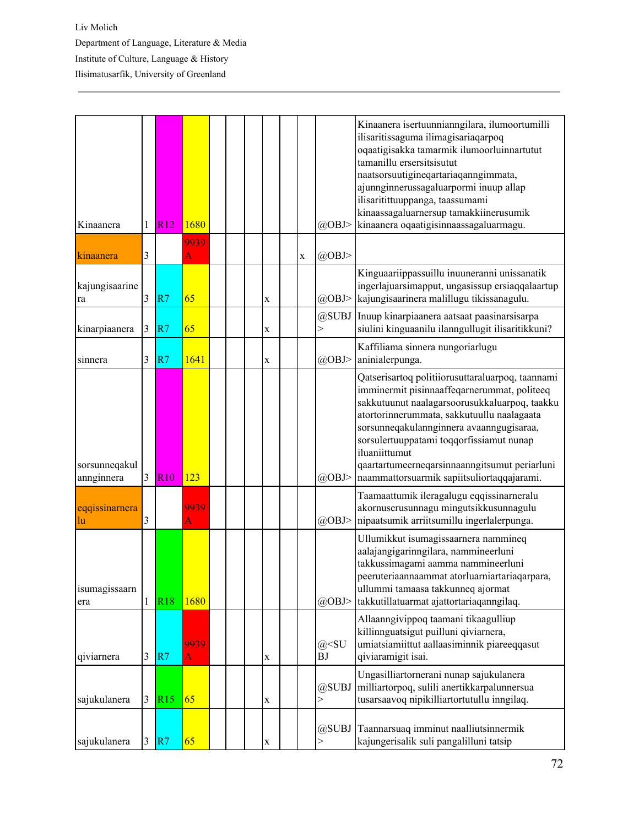| Kinaanera                   | 1 | R12        | 1680      |  |             |   | @OBJ>             | Kinaanera isertuunnianngilara, ilumoortumilli<br>ilisaritissaguma ilimagisariaqarpoq<br>oqaatigisakka tamarmik ilumoorluinnartutut<br>tamanillu ersersitsisutut<br>naatsorsuutigineqartariaqanngimmata,<br>ajunnginnerussagaluarpormi inuup allap<br>ilisaritittuuppanga, taassumami<br>kinaassagaluarnersup tamakkiinerusumik<br>kinaanera oqaatigisinnaassagaluarmagu.                               |
|-----------------------------|---|------------|-----------|--|-------------|---|-------------------|--------------------------------------------------------------------------------------------------------------------------------------------------------------------------------------------------------------------------------------------------------------------------------------------------------------------------------------------------------------------------------------------------------|
| kinaanera                   | 3 |            | 9939<br>A |  |             | X | @OBJ>             |                                                                                                                                                                                                                                                                                                                                                                                                        |
| kajungisaarine<br>ra        | 3 | R7         | 65        |  | $\mathbf X$ |   | @OBJ>             | Kinguaariippassuillu inuuneranni unissanatik<br>ingerlajuarsimapput, ungasissup ersiaqqalaartup<br>kajungisaarinera malillugu tikissanagulu.                                                                                                                                                                                                                                                           |
| kinarpiaanera               | 3 | R7         | 65        |  | $\mathbf X$ |   | @SUBJ<br>$\rm{>}$ | Inuup kinarpiaanera aatsaat paasinarsisarpa<br>siulini kinguaanilu ilanngullugit ilisaritikkuni?                                                                                                                                                                                                                                                                                                       |
| sinnera                     | 3 | R7         | 1641      |  | X           |   | @OBJ>             | Kaffiliama sinnera nungoriarlugu<br>aninialerpunga.                                                                                                                                                                                                                                                                                                                                                    |
| sorsunneqakul<br>annginnera | 3 | R10        | 123       |  |             |   | $(a)$ OBJ>        | Qatserisartoq politiiorusuttaraluarpoq, taannami<br>imminermit pisinnaaffeqarnerummat, politeeq<br>sakkutuunut naalagarsoorusukkaluarpoq, taakku<br>atortorinnerummata, sakkutuullu naalagaata<br>sorsunneqakulannginnera avaanngugisaraa,<br>sorsulertuuppatami toqqorfissiamut nunap<br>iluaniittumut<br>qaartartumeerneqarsinnaanngitsumut periarluni<br>naammattorsuarmik sapiitsuliortaqqajarami. |
| eqqissinarnera<br>lu        | 3 |            | 9939<br>A |  |             |   | @OBJ>             | Taamaattumik ileragalugu eqqissinarneralu<br>akornuserusunnagu mingutsikkusunnagulu<br>nipaatsumik arriitsumillu ingerlalerpunga.                                                                                                                                                                                                                                                                      |
| isumagissaarn<br>era        |   | <b>R18</b> | 1680      |  |             |   | @OBJ>             | Ullumikkut isumagissaarnera nammineq<br>aalajangigarinngilara, nammineerluni<br>takkussimagami aamma nammineerluni<br>peeruteriaannaammat atorluarniartariaqarpara,<br>ullummi tamaasa takkunneq ajormat<br>takkutillatuarmat ajattortariaqanngilaq.                                                                                                                                                   |
| qiviarnera                  | 3 | R7         | 9939<br>A |  | $\mathbf X$ |   | $@<$ SU<br>ΒJ     | Allaanngivippoq taamani tikaagulliup<br>killinnguatsigut puilluni qiviarnera,<br>umiatsiamiittut aallaasiminnik piareeqqasut<br>qiviaramigit isai.                                                                                                                                                                                                                                                     |
| sajukulanera                | 3 | R15        | 65        |  | $\mathbf X$ |   | @SUBJ<br>>        | Ungasilliartornerani nunap sajukulanera<br>milliartorpoq, sulili anertikkarpalunnersua<br>tusarsaavoq nipikilliartortutullu inngilaq.                                                                                                                                                                                                                                                                  |
| sajukulanera                | 3 | R7         | 65        |  | $\mathbf X$ |   | @SUBJ             | Taannarsuaq imminut naalliutsinnermik<br>kajungerisalik suli pangalilluni tatsip                                                                                                                                                                                                                                                                                                                       |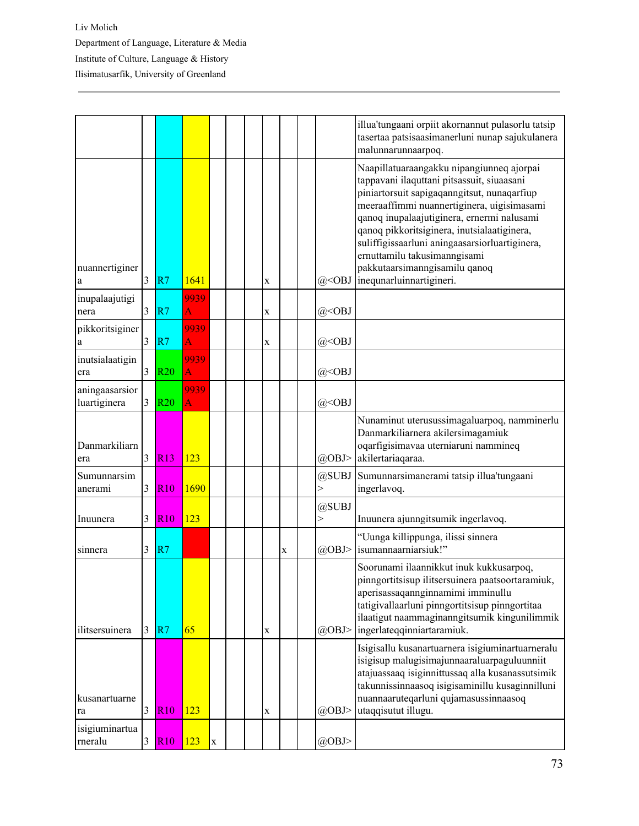|                                |                |            |             |              |  |             |   |                       | illua'tungaani orpiit akornannut pulasorlu tatsip<br>tasertaa patsisaasimanerluni nunap sajukulanera<br>malunnarunnaarpoq.                                                                                                                                                                                                                                                                                                       |
|--------------------------------|----------------|------------|-------------|--------------|--|-------------|---|-----------------------|----------------------------------------------------------------------------------------------------------------------------------------------------------------------------------------------------------------------------------------------------------------------------------------------------------------------------------------------------------------------------------------------------------------------------------|
| nuannertiginer<br>a            | $\overline{3}$ | R7         | 1641        |              |  | X           |   | $@<$ OBJ              | Naapillatuaraangakku nipangiunneq ajorpai<br>tappavani ilaquttani pitsassuit, siuaasani<br>piniartorsuit sapigaqanngitsut, nunaqarfiup<br>meeraaffimmi nuannertiginera, uigisimasami<br>qanoq inupalaajutiginera, ernermi nalusami<br>qanoq pikkoritsiginera, inutsialaatiginera,<br>suliffigissaarluni aningaasarsiorluartiginera,<br>ernuttamilu takusimanngisami<br>pakkutaarsimanngisamilu qanoq<br>inequnarluinnartigineri. |
| inupalaajutigi<br>nera         | 3              | R7         | 9939<br>A   |              |  | $\mathbf X$ |   | $@<$ OBJ              |                                                                                                                                                                                                                                                                                                                                                                                                                                  |
| pikkoritsiginer<br>$\rm{a}$    | 3              | R7         | 9939<br>A   |              |  | $\mathbf X$ |   | $@<$ OBJ              |                                                                                                                                                                                                                                                                                                                                                                                                                                  |
| inutsialaatigin<br>era         | 3              | <b>R20</b> | 9939<br>A   |              |  |             |   | $@<$ OBJ              |                                                                                                                                                                                                                                                                                                                                                                                                                                  |
| aningaasarsior<br>luartiginera | 3              | <b>R20</b> | 9939<br>Ā   |              |  |             |   | $@<$ OBJ              |                                                                                                                                                                                                                                                                                                                                                                                                                                  |
| Danmarkiliarn<br>era           | 3              | R13        | 123         |              |  |             |   | @OBJ>                 | Nunaminut uterusussimagaluarpoq, namminerlu<br>Danmarkiliarnera akilersimagamiuk<br>oqarfigisimavaa uterniaruni nammineq<br>akilertariaqaraa.                                                                                                                                                                                                                                                                                    |
| Sumunnarsim<br>anerami         | 3              | <b>R10</b> | 1690        |              |  |             |   | @SUBJ                 | Sumunnarsimanerami tatsip illua'tungaani<br>ingerlavoq.                                                                                                                                                                                                                                                                                                                                                                          |
| Inuunera                       | 3              | <b>R10</b> | 123         |              |  |             |   | @SUBJ<br>$\mathbf{I}$ | Inuunera ajunngitsumik ingerlavoq.                                                                                                                                                                                                                                                                                                                                                                                               |
| sinnera                        | 3              | R7         |             |              |  |             | X | @OBJ>                 | "Uunga killippunga, ilissi sinnera<br>isumannaarniarsiuk!"                                                                                                                                                                                                                                                                                                                                                                       |
| ilitsersuinera                 | 3              | R7         | 65          |              |  | $\mathbf X$ |   | @OBJ>                 | Soorunami ilaannikkut inuk kukkusarpoq,<br>pinngortitsisup ilitsersuinera paatsoortaramiuk,<br>aperisassaqannginnamimi imminullu<br>tatigivallaarluni pinngortitsisup pinngortitaa<br>ilaatigut naammaginanngitsumik kingunilimmik<br>ingerlateqqinniartaramiuk.                                                                                                                                                                 |
| kusanartuarne<br>ra            | 3              | R10        | 123         |              |  | X           |   | $(a)$ OBJ>            | Isigisallu kusanartuarnera isigiuminartuarneralu<br>isigisup malugisimajunnaaraluarpaguluunniit<br>atajuassaaq isiginnittussaq alla kusanassutsimik<br>takunnissinnaasoq isigisaminillu kusaginnilluni<br>nuannaaruteqarluni qujamasussinnaasoq<br>utaqqisutut illugu.                                                                                                                                                           |
| isigiuminartua<br>rneralu      | 3              | R10        | $\vert$ 123 | $\mathbf{x}$ |  |             |   | @OBJ>                 |                                                                                                                                                                                                                                                                                                                                                                                                                                  |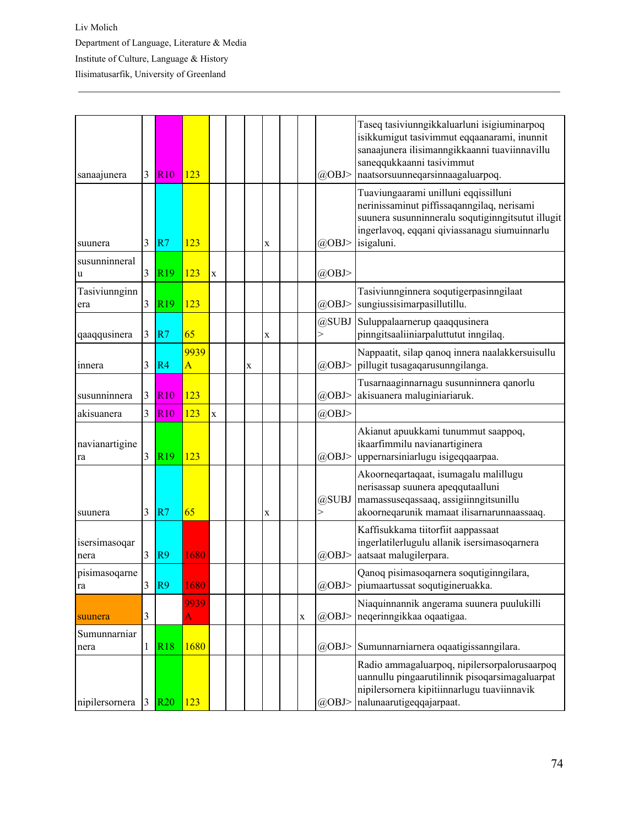| sanaajunera           | 3              | R <sub>10</sub> | 123                        |                    |             |             |             | @OBJ>           | Taseq tasiviunngikkaluarluni isigiuminarpoq<br>isikkumigut tasivimmut eqqaanarami, inunnit<br>sanaajunera ilisimanngikkaanni tuaviinnavillu<br>saneqqukkaanni tasivimmut<br>naatsorsuunneqarsinnaagaluarpoq. |
|-----------------------|----------------|-----------------|----------------------------|--------------------|-------------|-------------|-------------|-----------------|--------------------------------------------------------------------------------------------------------------------------------------------------------------------------------------------------------------|
| suunera               | 3              | R7              | 123                        |                    |             | $\mathbf X$ |             | @OBJ>           | Tuaviungaarami unilluni eqqissilluni<br>nerinissaminut piffissaqanngilaq, nerisami<br>suunera susunninneralu soqutiginngitsutut illugit<br>ingerlavoq, eqqani qiviassanagu siumuinnarlu<br>isigaluni.        |
| susunninneral<br>u    | 3              | R <sub>19</sub> | 123                        | $\mathbf x$        |             |             |             | $(a)$ OBJ>      |                                                                                                                                                                                                              |
| Tasiviunnginn<br>era  | 3              | R <sub>19</sub> | 123                        |                    |             |             |             | $(a)$ OBJ>      | Tasiviunnginnera soqutigerpasinngilaat<br>sungiussisimarpasillutillu.                                                                                                                                        |
| qaaqqusinera          | 3              | R7              | 65                         |                    |             | $\mathbf X$ |             | @SUBJ<br>$\geq$ | Suluppalaarnerup qaaqqusinera<br>pinngitsaaliiniarpaluttutut inngilaq.                                                                                                                                       |
| innera                | 3              | R4              | 9939<br>$\overline{\rm A}$ |                    | $\mathbf X$ |             |             | @OBJ>           | Nappaatit, silap qanoq innera naalakkersuisullu<br>pillugit tusagaqarusunngilanga.                                                                                                                           |
| susunninnera          | 3              | <b>R10</b>      | 123                        |                    |             |             |             | $(a)$ OBJ>      | Tusarnaaginnarnagu susunninnera qanorlu<br>akisuanera maluginiariaruk.                                                                                                                                       |
| akisuanera            | $\overline{3}$ | <b>R10</b>      | 123                        | $\mathbf{\bar{X}}$ |             |             |             | $(a)$ OBJ>      |                                                                                                                                                                                                              |
| navianartigine<br>ra  | 3              | R <sub>19</sub> | 123                        |                    |             |             |             | @OBJ>           | Akianut apuukkami tunummut saappoq,<br>ikaarfimmilu navianartiginera<br>uppernarsiniarlugu isigeqqaarpaa.                                                                                                    |
| suunera               | 3              | R7              | 65                         |                    |             | $\mathbf X$ |             | @SUBJ<br>$\geq$ | Akoorneqartaqaat, isumagalu malillugu<br>nerisassap suunera apeqqutaalluni<br>mamassuseqassaaq, assigiinngitsunillu<br>akoorneqarunik mamaat ilisarnarunnaassaaq.                                            |
| isersimasoqar<br>nera | 3              | R <sub>9</sub>  | 1680                       |                    |             |             |             | $(a)$ OBJ>      | Kaffisukkama tiitorfiit aappassaat<br>ingerlatilerlugulu allanik isersimasoqarnera<br>aatsaat malugilerpara.                                                                                                 |
| pisimasoqarne<br>ra   | 3              | R9              | 1680                       |                    |             |             |             |                 | Qanoq pisimasoqarnera soqutiginngilara,<br>@OBJ>   piumaartussat soqutigineruakka.                                                                                                                           |
| suunera               | 3              |                 | 9939<br>A                  |                    |             |             | $\mathbf X$ | @OBJ>           | Niaquinnannik angerama suunera puulukilli<br>negerinngikkaa ogaatigaa.                                                                                                                                       |
| Sumunnarniar<br>nera  | 1              | <b>R18</b>      | 1680                       |                    |             |             |             | @OBJ>           | Sumunnarniarnera oqaatigissanngilara.                                                                                                                                                                        |
| nipilersornera        |                | 3 R20           | 123                        |                    |             |             |             | @OBJ>           | Radio ammagaluarpoq, nipilersorpalorusaarpoq<br>uannullu pingaarutilinnik pisoqarsimagaluarpat<br>nipilersornera kipitiinnarlugu tuaviinnavik<br>nalunaarutigeqqajarpaat.                                    |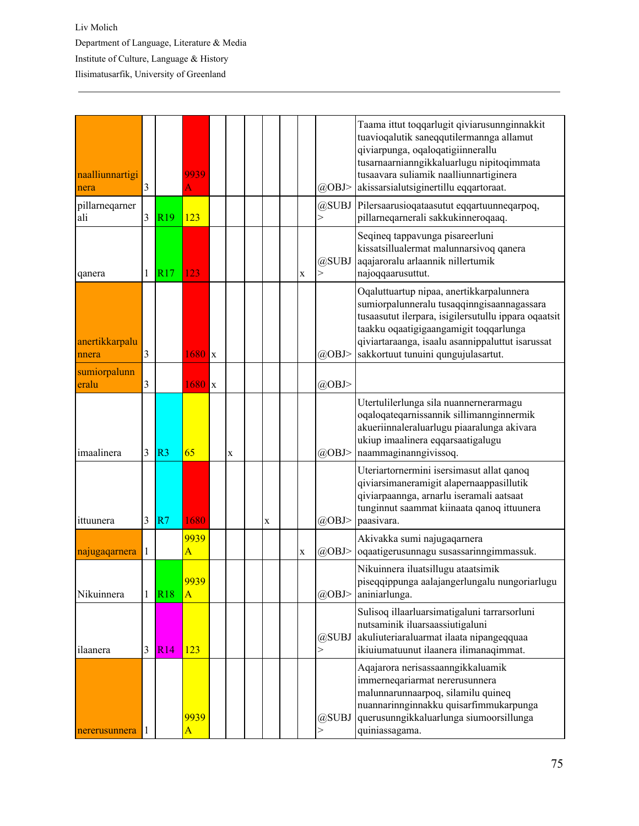| naalliunnartigi<br>nera | 3 |                 | 9939<br>A                       |   |             |   | @OBJ>             | Taama ittut toqqarlugit qiviarusunnginnakkit<br>tuavioqalutik saneqqutilermannga allamut<br>qiviarpunga, oqaloqatigiinnerallu<br>tusarnaarnianngikkaluarlugu nipitoqimmata<br>tusaavara suliamik naalliunnartiginera<br>akissarsialutsiginertillu eqqartoraat.                      |
|-------------------------|---|-----------------|---------------------------------|---|-------------|---|-------------------|-------------------------------------------------------------------------------------------------------------------------------------------------------------------------------------------------------------------------------------------------------------------------------------|
| pillarneqarner<br>ali   | 3 | R <sub>19</sub> | 123                             |   |             |   | @SUBJ<br>$\rm{>}$ | Pilersaarusioqataasutut eqqartuunneqarpoq,<br>pillarneqarnerali sakkukinneroqaaq.                                                                                                                                                                                                   |
| qanera                  | 1 | R17             | 123                             |   |             | X | @SUBJ<br>$\geq$   | Seqineq tappavunga pisareerluni<br>kissatsillualermat malunnarsivoq qanera<br>aqajaroralu arlaannik nillertumik<br>najoqqaarusuttut.                                                                                                                                                |
| anertikkarpalu<br>nnera | 3 |                 | $1680$ x                        |   |             |   | $(a)$ OBJ>        | Oqaluttuartup nipaa, anertikkarpalunnera<br>sumiorpalunneralu tusaqqinngisaannagassara<br>tusaasutut ilerpara, isigilersutullu ippara oqaatsit<br>taakku oqaatigigaangamigit toqqarlunga<br>qiviartaraanga, isaalu asannippaluttut isarussat<br>sakkortuut tunuini qungujulasartut. |
| sumiorpalunn<br>eralu   | 3 |                 | $1680$ <sub>x</sub>             |   |             |   | @OBJ>             |                                                                                                                                                                                                                                                                                     |
| imaalinera              | 3 | R <sub>3</sub>  | 65                              | X |             |   | $(a)$ OBJ>        | Utertulilerlunga sila nuannernerarmagu<br>oqaloqateqarnissannik sillimannginnermik<br>akueriinnaleraluarlugu piaaralunga akivara<br>ukiup imaalinera eqqarsaatigalugu<br>naammaginanngivissoq.                                                                                      |
| ittuunera               | 3 | R7              | 1680                            |   | $\mathbf X$ |   | @OBJ>             | Uteriartornermini isersimasut allat qanoq<br>qiviarsimaneramigit alapernaappasillutik<br>qiviarpaannga, arnarlu iseramali aatsaat<br>tunginnut saammat kiinaata qanoq ittuunera<br>paasivara.                                                                                       |
| najugaqarnera           | 1 |                 | 9939<br>$\overline{\mathbf{A}}$ |   |             | X | $(a)$ OBJ>        | Akivakka sumi najugaqarnera<br>oqaatigerusunnagu susassarinngimmassuk.                                                                                                                                                                                                              |
| Nikuinnera              | 1 | <b>R18</b>      | 9939<br>$\overline{A}$          |   |             |   | @OBJ>             | Nikuinnera iluatsillugu ataatsimik<br>piseqqippunga aalajangerlungalu nungoriarlugu<br>aniniarlunga.                                                                                                                                                                                |
| ilaanera                | 3 | R14             | 123                             |   |             |   | @SUBJ<br>>        | Sulisoq illaarluarsimatigaluni tarrarsorluni<br>nutsaminik iluarsaassiutigaluni<br>akuliuteriaraluarmat ilaata nipangeqquaa<br>ikiuiumatuunut ilaanera ilimanaqimmat.                                                                                                               |
| nererusunnera           | 1 |                 | 9939<br>$\overline{\mathbf{A}}$ |   |             |   | @SUBJ<br>$\geq$   | Aqajarora nerisassaanngikkaluamik<br>immerneqariarmat nererusunnera<br>malunnarunnaarpoq, silamilu quineq<br>nuannarinnginnakku quisarfimmukarpunga<br>querusunngikkaluarlunga siumoorsillunga<br>quiniassagama.                                                                    |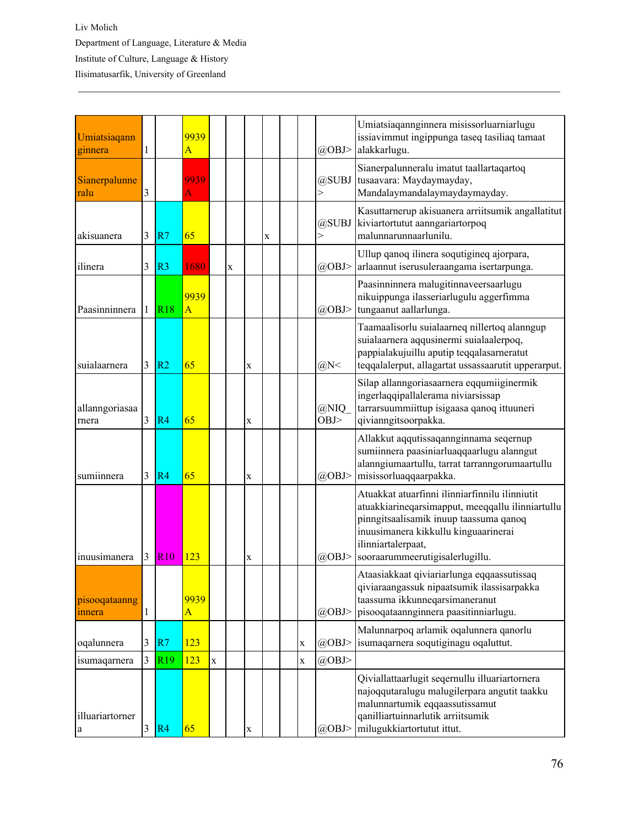| Umiatsiaqann<br>ginnera         | 1 |                 | 9939<br>$\overline{\rm A}$ |             |             |             |             |   | $(a)$ OBJ>            | Umiatsiagannginnera misissorluarniarlugu<br>issiavimmut ingippunga taseq tasiliaq tamaat<br>alakkarlugu.                                                                                                                                      |  |  |  |  |
|---------------------------------|---|-----------------|----------------------------|-------------|-------------|-------------|-------------|---|-----------------------|-----------------------------------------------------------------------------------------------------------------------------------------------------------------------------------------------------------------------------------------------|--|--|--|--|
| Sianerpalunne<br>ralu           | 3 |                 | 9939<br>A                  |             |             |             |             |   | @SUBJ<br>$\!>$        | Sianerpalunneralu imatut taallartaqartoq<br>tusaavara: Maydaymayday,<br>Mandalaymandalaymaydaymayday.                                                                                                                                         |  |  |  |  |
| akisuanera                      | 3 | R7              | 65                         |             |             |             | $\mathbf X$ |   | @SUBJ<br>$\mathbf{r}$ | Kasuttarnerup akisuanera arriitsumik angallatitut<br>kiviartortutut aanngariartorpoq<br>malunnarunnaarlunilu.                                                                                                                                 |  |  |  |  |
| ilinera                         | 3 | R <sub>3</sub>  | 1680                       |             | $\mathbf X$ |             |             |   | $(a)$ OBJ>            | Ullup qanoq ilinera soqutigineq ajorpara,<br>arlaannut iserusuleraangama isertarpunga.                                                                                                                                                        |  |  |  |  |
| Paasinninnera                   |   | R18             | 9939<br>$\overline{A}$     |             |             |             |             |   | @OBJ>                 | Paasinninnera malugitinnaveersaarlugu<br>nikuippunga ilasseriarlugulu aggerfimma<br>tungaanut aallarlunga.                                                                                                                                    |  |  |  |  |
| suialaarnera                    | 3 | R <sub>2</sub>  | 65                         |             |             | X           |             |   | $(a)$ N<              | Taamaalisorlu suialaarneq nillertoq alanngup<br>suialaarnera aqqusinermi suialaalerpoq,<br>pappialakujuillu aputip teqqalasarneratut<br>teqqalalerput, allagartat ussassaarutit upperarput.                                                   |  |  |  |  |
| allanngoriasaa<br>rnera         | 3 | R <sub>4</sub>  | 65                         |             |             | $\mathbf X$ |             |   | @NIQ<br>OBJ           | Silap allanngoriasaarnera eqqumiiginermik<br>ingerlaqqipallalerama niviarsissap<br>tarrarsuummiittup isigaasa qanoq ittuuneri<br>qivianngitsoorpakka.                                                                                         |  |  |  |  |
| sumiinnera                      | 3 | R4              | 65                         |             |             | X           |             |   | @OBJ>                 | Allakkut aqqutissaqannginnama seqernup<br>sumiinnera paasiniarluaqqaarlugu alanngut<br>alanngiumaartullu, tarrat tarranngorumaartullu<br>misissorluaqqaarpakka.                                                                               |  |  |  |  |
| inuusimanera                    | 3 | <b>R10</b>      | 123                        |             |             | $\mathbf X$ |             |   | @OBJ>                 | Atuakkat atuarfinni ilinniarfinnilu ilinniutit<br>atuakkiarineqarsimapput, meeqqallu ilinniartullu<br>pinngitsaalisamik inuup taassuma qanoq<br>inuusimanera kikkullu kinguaarinerai<br>ilinniartalerpaat,<br>sooraarummeerutigisalerlugillu. |  |  |  |  |
| pisooqataanng<br>innera         | 1 |                 | 9939<br>$\overline{A}$     |             |             |             |             |   | $(a)$ OBJ>            | Ataasiakkaat qiviariarlunga eqqaassutissaq<br>qiviaraangassuk nipaatsumik ilassisarpakka<br>taassuma ikkunneqarsimaneranut<br>pisooqataannginnera paasitinniarlugu.                                                                           |  |  |  |  |
| oqalunnera                      | 3 | R7              | 123                        |             |             |             |             | X | $(a)$ OBJ>            | Malunnarpoq arlamik oqalunnera qanorlu<br>isumaqarnera soqutiginagu oqaluttut.                                                                                                                                                                |  |  |  |  |
| isumaqarnera                    | 3 | R <sub>19</sub> | 123                        | $\mathbf X$ |             |             |             | X | $(a)$ OBJ>            |                                                                                                                                                                                                                                               |  |  |  |  |
| illuariartorner<br>$\mathbf{a}$ | 3 | R4              | 65                         |             |             | $\mathbf X$ |             |   | @OBJ>                 | Qiviallattaarlugit seqernullu illuariartornera<br>najoqqutaralugu malugilerpara angutit taakku<br>malunnartumik eqqaassutissamut<br>qanilliartuinnarlutik arriitsumik<br>milugukkiartortutut ittut.                                           |  |  |  |  |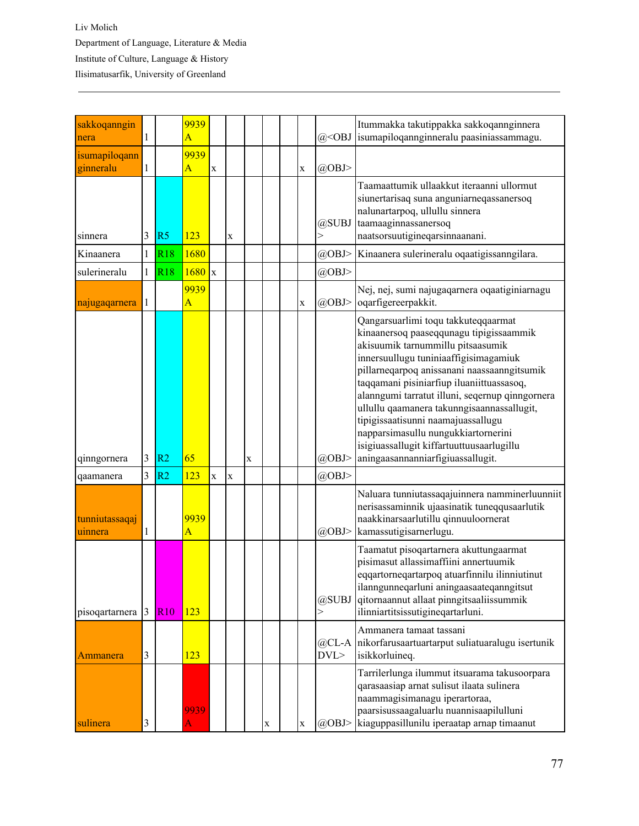| sakkoqanngin<br>nera       | $\mathbf{1}$   |                | 9939<br>Ā              |             |             |   |   |             | $(a)$ < $OBJ$  | Itummakka takutippakka sakkoqannginnera<br>isumapiloqannginneralu paasiniassammagu.                                                                                                                                                                                                                                                                                                                                                                                                                                      |  |  |  |  |
|----------------------------|----------------|----------------|------------------------|-------------|-------------|---|---|-------------|----------------|--------------------------------------------------------------------------------------------------------------------------------------------------------------------------------------------------------------------------------------------------------------------------------------------------------------------------------------------------------------------------------------------------------------------------------------------------------------------------------------------------------------------------|--|--|--|--|
| isumapiloqann<br>ginneralu | 1              |                | 9939<br>$\overline{A}$ | $\mathbf X$ |             |   |   | $\bf{X}$    | $(a)$ OBJ>     |                                                                                                                                                                                                                                                                                                                                                                                                                                                                                                                          |  |  |  |  |
| sinnera                    | 3              | R <sub>5</sub> | 123                    |             | $\mathbf X$ |   |   |             | @SUBJ<br>$\!>$ | Taamaattumik ullaakkut iteraanni ullormut<br>siunertarisaq suna anguniarneqassanersoq<br>nalunartarpoq, ullullu sinnera<br>taamaaginnassanersoq<br>naatsorsuutigineqarsinnaanani.                                                                                                                                                                                                                                                                                                                                        |  |  |  |  |
| Kinaanera                  | $\mathbf{1}$   | R18            | 1680                   |             |             |   |   |             | $(a)$ OBJ>     | Kinaanera sulerineralu oqaatigissanngilara.                                                                                                                                                                                                                                                                                                                                                                                                                                                                              |  |  |  |  |
| sulerineralu               | $\mathbf{1}$   | <b>R18</b>     | 1680                   | $\mathbf x$ |             |   |   |             | $(a)$ OBJ>     |                                                                                                                                                                                                                                                                                                                                                                                                                                                                                                                          |  |  |  |  |
| najugaqarnera              | 1              |                | 9939<br>Ā              |             |             |   |   | $\mathbf X$ | $(a)$ OBJ>     | Nej, nej, sumi najugaqarnera oqaatiginiarnagu<br>oqarfigereerpakkit.                                                                                                                                                                                                                                                                                                                                                                                                                                                     |  |  |  |  |
| qinngornera                | $\mathfrak{Z}$ | R <sub>2</sub> | 65                     |             |             | X |   |             | @OBJ>          | Qangarsuarlimi toqu takkuteqqaarmat<br>kinaanersoq paaseqqunagu tipigissaammik<br>akisuumik tarnummillu pitsaasumik<br>innersuullugu tuniniaaffigisimagamiuk<br>pillarneqarpoq anissanani naassaanngitsumik<br>taqqamani pisiniarfiup iluaniittuassasoq,<br>alanngumi tarratut illuni, seqernup qinngornera<br>ullullu qaamanera takunngisaannassallugit,<br>tipigissaatisunni naamajuassallugu<br>napparsimasullu nungukkiartornerini<br>isigiuassallugit kiffartuuttuusaarlugillu<br>aningaasannanniarfigiuassallugit. |  |  |  |  |
| qaamanera                  | 3              | R <sub>2</sub> | 123                    | $\mathbf X$ | $\mathbf X$ |   |   |             | $(a)$ OBJ>     |                                                                                                                                                                                                                                                                                                                                                                                                                                                                                                                          |  |  |  |  |
| tunniutassaqaj<br>uinnera  | 1              |                | 9939<br>Ă              |             |             |   |   |             | @OBJ>          | Naluara tunniutassaqajuinnera namminerluunniit<br>nerisassaminnik ujaasinatik tuneqqusaarlutik<br>naakkinarsaarlutillu qinnuuloornerat<br>kamassutigisarnerlugu.                                                                                                                                                                                                                                                                                                                                                         |  |  |  |  |
| pisoqartarnera             | 3              | <b>R10</b>     | 123                    |             |             |   |   |             | @SUBJ<br>>     | Taamatut pisoqartarnera akuttungaarmat<br>pisimasut allassimaffiini annertuumik<br>eqqartorneqartarpoq atuarfinnilu ilinniutinut<br>ilanngunneqarluni aningaasaateqanngitsut<br>qitornaannut allaat pinngitsaaliissummik<br>ilinniartitsissutigineqartarluni.                                                                                                                                                                                                                                                            |  |  |  |  |
| Ammanera                   | $\mathfrak{Z}$ |                | 123                    |             |             |   |   |             | $@CL-A$<br>DVL | Ammanera tamaat tassani<br>nikorfarusaartuartarput suliatuaralugu isertunik<br>isikkorluineq.                                                                                                                                                                                                                                                                                                                                                                                                                            |  |  |  |  |
| sulinera                   | 3              |                | 9939                   |             |             |   | X | $\mathbf X$ | @OBJ>          | Tarrilerlunga ilummut itsuarama takusoorpara<br>qarasaasiap arnat sulisut ilaata sulinera<br>naammagisimanagu iperartoraa,<br>paarsisussaagaluarlu nuannisaapilulluni<br>kiaguppasillunilu iperaatap arnap timaanut                                                                                                                                                                                                                                                                                                      |  |  |  |  |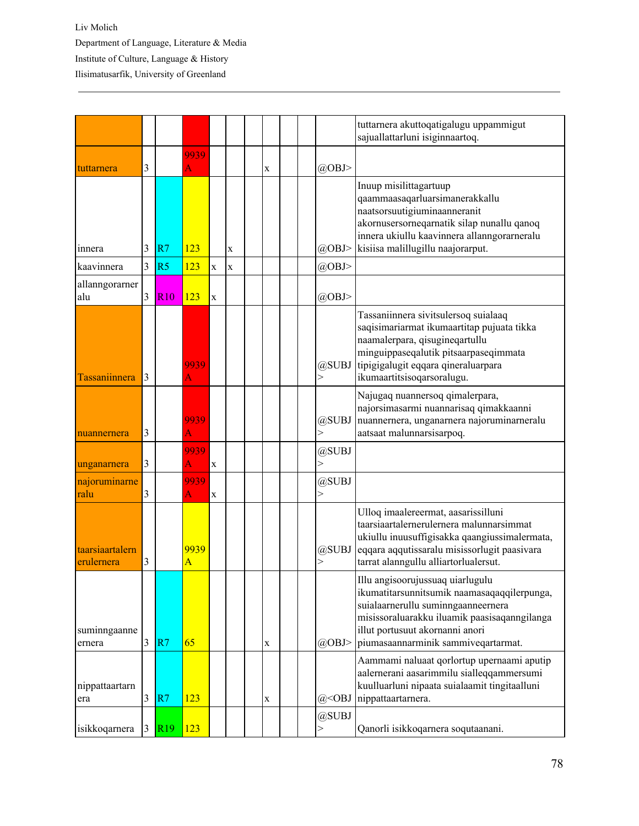|                               |   |                 |            |             |             |             |  |                       | tuttarnera akuttoqatigalugu uppammigut<br>sajuallattarluni isiginnaartoq.                                                                                                                                                                       |
|-------------------------------|---|-----------------|------------|-------------|-------------|-------------|--|-----------------------|-------------------------------------------------------------------------------------------------------------------------------------------------------------------------------------------------------------------------------------------------|
|                               |   |                 |            |             |             |             |  |                       |                                                                                                                                                                                                                                                 |
| tuttarnera                    | 3 |                 | 9939<br>A  |             |             | $\mathbf X$ |  | $(a)$ OBJ>            |                                                                                                                                                                                                                                                 |
| innera                        | 3 | R7              | 123        |             | $\mathbf X$ |             |  | @OBJ>                 | Inuup misilittagartuup<br>qaammaasaqarluarsimanerakkallu<br>naatsorsuutigiuminaanneranit<br>akornusersorneqarnatik silap nunallu qanoq<br>innera ukiullu kaavinnera allanngorarneralu<br>kisiisa malillugillu naajorarput.                      |
| kaavinnera                    | 3 | R <sub>5</sub>  | 123        | $\mathbf x$ | X           |             |  | @OBJ>                 |                                                                                                                                                                                                                                                 |
| allanngorarner<br>alu         | 3 | <b>R10</b>      | 123        | $\bf{X}$    |             |             |  | $(a)$ OBJ>            |                                                                                                                                                                                                                                                 |
| Tassaniinnera                 | 3 |                 | 9939<br>A  |             |             |             |  | @SUBJ<br>>            | Tassaniinnera sivitsulersoq suialaaq<br>saqisimariarmat ikumaartitap pujuata tikka<br>naamalerpara, qisugineqartullu<br>minguippaseqalutik pitsaarpaseqimmata<br>tipigigalugit eqqara qineraluarpara<br>ikumaartitsisoqarsoralugu.              |
| nuannernera                   | 3 |                 | 9939<br>A  |             |             |             |  | @SUBJ                 | Najugaq nuannersoq qimalerpara,<br>najorsimasarmi nuannarisaq qimakkaanni<br>nuannernera, unganarnera najoruminarneralu<br>aatsaat malunnarsisarpoq.                                                                                            |
| unganarnera                   | 3 |                 | 9939<br>Ā  | $\mathbf X$ |             |             |  | @SUBJ                 |                                                                                                                                                                                                                                                 |
| najoruminarne<br>ralu         | 3 |                 | 9939<br>A  | $\mathbf X$ |             |             |  | @SUBJ<br>$\mathbf{I}$ |                                                                                                                                                                                                                                                 |
| taarsiaartalern<br>erulernera | 3 |                 | 9939<br>A  |             |             |             |  | @SUBJ<br>>            | Ulloq imaalereermat, aasarissilluni<br>taarsiaartalernerulernera malunnarsimmat<br>ukiullu inuusuffigisakka qaangiussimalermata,<br>eqqara aqqutissaralu misissorlugit paasivara<br>tarrat alanngullu alliartorlualersut.                       |
| suminngaanne<br>ernera        | 3 | R7              | 65         |             |             | $\mathbf X$ |  | @OBJ>                 | Illu angisoorujussuaq uiarlugulu<br>ikumatitarsunnitsumik naamasaqaqqilerpunga,<br>suialaarnerullu suminngaanneernera<br>misissoraluarakku iluamik paasisaqanngilanga<br>illut portusuut akornanni anori<br>piumasaannarminik sammiveqartarmat. |
| nippattaartarn<br>era         | 3 | R7              | 123        |             |             | $\mathbf X$ |  | $@<$ OBJ              | Aammami naluaat qorlortup upernaami aputip<br>aalernerani aasarimmilu sialleqqammersumi<br>kuulluarluni nipaata suialaamit tingitaalluni<br>nippattaartarnera.                                                                                  |
| isikkoqarnera                 | 3 | R <sub>19</sub> | <b>123</b> |             |             |             |  | @SUBJ                 | Qanorli isikkoqarnera soqutaanani.                                                                                                                                                                                                              |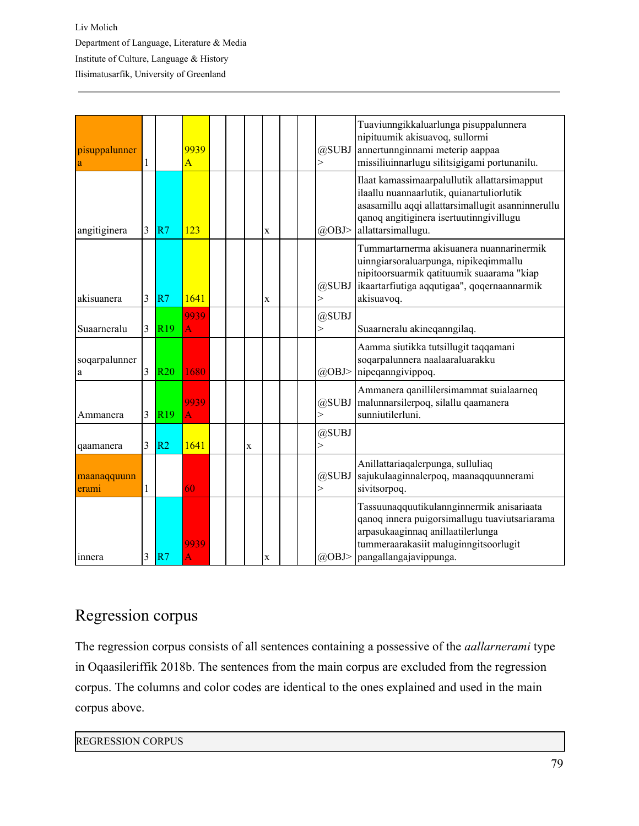| pisuppalunner<br>a   | $\mathbf{1}$ |                 | 9939<br>$\overline{A}$ |   |             | $\geq$ | @SUBJ      | Tuaviunngikkaluarlunga pisuppalunnera<br>nipituumik akisuavoq, sullormi<br>annertunnginnami meterip aappaa<br>missiliuinnarlugu silitsigigami portunanilu.                                                      |
|----------------------|--------------|-----------------|------------------------|---|-------------|--------|------------|-----------------------------------------------------------------------------------------------------------------------------------------------------------------------------------------------------------------|
| angitiginera         | 3            | R7              | 123                    |   | $\mathbf x$ |        | $(a)$ OBJ> | Ilaat kamassimaarpalullutik allattarsimapput<br>ilaallu nuannaarlutik, quianartuliorlutik<br>asasamillu aqqi allattarsimallugit asanninnerullu<br>qanoq angitiginera isertuutinngivillugu<br>allattarsimallugu. |
| akisuanera           | 3            | R7              | 1641                   |   | $\mathbf X$ | $\geq$ | @SUBJ      | Tummartarnerma akisuanera nuannarinermik<br>uinngiarsoraluarpunga, nipikeqimmallu<br>nipitoorsuarmik qatituumik suaarama "kiap<br>ikaartarfiutiga aqqutigaa", qoqernaannarmik<br>akisuavoq.                     |
| Suaarneralu          | 3            | R <sub>19</sub> | 9939<br>A              |   |             | $\geq$ | @SUBJ      | Suaarneralu akineqanngilaq.                                                                                                                                                                                     |
| soqarpalunner<br>a   | 3            | <b>R20</b>      | 1680                   |   |             |        | @OBJ>      | Aamma siutikka tutsillugit taqqamani<br>soqarpalunnera naalaaraluarakku<br>nipeqanngivippoq.                                                                                                                    |
| Ammanera             | 3            | R <sub>19</sub> | 9939<br>A              |   |             | >      | @SUBJ      | Ammanera qanillilersimammat suialaarneq<br>malunnarsilerpoq, silallu qaamanera<br>sunniutilerluni.                                                                                                              |
| qaamanera            | 3            | R <sub>2</sub>  | 1641                   | X |             | $\geq$ | @SUBJ      |                                                                                                                                                                                                                 |
| maanaqquunn<br>erami | 1            |                 | 60                     |   |             | $\geq$ | @SUBJ      | Anillattariaqalerpunga, sulluliaq<br>sajukulaaginnalerpoq, maanaqquunnerami<br>sivitsorpoq.                                                                                                                     |
| innera               | 3            | R7              | 9939<br>A              |   | $\mathbf X$ |        | $(a)$ OBJ> | Tassuunaqquutikulannginnermik anisariaata<br>qanoq innera puigorsimallugu tuaviutsariarama<br>arpasukaaginnaq anillaatilerlunga<br>tummeraarakasiit maluginngitsoorlugit<br>pangallangajavippunga.              |

## Regression corpus

The regression corpus consists of all sentences containing a possessive of the *aallarnerami* type in Oqaasileriffik 2018b. The sentences from the main corpus are excluded from the regression corpus. The columns and color codes are identical to the ones explained and used in the main corpus above.

## REGRESSION CORPUS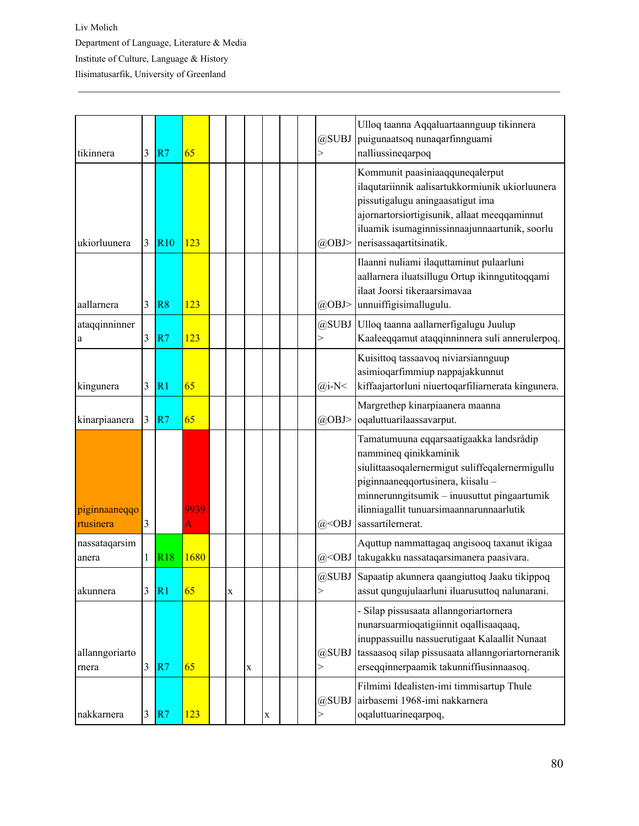| tikinnera                  | 3              | R7              | 65        |             |             |   |  | @SUBJ<br>>                                                                                                                | Ulloq taanna Aqqaluartaannguup tikinnera<br>puigunaatsoq nunaqarfinnguami<br>nalliussineqarpoq                                                                                                                                                                           |
|----------------------------|----------------|-----------------|-----------|-------------|-------------|---|--|---------------------------------------------------------------------------------------------------------------------------|--------------------------------------------------------------------------------------------------------------------------------------------------------------------------------------------------------------------------------------------------------------------------|
| ukiorluunera               | 3              | <b>R10</b>      | 123       |             |             |   |  | @OBJ>                                                                                                                     | Kommunit paasiniaaqquneqalerput<br>ilaqutariinnik aalisartukkormiunik ukiorluunera<br>pissutigalugu aningaasatigut ima<br>ajornartorsiortigisunik, allaat meeqqaminnut<br>iluamik isumaginnissinnaajunnaartunik, soorlu<br>nerisassaqartitsinatik.                       |
| aallarnera                 | $\overline{3}$ | R <sub>8</sub>  | 123       |             |             |   |  | @OBJ>                                                                                                                     | Ilaanni nuliami ilaquttaminut pulaarluni<br>aallarnera iluatsillugu Ortup ikinngutitoqqami<br>ilaat Joorsi tikeraarsimavaa<br>unnuiffigisimallugulu.                                                                                                                     |
| ataqqinninner<br>a         | 3              | R7              | 123       |             |             |   |  | @SUBJ<br>$\mathbf{I}$                                                                                                     | Ulloq taanna aallarnerfigalugu Juulup<br>Kaaleeqqamut ataqqinninnera suli annerulerpoq.                                                                                                                                                                                  |
| kingunera                  | 3              | R <sub>1</sub>  | 65        |             |             |   |  | $(a)$ i-N<                                                                                                                | Kuisittoq tassaavoq niviarsiannguup<br>asimioqarfimmiup nappajakkunnut<br>kiffaajartorluni niuertoqarfiliarnerata kingunera.                                                                                                                                             |
| kinarpiaanera              | 3              | R7              | 65        |             |             |   |  | @OBJ>                                                                                                                     | Margrethep kinarpiaanera maanna<br>oqaluttuarilaassavarput.                                                                                                                                                                                                              |
| piginnaaneqqo<br>rtusinera | 3              |                 | 9939<br>A |             |             |   |  | $@<$ OBJ                                                                                                                  | Tamatumuuna eqqarsaatigaakka landsrådip<br>nammineq qinikkaminik<br>siulittaasoqalernermigut suliffeqalernermigullu<br>piginnaaneqqortusinera, kiisalu -<br>minnerunngitsumik - inuusuttut pingaartumik<br>ilinniagallit tunuarsimaannarunnaarlutik<br>sassartilernerat. |
| nassataqarsim<br>anera     | 1              | <b>R18</b>      | 1680      |             |             |   |  | $(a)$ <obj< td=""><td>Aquttup nammattagaq angisooq taxanut ikigaa<br/>takugakku nassataqarsimanera paasivara.</td></obj<> | Aquttup nammattagaq angisooq taxanut ikigaa<br>takugakku nassataqarsimanera paasivara.                                                                                                                                                                                   |
| akunnera                   | 3              | $\overline{R}1$ | 65        | $\mathbf X$ |             |   |  | >                                                                                                                         | @SUBJ Sapaatip akunnera qaangiuttoq Jaaku tikippoq<br>assut qungujulaarluni iluarusuttoq nalunarani.                                                                                                                                                                     |
| allanngoriarto<br>rnera    | $\mathfrak{Z}$ | R7              | 65        |             | $\mathbf X$ |   |  | @SUBJ<br>$\rm{>}$                                                                                                         | - Silap pissusaata allanngoriartornera<br>nunarsuarmioqatigiinnit oqallisaaqaaq,<br>inuppassuillu nassuerutigaat Kalaallit Nunaat<br>tassaasoq silap pissusaata allanngoriartorneranik<br>erseqqinnerpaamik takunniffiusinnaasoq.                                        |
| nakkarnera                 | $\mathfrak{Z}$ | R7              | 123       |             |             | X |  | @SUBJ                                                                                                                     | Filmimi Idealisten-imi timmisartup Thule<br>airbasemi 1968-imi nakkarnera<br>oqaluttuarineqarpoq,                                                                                                                                                                        |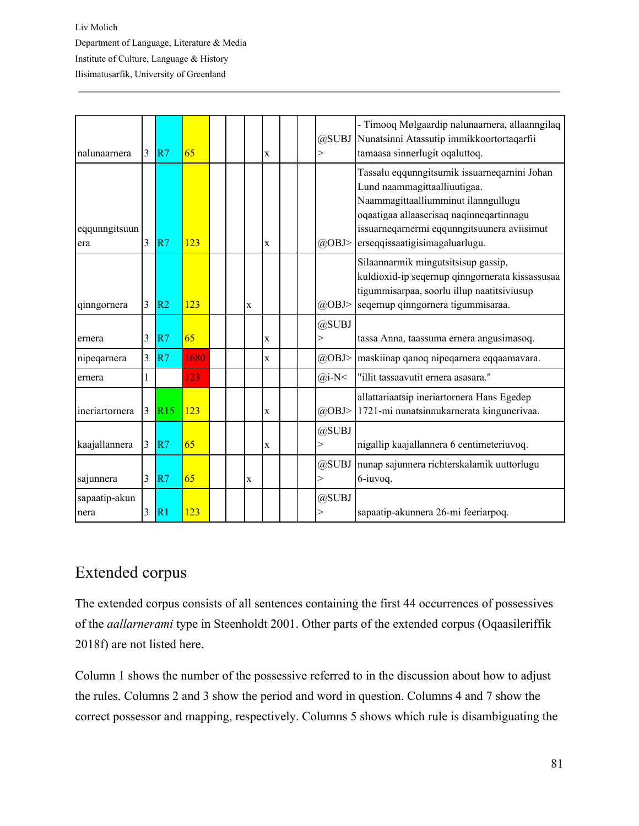| nalunaarnera          | 3 | R7             | 65   |  |   | X           |  | @SUBJ<br>$\gt$        | - Timooq Mølgaardip nalunaarnera, allaanngilaq<br>Nunatsinni Atassutip immikkoortortaqarfii<br>tamaasa sinnerlugit oqaluttoq.                                                                                                                    |
|-----------------------|---|----------------|------|--|---|-------------|--|-----------------------|--------------------------------------------------------------------------------------------------------------------------------------------------------------------------------------------------------------------------------------------------|
| eqqunngitsuun<br>era  | 3 | R7             | 123  |  |   | X           |  | @OBJ>                 | Tassalu eqqunngitsumik issuarneqarnini Johan<br>Lund naammagittaalliuutigaa.<br>Naammagittaalliumminut ilanngullugu<br>oqaatigaa allaaserisaq naqinneqartinnagu<br>issuarneqarnermi eqqunngitsuunera aviisimut<br>erseqqissaatigisimagaluarlugu. |
| qinngornera           | 3 | R <sub>2</sub> | 123  |  | X |             |  | $(a)$ OBJ>            | Silaannarmik mingutsitsisup gassip,<br>kuldioxid-ip seqernup qinngornerata kissassusaa<br>tigummisarpaa, soorlu illup naatitsiviusup<br>seqernup qinngornera tigummisaraa.                                                                       |
| ernera                | 3 | R7             | 65   |  |   | X           |  | @SUBJ<br>$\gt$        | tassa Anna, taassuma ernera angusimasoq.                                                                                                                                                                                                         |
| nipeqarnera           | 3 | R7             | 1680 |  |   | X           |  | @OBJ>                 | maskiinap qanoq nipeqarnera eqqaamavara.                                                                                                                                                                                                         |
| ernera                | 1 |                | 123  |  |   |             |  | $(a)$ i-N<            | "illit tassaavutit ernera asasara."                                                                                                                                                                                                              |
| ineriartornera        | 3 | R15            | 123  |  |   | $\mathbf X$ |  | @OBJ>                 | allattariaatsip ineriartornera Hans Egedep<br>1721-mi nunatsinnukarnerata kingunerivaa.                                                                                                                                                          |
| kaajallannera         | 3 | R7             | 65   |  |   | X           |  | @SUBJ<br>$\gt$        | nigallip kaajallannera 6 centimeteriuvoq.                                                                                                                                                                                                        |
| sajunnera             | 3 | R7             | 65   |  | X |             |  | @SUBJ<br>$\mathbf{I}$ | nunap sajunnera richterskalamik uuttorlugu<br>6-iuvoq.                                                                                                                                                                                           |
| sapaatip-akun<br>nera | 3 | R1             | 123  |  |   |             |  | @SUBJ<br>$\,>$        | sapaatip-akunnera 26-mi feeriarpoq.                                                                                                                                                                                                              |

## Extended corpus

The extended corpus consists of all sentences containing the first 44 occurrences of possessives of the *aallarnerami* type in Steenholdt 2001. Other parts of the extended corpus (Oqaasileriffik 2018f) are not listed here.

Column 1 shows the number of the possessive referred to in the discussion about how to adjust the rules. Columns 2 and 3 show the period and word in question. Columns 4 and 7 show the correct possessor and mapping, respectively. Columns 5 shows which rule is disambiguating the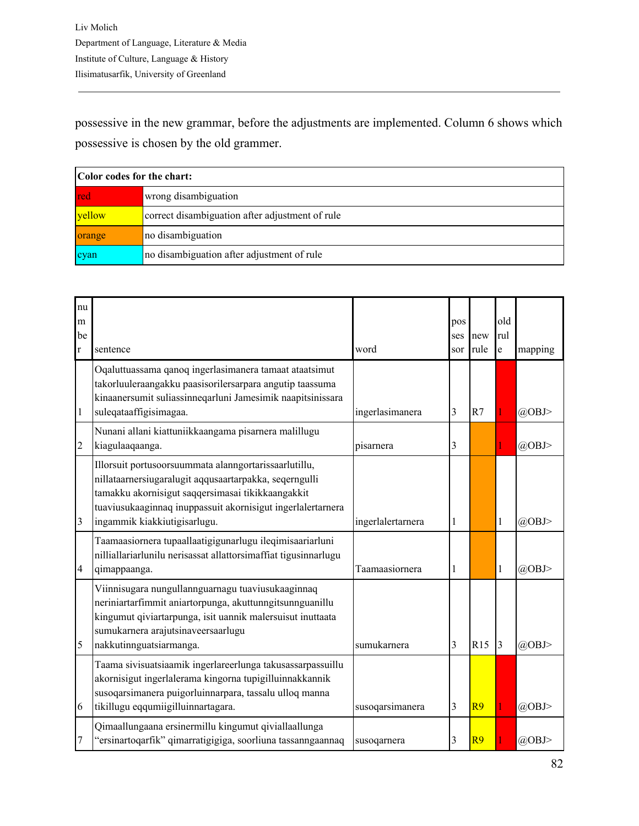possessive in the new grammar, before the adjustments are implemented. Column 6 shows which possessive is chosen by the old grammer.

|        | Color codes for the chart:                      |  |  |  |  |  |  |  |  |  |  |
|--------|-------------------------------------------------|--|--|--|--|--|--|--|--|--|--|
| red    | wrong disambiguation                            |  |  |  |  |  |  |  |  |  |  |
| vellow | correct disambiguation after adjustment of rule |  |  |  |  |  |  |  |  |  |  |
| orange | no disambiguation                               |  |  |  |  |  |  |  |  |  |  |
| cyan   | no disambiguation after adjustment of rule      |  |  |  |  |  |  |  |  |  |  |

| nu<br>m<br>be  |                                                                                                                                                                                                                                                                     |                   | pos<br>ses | new            | old<br>rul   |            |
|----------------|---------------------------------------------------------------------------------------------------------------------------------------------------------------------------------------------------------------------------------------------------------------------|-------------------|------------|----------------|--------------|------------|
| r              | sentence                                                                                                                                                                                                                                                            | word              | sor        | rule           | e            | mapping    |
| $\mathbf{1}$   | Oqaluttuassama qanoq ingerlasimanera tamaat ataatsimut<br>takorluuleraangakku paasisorilersarpara angutip taassuma<br>kinaanersumit suliassinneqarluni Jamesimik naapitsinissara<br>suleqataaffigisimagaa.                                                          | ingerlasimanera   | 3          | R7             |              | @OBJ>      |
| $\overline{c}$ | Nunani allani kiattuniikkaangama pisarnera malillugu<br>kiagulaaqaanga.                                                                                                                                                                                             | pisarnera         | 3          |                |              | @OBJ>      |
| 3              | Illorsuit portusoorsuummata alanngortarissaarlutillu,<br>nillataarnersiugaralugit aqqusaartarpakka, seqerngulli<br>tamakku akornisigut saqqersimasai tikikkaangakkit<br>tuaviusukaaginnaq inuppassuit akornisigut ingerlalertarnera<br>ingammik kiakkiutigisarlugu. | ingerlalertarnera | 1          |                | $\mathbf{1}$ | $(a)$ OBJ> |
| 4              | Taamaasiornera tupaallaatigigunarlugu ileqimisaariarluni<br>nilliallariarlunilu nerisassat allattorsimaffiat tigusinnarlugu<br>qimappaanga.                                                                                                                         | Taamaasiornera    | 1          |                | $\mathbf{1}$ | @OBJ>      |
| 5              | Viinnisugara nungullannguarnagu tuaviusukaaginnaq<br>neriniartarfimmit aniartorpunga, akuttunngitsunnguanillu<br>kingumut qiviartarpunga, isit uannik malersuisut inuttaata<br>sumukarnera arajutsinaveersaarlugu<br>nakkutinnguatsiarmanga.                        | sumukarnera       | 3          | R15            | 3            | $(a)$ OBJ> |
| 6              | Taama sivisuatsiaamik ingerlareerlunga takusassarpassuillu<br>akornisigut ingerlalerama kingorna tupigilluinnakkannik<br>susoqarsimanera puigorluinnarpara, tassalu ulloq manna<br>tikillugu eqqumiigilluinnartagara.                                               | susoqarsimanera   | 3          | R9             |              | @OBJ>      |
| 7              | Qimaallungaana ersinermillu kingumut qiviallaallunga<br>"ersinartoqarfik" qimarratigigiga, soorliuna tassanngaannaq                                                                                                                                                 | susoqarnera       | 3          | R <sub>9</sub> |              | $(a)$ OBJ> |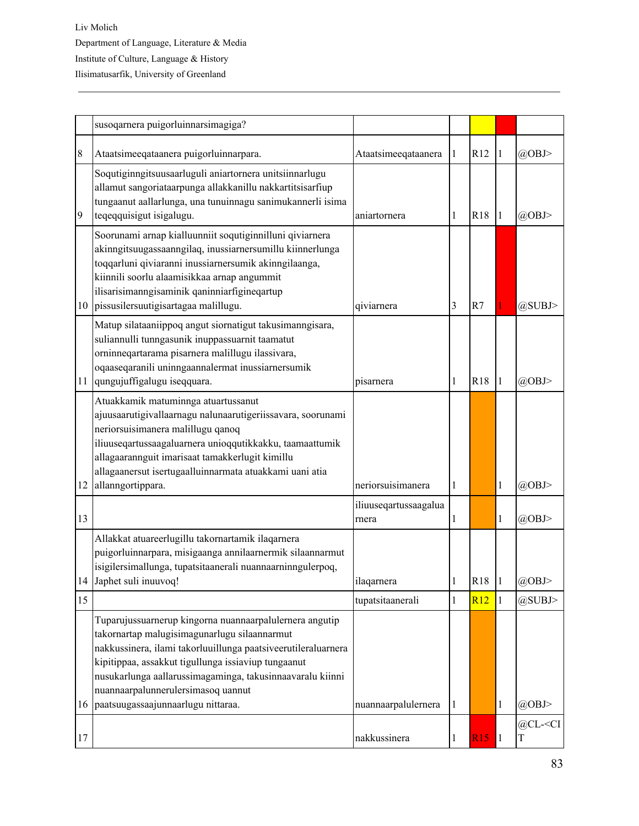|    | susoqarnera puigorluinnarsimagiga?                                                                                                                                                                                                                                                                                                                                       |                                |              |            |              |                                            |
|----|--------------------------------------------------------------------------------------------------------------------------------------------------------------------------------------------------------------------------------------------------------------------------------------------------------------------------------------------------------------------------|--------------------------------|--------------|------------|--------------|--------------------------------------------|
| 8  | Ataatsimeeqataanera puigorluinnarpara.                                                                                                                                                                                                                                                                                                                                   | Ataatsimeeqataanera            | $\mathbf{1}$ | R12        | 1            | @OBJ>                                      |
| 9  | Soqutiginngitsuusaarluguli aniartornera unitsiinnarlugu<br>allamut sangoriataarpunga allakkanillu nakkartitsisarfiup<br>tungaanut aallarlunga, una tunuinnagu sanimukannerli isima<br>teqeqquisigut isigalugu.                                                                                                                                                           | aniartornera                   | 1            | <b>R18</b> | 1            | $(a)$ OBJ>                                 |
| 10 | Soorunami arnap kialluunniit soqutiginnilluni qiviarnera<br>akinngitsuugassaanngilaq, inussiarnersumillu kiinnerlunga<br>toqqarluni qiviaranni inussiarnersumik akinngilaanga,<br>kiinnili soorlu alaamisikkaa arnap angummit<br>ilisarisimanngisaminik qaninniarfigineqartup<br>pissusilersuutigisartagaa malillugu.                                                    | qiviarnera                     | 3            | R7         |              | @SUBJ>                                     |
| 11 | Matup silataaniippoq angut siornatigut takusimanngisara,<br>suliannulli tunngasunik inuppassuarnit taamatut<br>orninneqartarama pisarnera malillugu ilassivara,<br>oqaaseqaranili uninngaannalermat inussiarnersumik<br>qungujuffigalugu iseqquara.                                                                                                                      | pisarnera                      | 1            | <b>R18</b> | 1            | $(a)$ OBJ>                                 |
| 12 | Atuakkamik matuminnga atuartussanut<br>ajuusaarutigivallaarnagu nalunaarutigeriissavara, soorunami<br>neriorsuisimanera malillugu qanoq<br>iliuuseqartussaagaluarnera unioqqutikkakku, taamaattumik<br>allagaarannguit imarisaat tamakkerlugit kimillu<br>allagaanersut isertugaalluinnarmata atuakkami uani atia<br>allanngortippara.                                   | neriorsuisimanera              | 1            |            | $\mathbf{1}$ | $(a)$ OBJ>                                 |
| 13 |                                                                                                                                                                                                                                                                                                                                                                          | iliuuseqartussaagalua<br>rnera | 1            |            | $\mathbf{1}$ | $(a)$ OBJ>                                 |
| 14 | Allakkat atuareerlugillu takornartamik ilaqarnera<br>puigorluinnarpara, misigaanga annilaarnermik silaannarmut<br>isigilersimallunga, tupatsitaanerali nuannaarninngulerpoq,<br>Japhet suli inuuvoq!                                                                                                                                                                     | ilaqarnera                     | $\mathbf 1$  | R18        |              | @OBJ>                                      |
| 15 |                                                                                                                                                                                                                                                                                                                                                                          | tupatsitaanerali               | $\mathbf{1}$ | R12        | $\mathbf{1}$ | @SUBJ>                                     |
| 16 | Tuparujussuarnerup kingorna nuannaarpalulernera angutip<br>takornartap malugisimagunarlugu silaannarmut<br>nakkussinera, ilami takorluuillunga paatsiveerutileraluarnera<br>kipitippaa, assakkut tigullunga issiaviup tungaanut<br>nusukarlunga aallarussimagaminga, takusinnaavaralu kiinni<br>nuannaarpalunnerulersimasoq uannut<br>paatsuugassaajunnaarlugu nittaraa. | nuannaarpalulernera            | 1            |            | $\mathbf{1}$ | @OBJ>                                      |
| 17 |                                                                                                                                                                                                                                                                                                                                                                          | nakkussinera                   | $\mathbf{1}$ | <b>R15</b> | $\vert$ 1    | @CL- <ci<br><math>\mathbf T</math></ci<br> |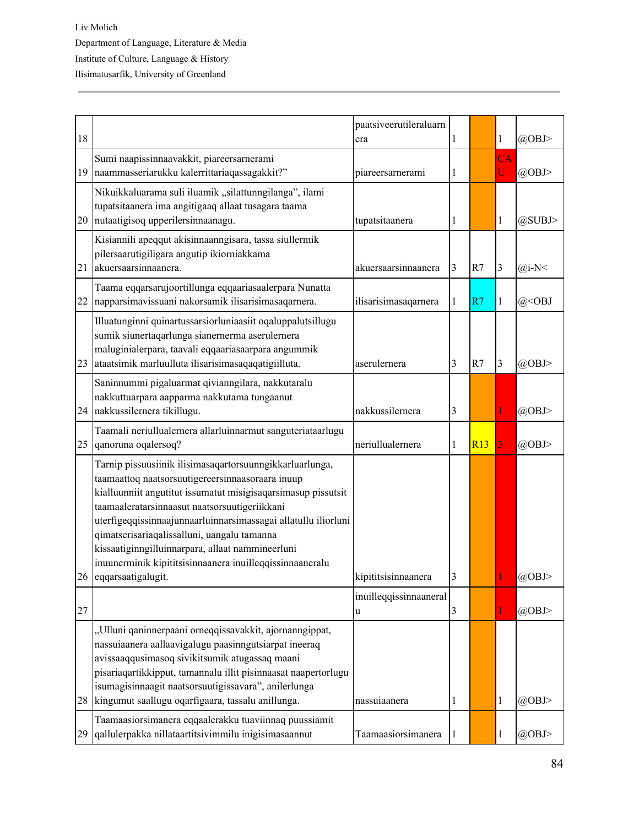| 18 |                                                                                                                                                                                                                                                                                                                                                                                                                                                                 | paatsiveerutileraluarn<br>era | 1 |     | 1            | $(a)$ OBJ>                |
|----|-----------------------------------------------------------------------------------------------------------------------------------------------------------------------------------------------------------------------------------------------------------------------------------------------------------------------------------------------------------------------------------------------------------------------------------------------------------------|-------------------------------|---|-----|--------------|---------------------------|
| 19 | Sumi naapissinnaavakkit, piareersarnerami<br>naammasseriarukku kalerrittariaqassagakkit?"                                                                                                                                                                                                                                                                                                                                                                       | piareersarnerami              | 1 |     | CA<br>U      | @OBJ>                     |
| 20 | Nikuikkaluarama suli iluamik "silattunngilanga", ilami<br>tupatsitaanera ima angitigaaq allaat tusagara taama<br>nutaatigisoq upperilersinnaanagu.                                                                                                                                                                                                                                                                                                              | tupatsitaanera                | 1 |     | 1            | @SUBJ>                    |
| 21 | Kisiannili apeqqut akisinnaanngisara, tassa siullermik<br>pilersaarutigiligara angutip ikiorniakkama<br>akuersaarsinnaanera.                                                                                                                                                                                                                                                                                                                                    | akuersaarsinnaanera           | 3 | R7  | 3            | $(a)$ i-N<                |
| 22 | Taama eqqarsarujoortillunga eqqaariasaalerpara Nunatta<br>napparsimavissuani nakorsamik ilisarisimasaqarnera.                                                                                                                                                                                                                                                                                                                                                   | ilisarisimasaqarnera          | 1 | R7  | $\mathbf{1}$ | $(a)$ <obj< td=""></obj<> |
| 23 | Illuatunginni quinartussarsiorluniaasiit oqaluppalutsillugu<br>sumik siunertaqarlunga sianernerma aserulernera<br>maluginialerpara, taavali eqqaariasaarpara angummik<br>ataatsimik marluulluta ilisarisimasaqaqatigiilluta.                                                                                                                                                                                                                                    | aserulernera                  | 3 | R7  | 3            | $(a)$ OBJ>                |
|    | Saninnummi pigaluarmat qivianngilara, nakkutaralu<br>nakkuttuarpara aapparma nakkutama tungaanut<br>24 nakkussilernera tikillugu.                                                                                                                                                                                                                                                                                                                               | nakkussilernera               | 3 |     |              | $(a)$ OBJ>                |
| 25 | Taamali neriullualernera allarluinnarmut sanguteriataarlugu<br>qanoruna oqalersoq?                                                                                                                                                                                                                                                                                                                                                                              | neriullualernera              | 1 | R13 | 3            | $(a)$ OBJ>                |
|    | Tarnip pissuusiinik ilisimasaqartorsuunngikkarluarlunga,<br>taamaattoq naatsorsuutigereersinnaasoraara inuup<br>kialluunniit angutitut issumatut misigisaqarsimasup pissutsit<br>taamaaleratarsinnaasut naatsorsuutigeriikkani<br>uterfigeqqissinnaajunnaarluinnarsimassagai allatullu iliorluni<br>qimatserisariaqalissalluni, uangalu tamanna<br>kissaatiginngilluinnarpara, allaat nammineerluni<br>inuunerminik kipititsisinnaanera inuilleqqissinnaaneralu |                               |   |     |              |                           |
|    | 26 eqqarsaatigalugit.                                                                                                                                                                                                                                                                                                                                                                                                                                           | kipititsisinnaanera           | 3 |     |              | @OBJ>                     |
| 27 |                                                                                                                                                                                                                                                                                                                                                                                                                                                                 | inuilleqqissinnaaneral<br>u   | 3 |     |              | @OBJ>                     |
| 28 | "Ulluni qaninnerpaani orneqqissavakkit, ajornanngippat,<br>nassuiaanera aallaavigalugu paasinngutsiarpat ineeraq<br>avissaaqqusimasoq sivikitsumik atugassaq maani<br>pisariaqartikkipput, tamannalu illit pisinnaasat naapertorlugu<br>isumagisinnaagit naatsorsuutigissavara", anilerlunga<br>kingumut saallugu oqarfigaara, tassalu anillunga.                                                                                                               | nassuiaanera                  | 1 |     | $\mathbf{1}$ | @OBJ>                     |
| 29 | Taamaasiorsimanera eqqaalerakku tuaviinnaq puussiamit<br>qallulerpakka nillataartitsivimmilu inigisimasaannut                                                                                                                                                                                                                                                                                                                                                   | Taamaasiorsimanera            | 1 |     | 1            | @OBJ>                     |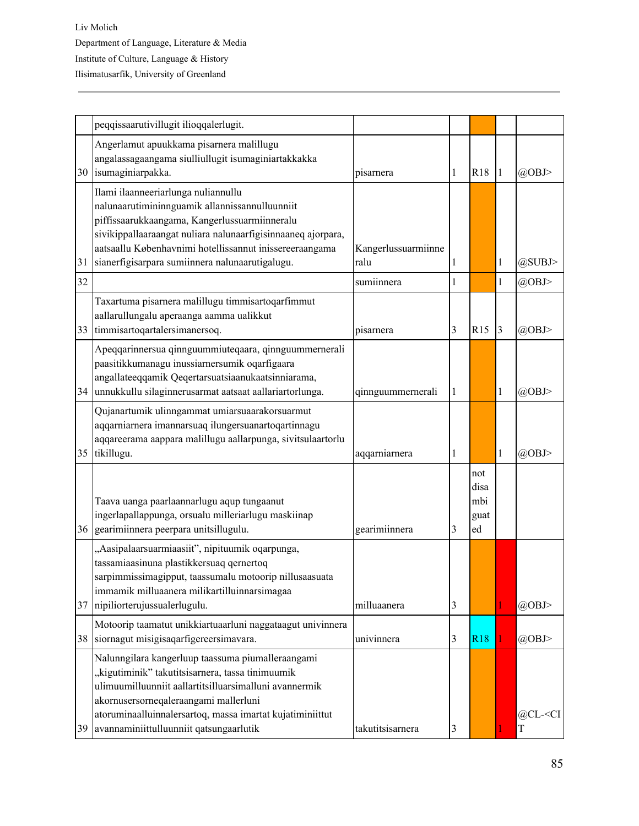|    | peqqissaarutivillugit ilioqqalerlugit.                                                                                                                                                                                                                                                                               |                             |   |                                  |                |                       |
|----|----------------------------------------------------------------------------------------------------------------------------------------------------------------------------------------------------------------------------------------------------------------------------------------------------------------------|-----------------------------|---|----------------------------------|----------------|-----------------------|
|    | Angerlamut apuukkama pisarnera malillugu<br>angalassagaangama siulliullugit isumaginiartakkakka<br>30 isumaginiarpakka.                                                                                                                                                                                              | pisarnera                   | 1 | <b>R18</b>                       | 1              | @OBJ>                 |
| 31 | Ilami ilaanneeriarlunga nuliannullu<br>nalunaarutimininnguamik allannissannulluunniit<br>piffissaarukkaangama, Kangerlussuarmiinneralu<br>sivikippallaaraangat nuliara nalunaarfigisinnaaneq ajorpara,<br>aatsaallu Københavnimi hotellissannut inissereeraangama<br>sianerfigisarpara sumiinnera nalunaarutigalugu. | Kangerlussuarmiinne<br>ralu | 1 |                                  | 1              | @SUBJ>                |
| 32 |                                                                                                                                                                                                                                                                                                                      | sumiinnera                  | 1 |                                  | 1              | @OBJ>                 |
| 33 | Taxartuma pisarnera malillugu timmisartoqarfimmut<br>aallarullungalu aperaanga aamma ualikkut<br>timmisartoqartalersimanersoq.                                                                                                                                                                                       | pisarnera                   | 3 | R15                              | $\overline{3}$ | @OBJ>                 |
| 34 | Apeqqarinnersua qinnguummiuteqaara, qinnguummernerali<br>paasitikkumanagu inussiarnersumik oqarfigaara<br>angallateeqqamik Qeqertarsuatsiaanukaatsinniarama,<br>unnukkullu silaginnerusarmat aatsaat aallariartorlunga.                                                                                              | qinnguummernerali           | 1 |                                  | 1              | @OBJ>                 |
| 35 | Qujanartumik ulinngammat umiarsuaarakorsuarmut<br>aqqarniarnera imannarsuaq ilungersuanartoqartinnagu<br>aqqareerama aappara malillugu aallarpunga, sivitsulaartorlu<br>tikillugu.                                                                                                                                   | aqqarniarnera               | 1 |                                  | 1              | @OBJ>                 |
|    | Taava uanga paarlaannarlugu aqup tungaanut<br>ingerlapallappunga, orsualu milleriarlugu maskiinap<br>36 gearimiinnera peerpara unitsillugulu.                                                                                                                                                                        | gearimiinnera               | 3 | not<br>disa<br>mbi<br>guat<br>ed |                |                       |
| 37 | "Aasipalaarsuarmiaasiit", nipituumik oqarpunga,<br>tassamiaasinuna plastikkersuaq qernertoq<br>sarpimmissimagipput, taassumalu motoorip nillusaasuata<br>immamik milluaanera milikartilluinnarsimagaa<br>nipiliorterujussualerlugulu.                                                                                | milluaanera                 | 3 |                                  |                | @OBJ>                 |
| 38 | Motoorip taamatut unikkiartuaarluni naggataagut univinnera<br>siornagut misigisaqarfigereersimavara.                                                                                                                                                                                                                 | univinnera                  | 3 | <b>R18</b>                       |                | @OBJ>                 |
| 39 | Nalunngilara kangerluup taassuma piumalleraangami<br>"kigutiminik" takutitsisarnera, tassa tinimuumik<br>ulimuumilluunniit aallartitsilluarsimalluni avannermik<br>akornusersorneqaleraangami mallerluni<br>atoruminaalluinnalersartoq, massa imartat kujatiminiittut<br>avannaminiittulluunniit qatsungaarlutik     | takutitsisarnera            | 3 |                                  |                | @CL- <ci<br>T</ci<br> |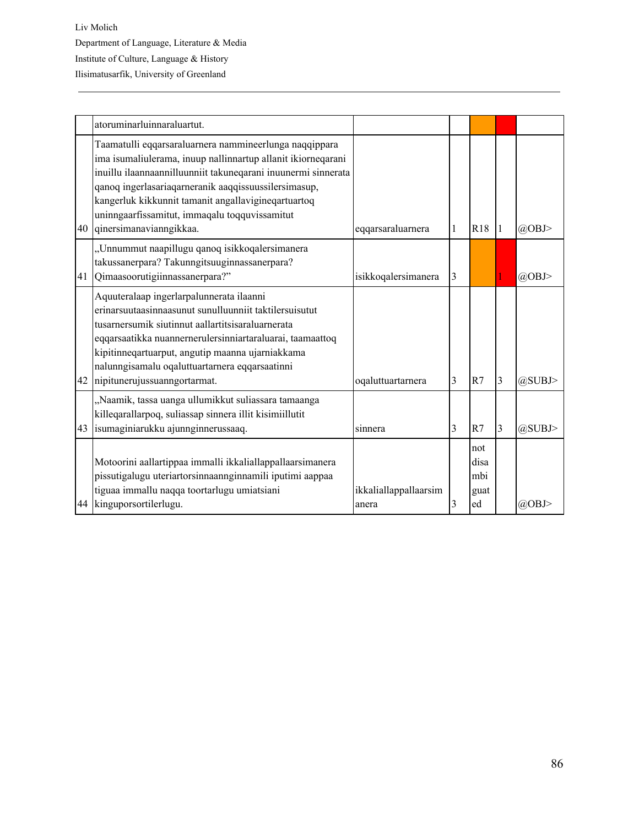|    | atoruminarluinnaraluartut.                                                                                                                                                                                                                                                                                                                                                         |                                |   |                                  |   |            |
|----|------------------------------------------------------------------------------------------------------------------------------------------------------------------------------------------------------------------------------------------------------------------------------------------------------------------------------------------------------------------------------------|--------------------------------|---|----------------------------------|---|------------|
| 40 | Taamatulli eqqarsaraluarnera nammineerlunga naqqippara<br>ima isumaliulerama, inuup nallinnartup allanit ikiorneqarani<br>inuillu ilaannaannilluunniit takuneqarani inuunermi sinnerata<br>qanoq ingerlasariaqarneranik aaqqissuussilersimasup,<br>kangerluk kikkunnit tamanit angallavigineqartuartoq<br>uninngaarfissamitut, immaqalu toqquvissamitut<br>qinersimanavianngikkaa. | eqqarsaraluarnera              | 1 | R <sub>18</sub>                  |   | $(a)$ OBJ> |
| 41 | "Unnummut naapillugu qanoq isikkoqalersimanera<br>takussanerpara? Takunngitsuuginnassanerpara?<br>Qimaasoorutigiinnassanerpara?"                                                                                                                                                                                                                                                   | isikkoqalersimanera            | 3 |                                  |   | $(a)$ OBJ> |
| 42 | Aquuteralaap ingerlarpalunnerata ilaanni<br>erinarsuutaasinnaasunut sunulluunniit taktilersuisutut<br>tusarnersumik siutinnut aallartitsisaraluarnerata<br>eqqarsaatikka nuannernerulersinniartaraluarai, taamaattoq<br>kipitinneqartuarput, angutip maanna ujarniakkama<br>nalunngisamalu oqaluttuartarnera eqqarsaatinni<br>nipitunerujussuanngortarmat.                         | oqaluttuartarnera              | 3 | R7                               | 3 | @SUBJ>     |
| 43 | "Naamik, tassa uanga ullumikkut suliassara tamaanga<br>killeqarallarpoq, suliassap sinnera illit kisimiillutit<br>isumaginiarukku ajunnginnerussaaq.                                                                                                                                                                                                                               | sinnera                        | 3 | R7                               | 3 | @SUBJ>     |
| 44 | Motoorini aallartippaa immalli ikkaliallappallaarsimanera<br>pissutigalugu uteriartorsinnaannginnamili iputimi aappaa<br>tiguaa immallu naqqa toortarlugu umiatsiani<br>kinguporsortilerlugu.                                                                                                                                                                                      | ikkaliallappallaarsim<br>anera | 3 | not<br>disa<br>mbi<br>guat<br>ed |   | @OBJ>      |